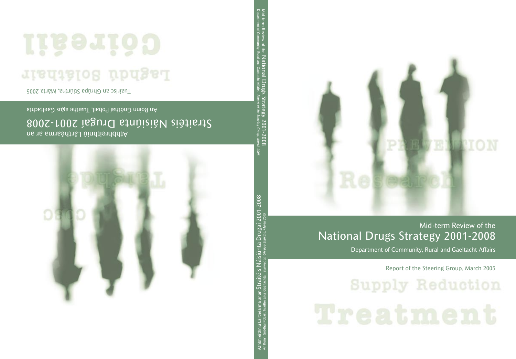

## Mid-term Review of the National Drugs Strategy 2001-2008

Department of Community, Rural and Gaeltacht Affairs

Report of the Steering Group, March 2005

**Supply Reduction**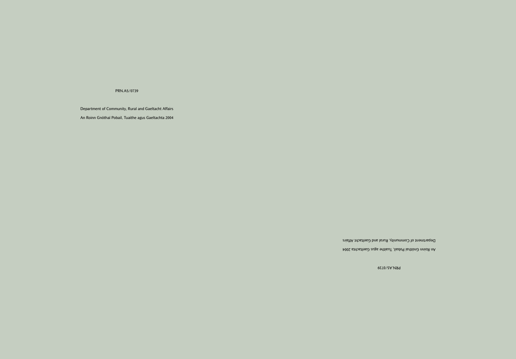#### PRN.A5/0739

Department of Community, Rural and Gaeltacht Affairs An Roinn Gnóthaí Pobail, Tuaithe agus Gaeltachta 2004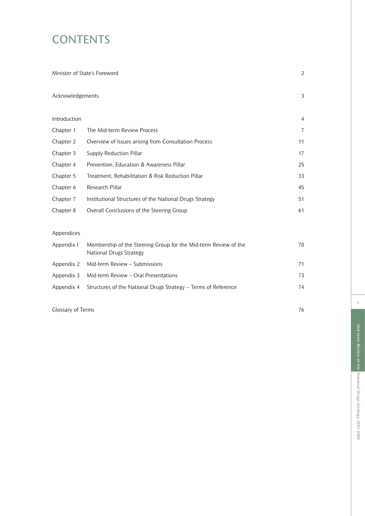## **CONTENTS**

|                  | Minister of State's Foreword                                                               | $\overline{a}$ |
|------------------|--------------------------------------------------------------------------------------------|----------------|
| Acknowledgements |                                                                                            | 3              |
| Introduction     |                                                                                            | 4              |
| Chapter 1        | The Mid-term Review Process                                                                | 7              |
| Chapter 2        | Overview of Issues arising from Consultation Process                                       | 11             |
| Chapter 3        | Supply Reduction Pillar                                                                    | 17             |
| Chapter 4        | Prevention, Education & Awareness Pillar                                                   | 25             |
| Chapter 5        | Treatment, Rehabilitation & Risk Reduction Pillar                                          | 33             |
| Chapter 6        | Research Pillar                                                                            | 45             |
| Chapter 7        | Institutional Structures of the National Drugs Strategy                                    | 51             |
| Chapter 8        | Overall Conclusions of the Steering Group                                                  | 61             |
| Appendices       |                                                                                            |                |
| Appendix I       | Membership of the Steering Group for the Mid-term Review of the<br>National Drugs Strategy | 70             |
| Appendix 2       | Mid-term Review - Submissions                                                              | 71             |
| Appendix 3       | Mid-term Review - Oral Presentations                                                       | 73             |
| Appendix 4       | Structures of the National Drugs Strategy - Terms of Reference                             | 74             |
|                  |                                                                                            |                |

Glossary of Terms 76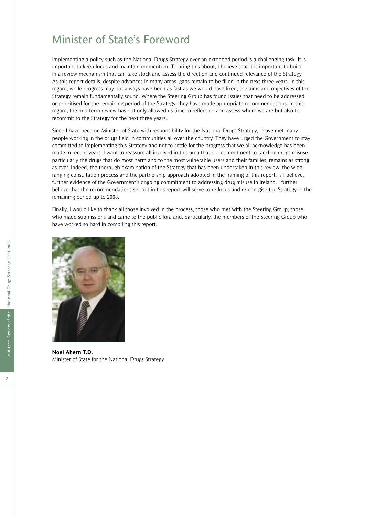### Minister of State's Foreword

Implementing a policy such as the National Drugs Strategy over an extended period is a challenging task. It is important to keep focus and maintain momentum. To bring this about, I believe that it is important to build in a review mechanism that can take stock and assess the direction and continued relevance of the Strategy. As this report details, despite advances in many areas, gaps remain to be filled in the next three years. In this regard, while progress may not always have been as fast as we would have liked, the aims and objectives of the Strategy remain fundamentally sound. Where the Steering Group has found issues that need to be addressed or prioritised for the remaining period of the Strategy, they have made appropriate recommendations. In this regard, the mid-term review has not only allowed us time to reflect on and assess where we are but also to recommit to the Strategy for the next three years.

Since I have become Minister of State with responsibility for the National Drugs Strategy, I have met many people working in the drugs field in communities all over the country. They have urged the Government to stay committed to implementing this Strategy and not to settle for the progress that we all acknowledge has been made in recent years. I want to reassure all involved in this area that our commitment to tackling drugs misuse, particularly the drugs that do most harm and to the most vulnerable users and their families, remains as strong as ever. Indeed, the thorough examination of the Strategy that has been undertaken in this review, the wideranging consultation process and the partnership approach adopted in the framing of this report, is I believe, further evidence of the Government's ongoing commitment to addressing drug misuse in Ireland. I further believe that the recommendations set out in this report will serve to re-focus and re-energise the Strategy in the remaining period up to 2008.

Finally, I would like to thank all those involved in the process, those who met with the Steering Group, those who made submissions and came to the public fora and, particularly, the members of the Steering Group who have worked so hard in compiling this report.



**Noel Ahern T.D.** Minister of State for the National Drugs Strategy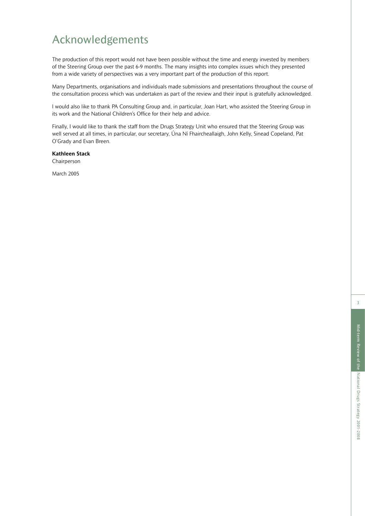### Acknowledgements

The production of this report would not have been possible without the time and energy invested by members of the Steering Group over the past 6-9 months. The many insights into complex issues which they presented from a wide variety of perspectives was a very important part of the production of this report.

Many Departments, organisations and individuals made submissions and presentations throughout the course of the consultation process which was undertaken as part of the review and their input is gratefully acknowledged.

I would also like to thank PA Consulting Group and, in particular, Joan Hart, who assisted the Steering Group in its work and the National Children's Office for their help and advice.

Finally, I would like to thank the staff from the Drugs Strategy Unit who ensured that the Steering Group was well served at all times, in particular, our secretary, Úna Ní Fhaircheallaigh, John Kelly, Sinead Copeland, Pat O'Grady and Evan Breen.

**Kathleen Stack** Chairperson

March 2005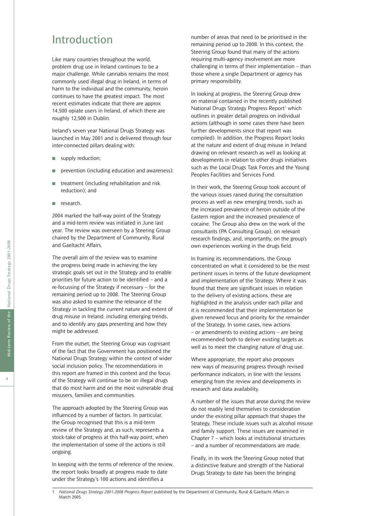### Introduction

Like many countries throughout the world, problem drug use in Ireland continues to be a major challenge. While cannabis remains the most commonly used illegal drug in Ireland, in terms of harm to the individual and the community, heroin continues to have the greatest impact. The most recent estimates indicate that there are approx 14,500 opiate users in Ireland, of which there are roughly 12,500 in Dublin.

Ireland's seven year National Drugs Strategy was launched in May 2001 and is delivered through four inter-connected pillars dealing with:

- supply reduction;
- prevention (including education and awareness);
- treatment (including rehabilitation and risk reduction); and
- research.

2004 marked the half-way point of the Strategy and a mid-term review was initiated in June last year. The review was overseen by a Steering Group chaired by the Department of Community, Rural and Gaeltacht Affairs.

The overall aim of the review was to examine the progress being made in achieving the key strategic goals set out in the Strategy and to enable priorities for future action to be identified – and a re-focussing of the Strategy if necessary – for the remaining period up to 2008. The Steering Group was also asked to examine the relevance of the Strategy in tackling the current nature and extent of drug misuse in Ireland, including emerging trends, and to identify any gaps presenting and how they might be addressed.

From the outset, the Steering Group was cognisant of the fact that the Government has positioned the National Drugs Strategy within the context of wider social inclusion policy. The recommendations in this report are framed in this context and the focus of the Strategy will continue to be on illegal drugs that do most harm and on the most vulnerable drug misusers, families and communities.

The approach adopted by the Steering Group was influenced by a number of factors. In particular, the Group recognised that this is a mid-term review of the Strategy and, as such, represents a stock-take of progress at this half-way point, when the implementation of some of the actions is still ongoing.

In keeping with the terms of reference of the review, the report looks broadly at progress made to date under the Strategy's 100 actions and identifies a

number of areas that need to be prioritised in the remaining period up to 2008. In this context, the Steering Group found that many of the actions requiring multi-agency involvement are more challenging in terms of their implementation – than those where a single Department or agency has primary responsibility.

In looking at progress, the Steering Group drew on material contained in the recently published National Drugs Strategy Progress Report<sup>1</sup> which outlines in greater detail progress on individual actions (although in some cases there have been further developments since that report was compiled). In addition, the Progress Report looks at the nature and extent of drug misuse in Ireland drawing on relevant research as well as looking at developments in relation to other drugs initiatives such as the Local Drugs Task Forces and the Young Peoples Facilities and Services Fund.

In their work, the Steering Group took account of the various issues raised during the consultation process as well as new emerging trends, such as the increased prevalence of heroin outside of the Eastern region and the increased prevalence of cocaine. The Group also drew on the work of the consultants (PA Consulting Group), on relevant research findings, and, importantly, on the group's own experiences working in the drugs field.

In framing its recommendations, the Group concentrated on what it considered to be the most pertinent issues in terms of the future development and implementation of the Strategy. Where it was found that there are significant issues in relation to the delivery of existing actions, these are highlighted in the analysis under each pillar and it is recommended that their implementation be given renewed focus and priority for the remainder of the Strategy. In some cases, new actions – or amendments to existing actions – are being recommended both to deliver existing targets as well as to meet the changing nature of drug use.

Where appropriate, the report also proposes new ways of measuring progress through revised performance indicators, in line with the lessons emerging from the review and developments in research and data availability.

A number of the issues that arose during the review do not readily lend themselves to consideration under the existing pillar approach that shapes the Strategy. These include issues such as alcohol misuse and family support. These issues are examined in Chapter 7 – which looks at institutional structures – and a number of recommendations are made.

Finally, in its work the Steering Group noted that a distinctive feature and strength of the National Drugs Strategy to date has been the bringing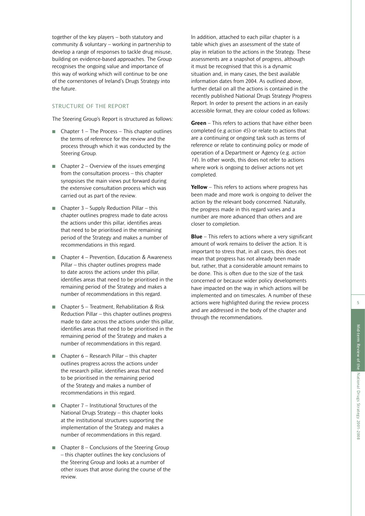together of the key players – both statutory and community & voluntary – working in partnership to develop a range of responses to tackle drug misuse, building on evidence-based approaches. The Group recognises the ongoing value and importance of this way of working which will continue to be one of the cornerstones of Ireland's Drugs Strategy into the future.

#### STRUCTURE OF THE REPORT

The Steering Group's Report is structured as follows:

- Chapter 1 The Process This chapter outlines the terms of reference for the review and the process through which it was conducted by the Steering Group.
- Chapter  $2 -$  Overview of the issues emerging from the consultation process – this chapter synopsises the main views put forward during the extensive consultation process which was carried out as part of the review.
- Chapter  $3 -$  Supply Reduction Pillar this chapter outlines progress made to date across the actions under this pillar, identifies areas that need to be prioritised in the remaining period of the Strategy and makes a number of recommendations in this regard.
- Chapter 4 Prevention, Education & Awareness Pillar – this chapter outlines progress made to date across the actions under this pillar, identifies areas that need to be prioritised in the remaining period of the Strategy and makes a number of recommendations in this regard.
- Chapter 5 Treatment, Rehabilitation & Risk Reduction Pillar – this chapter outlines progress made to date across the actions under this pillar, identifies areas that need to be prioritised in the remaining period of the Strategy and makes a number of recommendations in this regard.
- Chapter  $6 -$  Research Pillar this chapter outlines progress across the actions under the research pillar, identifies areas that need to be prioritised in the remaining period of the Strategy and makes a number of recommendations in this regard.
- Chapter  $7$  Institutional Structures of the National Drugs Strategy – this chapter looks at the institutional structures supporting the implementation of the Strategy and makes a number of recommendations in this regard.
- Chapter  $8 -$  Conclusions of the Steering Group – this chapter outlines the key conclusions of the Steering Group and looks at a number of other issues that arose during the course of the review.

In addition, attached to each pillar chapter is a table which gives an assessment of the state of play in relation to the actions in the Strategy. These assessments are a snapshot of progress, although it must be recognised that this is a dynamic situation and, in many cases, the best available information dates from 2004. As outlined above, further detail on all the actions is contained in the recently published National Drugs Strategy Progress Report. In order to present the actions in an easily accessible format, they are colour coded as follows:

**Green** – This refers to actions that have either been completed (e.g *action 45*) or relate to actions that are a continuing or ongoing task such as terms of reference or relate to continuing policy or mode of operation of a Department or Agency (e.g. *action 14*). In other words, this does not refer to actions where work is ongoing to deliver actions not yet completed.

**Yellow** – This refers to actions where progress has been made and more work is ongoing to deliver the action by the relevant body concerned. Naturally, the progress made in this regard varies and a number are more advanced than others and are closer to completion.

**Blue** – This refers to actions where a very significant amount of work remains to deliver the action. It is important to stress that, in all cases, this does not mean that progress has not already been made but, rather, that a considerable amount remains to be done. This is often due to the size of the task concerned or because wider policy developments have impacted on the way in which actions will be implemented and on timescales. A number of these actions were highlighted during the review process and are addressed in the body of the chapter and through the recommendations.

National Drugs Strategy 2001-2008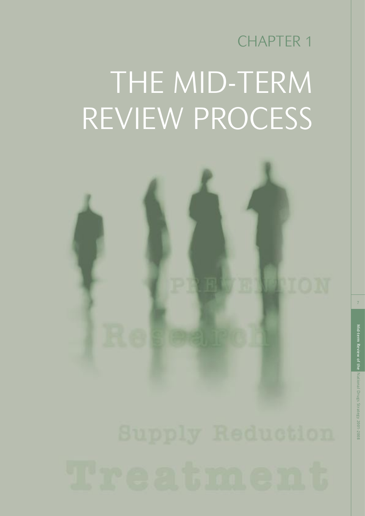## CHAPTER 1 THE MID-TERM REVIEW PROCESS

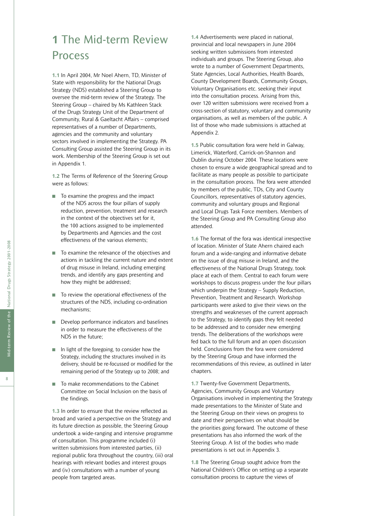## **1** The Mid-term Review Process

**1.1** In April 2004, Mr Noel Ahern, TD, Minister of State with responsibility for the National Drugs Strategy (NDS) established a Steering Group to oversee the mid-term review of the Strategy. The Steering Group – chaired by Ms Kathleen Stack of the Drugs Strategy Unit of the Department of Community, Rural & Gaeltacht Affairs – comprised representatives of a number of Departments, agencies and the community and voluntary sectors involved in implementing the Strategy. PA Consulting Group assisted the Steering Group in its work. Membership of the Steering Group is set out in Appendix 1.

**1.2** The Terms of Reference of the Steering Group were as follows:

- To examine the progress and the impact of the NDS across the four pillars of supply reduction, prevention, treatment and research in the context of the objectives set for it, the 100 actions assigned to be implemented by Departments and Agencies and the cost effectiveness of the various elements;
- To examine the relevance of the objectives and actions in tackling the current nature and extent of drug misuse in Ireland, including emerging trends, and identify any gaps presenting and how they might be addressed;
- To review the operational effectiveness of the structures of the NDS, including co-ordination mechanisms;
- Develop performance indicators and baselines in order to measure the effectiveness of the NDS in the future;
- In light of the foregoing, to consider how the Strategy, including the structures involved in its delivery, should be re-focussed or modified for the remaining period of the Strategy up to 2008; and
- To make recommendations to the Cabinet Committee on Social Inclusion on the basis of the findings.

**1.3** In order to ensure that the review reflected as broad and varied a perspective on the Strategy and its future direction as possible, the Steering Group undertook a wide-ranging and intensive programme of consultation. This programme included (i) written submissions from interested parties, (ii) regional public fora throughout the country, (iii) oral hearings with relevant bodies and interest groups and (iv) consultations with a number of young people from targeted areas.

**1.4** Advertisements were placed in national, provincial and local newspapers in June 2004 seeking written submissions from interested individuals and groups. The Steering Group, also wrote to a number of Government Departments, State Agencies, Local Authorities, Health Boards, County Development Boards, Community Groups, Voluntary Organisations etc. seeking their input into the consultation process. Arising from this, over 120 written submissions were received from a cross-section of statutory, voluntary and community organisations, as well as members of the public. A list of those who made submissions is attached at Appendix 2.

**1.5** Public consultation fora were held in Galway, Limerick, Waterford, Carrick-on-Shannon and Dublin during October 2004. These locations were chosen to ensure a wide geographical spread and to facilitate as many people as possible to participate in the consultation process. The fora were attended by members of the public, TDs, City and County Councillors, representatives of statutory agencies, community and voluntary groups and Regional and Local Drugs Task Force members. Members of the Steering Group and PA Consulting Group also attended.

**1.6** The format of the fora was identical irrespective of location. Minister of State Ahern chaired each forum and a wide-ranging and informative debate on the issue of drug misuse in Ireland, and the effectiveness of the National Drugs Strategy, took place at each of them. Central to each forum were workshops to discuss progress under the four pillars which underpin the Strategy – Supply Reduction, Prevention, Treatment and Research. Workshop participants were asked to give their views on the strengths and weaknesses of the current approach to the Strategy, to identify gaps they felt needed to be addressed and to consider new emerging trends. The deliberations of the workshops were fed back to the full forum and an open discussion held. Conclusions from the fora were considered by the Steering Group and have informed the recommendations of this review, as outlined in later chapters.

**1.7** Twenty-five Government Departments, Agencies, Community Groups and Voluntary Organisations involved in implementing the Strategy made presentations to the Minister of State and the Steering Group on their views on progress to date and their perspectives on what should be the priorities going forward. The outcome of these presentations has also informed the work of the Steering Group. A list of the bodies who made presentations is set out in Appendix 3.

**1.8** The Steering Group sought advice from the National Children's Office on setting up a separate consultation process to capture the views of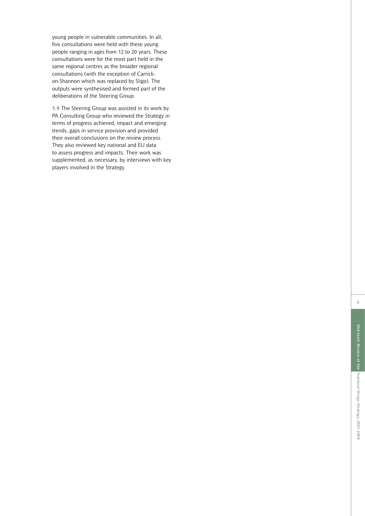young people in vulnerable communities. In all, five consultations were held with these young people ranging in ages from 12 to 20 years. These consultations were for the most part held in the same regional centres as the broader regional consultations (with the exception of Carrickon-Shannon which was replaced by Sligo). The outputs were synthesised and formed part of the deliberations of the Steering Group.

**1.9** The Steering Group was assisted in its work by PA Consulting Group who reviewed the Strategy in terms of progress achieved, impact and emerging trends, gaps in service provision and provided their overall conclusions on the review process. They also reviewed key national and EU data to assess progress and impacts. Their work was supplemented, as necessary, by interviews with key players involved in the Strategy.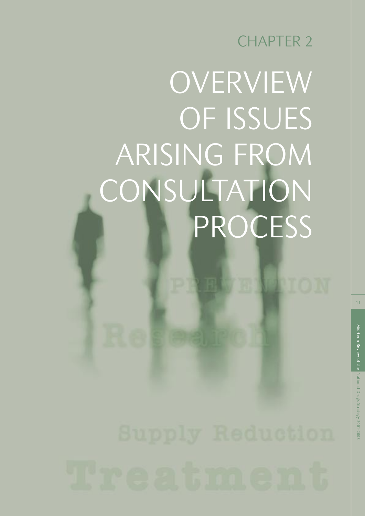## CHAPTER 2

## OVERVIEW OF ISSUES ARISING FROM **CONSULTATION** PROCESS

11

PION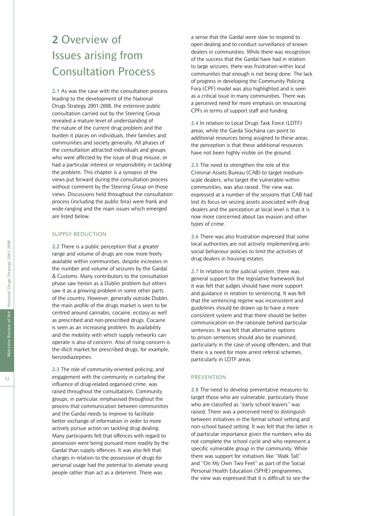## **2** Overview of Issues arising from Consultation Process

**2.1** As was the case with the consultation process leading to the development of the National Drugs Strategy 2001-2008, the extensive public consultation carried out by the Steering Group revealed a mature level of understanding of the nature of the current drug problem and the burden it places on individuals, their families and communities and society generally. All phases of the consultation attracted individuals and groups who were affected by the issue of drug misuse, or had a particular interest or responsibility in tackling the problem. This chapter is a synopsis of the views put forward during the consultation process without comment by the Steering Group on those views. Discussions held throughout the consultation process (including the public fora) were frank and wide-ranging and the main issues which emerged are listed below.

#### SUPPLY REDUCTION

**2.2** There is a public perception that a greater range and volume of drugs are now more freely available within communities, despite increases in the number and volume of seizures by the Gardaí & Customs. Many contributors to the consultation phase saw heroin as a Dublin problem but others saw it as a growing problem in some other parts of the country. However, generally outside Dublin, the main profile of the drugs market is seen to be centred around cannabis, cocaine, ecstasy as well as prescribed and non-prescribed drugs. Cocaine is seen as an increasing problem. Its availability and the mobility with which supply networks can operate is also of concern. Also of rising concern is the illicit market for prescribed drugs, for example, benzodiazepines.

**2.3** The role of community-oriented policing, and engagement with the community in curtailing the influence of drug-related organised crime, was raised throughout the consultations. Community groups, in particular, emphasised throughout the process that communication between communities and the Gardaí needs to improve to facilitate better exchange of information in order to more actively pursue action on tackling drug dealing. Many participants felt that offences with regard to possession were being pursued more readily by the Gardaí than supply offences. It was also felt that charges in relation to the possession of drugs for personal usage had the potential to alienate young people rather than act as a deterrent. There was

a sense that the Gardaí were slow to respond to open dealing and to conduct surveillance of known dealers in communities. While there was recognition of the success that the Gardaí have had in relation to large seizures, there was frustration within local communities that enough is not being done. The lack of progress in developing the Community Policing Fora (CPF) model was also highlighted and is seen as a critical issue in many communities. There was a perceived need for more emphasis on resourcing CPFs in terms of support staff and funding.

**2.4** In relation to Local Drugs Task Force (LDTF) areas, while the Garda Síochána can point to additional resources being assigned to these areas, the perception is that these additional resources have not been highly visible on the ground.

**2.5** The need to strengthen the role of the Criminal Assets Bureau (CAB) to target mediumscale dealers, who target the vulnerable within communities, was also raised. The view was expressed at a number of the sessions that CAB had lost its focus on seizing assets associated with drug dealers and the perception at local level is that it is now more concerned about tax evasion and other types of crime.

**2.6** There was also frustration expressed that some local authorities are not actively implementing antisocial behaviour policies to limit the activities of drug dealers in housing estates.

**2.7** In relation to the judicial system, there was general support for the legislative framework but it was felt that judges should have more support and guidance in relation to sentencing. It was felt that the sentencing regime was inconsistent and guidelines should be drawn up to have a more consistent system and that there should be better communication on the rationale behind particular sentences. It was felt that alternative options to prison sentences should also be examined, particularly in the case of young offenders, and that there is a need for more arrest referral schemes, particularly in LDTF areas.

#### PREVENTION

**2.8** The need to develop preventative measures to target those who are vulnerable, particularly those who are classified as "early school leavers" was raised. There was a perceived need to distinguish between initiatives in the formal school setting and non-school based setting. It was felt that the latter is of particular importance given the numbers who do not complete the school cycle and who represent a specific vulnerable group in the community. While there was support for initiatives like "Walk Tall" and "On My Own Two Feet" as part of the Social Personal Health Education (SPHE) programmes, the view was expressed that it is difficult to see the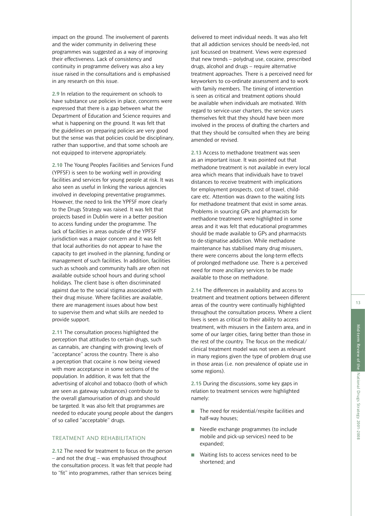impact on the ground. The involvement of parents and the wider community in delivering these programmes was suggested as a way of improving their effectiveness. Lack of consistency and continuity in programme delivery was also a key issue raised in the consultations and is emphasised in any research on this issue.

**2.9** In relation to the requirement on schools to have substance use policies in place, concerns were expressed that there is a gap between what the Department of Education and Science requires and what is happening on the ground. It was felt that the guidelines on preparing policies are very good but the sense was that policies could be disciplinary, rather than supportive, and that some schools are not equipped to intervene appropriately.

**2.10** The Young Peoples Facilities and Services Fund (YPFSF) is seen to be working well in providing facilities and services for young people at risk. It was also seen as useful in linking the various agencies involved in developing preventative programmes. However, the need to link the YPFSF more clearly to the Drugs Strategy was raised. It was felt that projects based in Dublin were in a better position to access funding under the programme. The lack of facilities in areas outside of the YPFSF jurisdiction was a major concern and it was felt that local authorities do not appear to have the capacity to get involved in the planning, funding or management of such facilities. In addition, facilities such as schools and community halls are often not available outside school hours and during school holidays. The client base is often discriminated against due to the social stigma associated with their drug misuse. Where facilities are available, there are management issues about how best to supervise them and what skills are needed to provide support.

**2.11** The consultation process highlighted the perception that attitudes to certain drugs, such as cannabis, are changing with growing levels of "acceptance" across the country. There is also a perception that cocaine is now being viewed with more acceptance in some sections of the population. In addition, it was felt that the advertising of alcohol and tobacco (both of which are seen as gateway substances) contribute to the overall glamourisation of drugs and should be targeted. It was also felt that programmes are needed to educate young people about the dangers of so called "acceptable" drugs.

#### TREATMENT AND REHABILITATION

**2.12** The need for treatment to focus on the person – and not the drug – was emphasised throughout the consultation process. It was felt that people had to "fit" into programmes, rather than services being

delivered to meet individual needs. It was also felt that all addiction services should be needs-led, not just focussed on treatment. Views were expressed that new trends – polydrug use, cocaine, prescribed drugs, alcohol and drugs – require alternative treatment approaches. There is a perceived need for keyworkers to co-ordinate assessment and to work with family members. The timing of intervention is seen as critical and treatment options should be available when individuals are motivated. With regard to service-user charters, the service users themselves felt that they should have been more involved in the process of drafting the charters and that they should be consulted when they are being amended or revised.

**2.13** Access to methadone treatment was seen as an important issue. It was pointed out that methadone treatment is not available in every local area which means that individuals have to travel distances to receive treatment with implications for employment prospects, cost of travel, childcare etc. Attention was drawn to the waiting lists for methadone treatment that exist in some areas. Problems in sourcing GPs and pharmacists for methadone treatment were highlighted in some areas and it was felt that educational programmes should be made available to GPs and pharmacists to de-stigmatise addiction. While methadone maintenance has stabilised many drug misusers, there were concerns about the long-term effects of prolonged methadone use. There is a perceived need for more ancillary services to be made available to those on methadone.

**2.14** The differences in availability and access to treatment and treatment options between different areas of the country were continually highlighted throughout the consultation process. Where a client lives is seen as critical to their ability to access treatment, with misusers in the Eastern area, and in some of our larger cities, faring better than those in the rest of the country. The focus on the medical/ clinical treatment model was not seen as relevant in many regions given the type of problem drug use in those areas (i.e. non prevalence of opiate use in some regions).

**2.15** During the discussions, some key gaps in relation to treatment services were highlighted namely:

- The need for residential/respite facilities and half-way houses;
- Needle exchange programmes (to include mobile and pick-up services) need to be expanded;
- Waiting lists to access services need to be shortened; and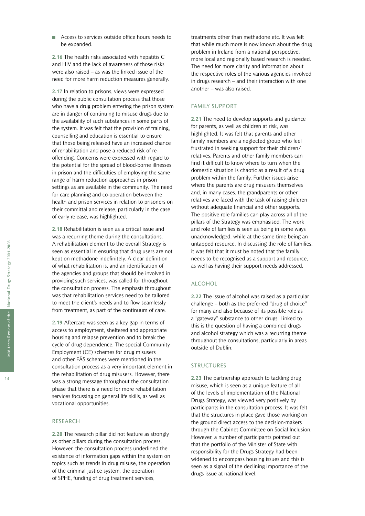■ Access to services outside office hours needs to be expanded.

**2.16** The health risks associated with hepatitis C and HIV and the lack of awareness of those risks were also raised – as was the linked issue of the need for more harm reduction measures generally.

**2.17** In relation to prisons, views were expressed during the public consultation process that those who have a drug problem entering the prison system are in danger of continuing to misuse drugs due to the availability of such substances in some parts of the system. It was felt that the provision of training, counselling and education is essential to ensure that those being released have an increased chance of rehabilitation and pose a reduced risk of reoffending. Concerns were expressed with regard to the potential for the spread of blood-borne illnesses in prison and the difficulties of employing the same range of harm reduction approaches in prison settings as are available in the community. The need for care planning and co-operation between the health and prison services in relation to prisoners on their committal and release, particularly in the case of early release, was highlighted.

**2.18** Rehabilitation is seen as a critical issue and was a recurring theme during the consultations. A rehabilitation element to the overall Strategy is seen as essential in ensuring that drug users are not kept on methadone indefinitely. A clear definition of what rehabilitation is, and an identification of the agencies and groups that should be involved in providing such services, was called for throughout the consultation process. The emphasis throughout was that rehabilitation services need to be tailored to meet the client's needs and to flow seamlessly from treatment, as part of the continuum of care.

**2.19** Aftercare was seen as a key gap in terms of access to employment, sheltered and appropriate housing and relapse prevention and to break the cycle of drug dependence. The special Community Employment (CE) schemes for drug misusers and other FÁS schemes were mentioned in the consultation process as a very important element in the rehabilitation of drug misusers. However, there was a strong message throughout the consultation phase that there is a need for more rehabilitation services focussing on general life skills, as well as vocational opportunities.

#### RESEARCH

**2.20** The research pillar did not feature as strongly as other pillars during the consultation process. However, the consultation process underlined the existence of information gaps within the system on topics such as trends in drug misuse, the operation of the criminal justice system, the operation of SPHE, funding of drug treatment services,

treatments other than methadone etc. It was felt that while much more is now known about the drug problem in Ireland from a national perspective, more local and regionally based research is needed. The need for more clarity and information about the respective roles of the various agencies involved in drugs research – and their interaction with one another – was also raised.

#### FAMILY SUPPORT

**2.21** The need to develop supports and guidance for parents, as well as children at risk, was highlighted. It was felt that parents and other family members are a neglected group who feel frustrated in seeking support for their children/ relatives. Parents and other family members can find it difficult to know where to turn when the domestic situation is chaotic as a result of a drug problem within the family. Further issues arise where the parents are drug misusers themselves and, in many cases, the grandparents or other relatives are faced with the task of raising children without adequate financial and other supports. The positive role families can play across all of the pillars of the Strategy was emphasised. The work and role of families is seen as being in some ways unacknowledged, while at the same time being an untapped resource. In discussing the role of families, it was felt that it must be noted that the family needs to be recognised as a support and resource, as well as having their support needs addressed.

#### ALCOHOL

**2.22** The issue of alcohol was raised as a particular challenge – both as the preferred "drug of choice" for many and also because of its possible role as a "gateway" substance to other drugs. Linked to this is the question of having a combined drugs and alcohol strategy which was a recurring theme throughout the consultations, particularly in areas outside of Dublin.

#### STRUCTURES

**2.23** The partnership approach to tackling drug misuse, which is seen as a unique feature of all of the levels of implementation of the National Drugs Strategy, was viewed very positively by participants in the consultation process. It was felt that the structures in place gave those working on the ground direct access to the decision-makers through the Cabinet Committee on Social Inclusion. However, a number of participants pointed out that the portfolio of the Minister of State with responsibility for the Drugs Strategy had been widened to encompass housing issues and this is seen as a signal of the declining importance of the drugs issue at national level.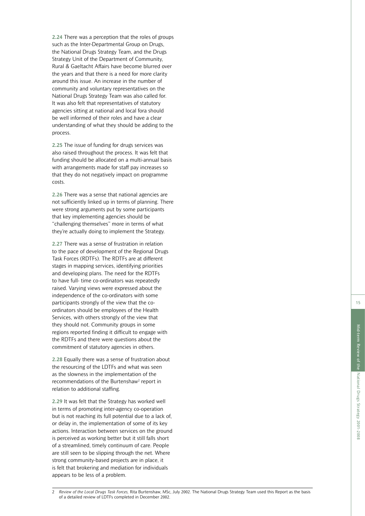**2.24** There was a perception that the roles of groups such as the Inter-Departmental Group on Drugs, the National Drugs Strategy Team, and the Drugs Strategy Unit of the Department of Community, Rural & Gaeltacht Affairs have become blurred over the years and that there is a need for more clarity around this issue. An increase in the number of community and voluntary representatives on the National Drugs Strategy Team was also called for. It was also felt that representatives of statutory agencies sitting at national and local fora should be well informed of their roles and have a clear understanding of what they should be adding to the process.

**2.25** The issue of funding for drugs services was also raised throughout the process. It was felt that funding should be allocated on a multi-annual basis with arrangements made for staff pay increases so that they do not negatively impact on programme costs.

**2.26** There was a sense that national agencies are not sufficiently linked up in terms of planning. There were strong arguments put by some participants that key implementing agencies should be "challenging themselves" more in terms of what they're actually doing to implement the Strategy.

**2.27** There was a sense of frustration in relation to the pace of development of the Regional Drugs Task Forces (RDTFs). The RDTFs are at different stages in mapping services, identifying priorities and developing plans. The need for the RDTFs to have full- time co-ordinators was repeatedly raised. Varying views were expressed about the independence of the co-ordinators with some participants strongly of the view that the coordinators should be employees of the Health Services, with others strongly of the view that they should not. Community groups in some regions reported finding it difficult to engage with the RDTFs and there were questions about the commitment of statutory agencies in others.

**2.28** Equally there was a sense of frustration about the resourcing of the LDTFs and what was seen as the slowness in the implementation of the recommendations of the Burtenshaw<sup>2</sup> report in relation to additional staffing.

**2.29** It was felt that the Strategy has worked well in terms of promoting inter-agency co-operation but is not reaching its full potential due to a lack of, or delay in, the implementation of some of its key actions. Interaction between services on the ground is perceived as working better but it still falls short of a streamlined, timely continuum of care. People are still seen to be slipping through the net. Where strong community-based projects are in place, it is felt that brokering and mediation for individuals appears to be less of a problem.

2 *Review of the Local Drugs Task Forces,* Rita Burtenshaw, MSc, July 2002. The National Drugs Strategy Team used this Report as the basis of a detailed review of LDTFs completed in December 2002.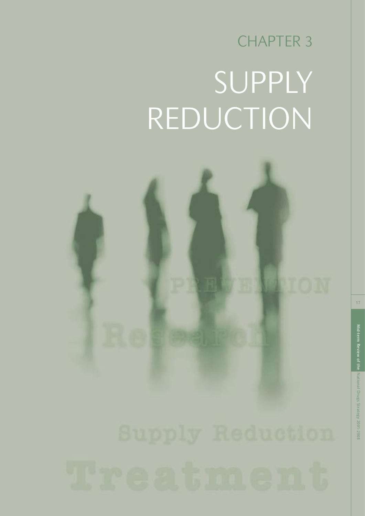## CHAPTER 3 SUPPLY REDUCTION

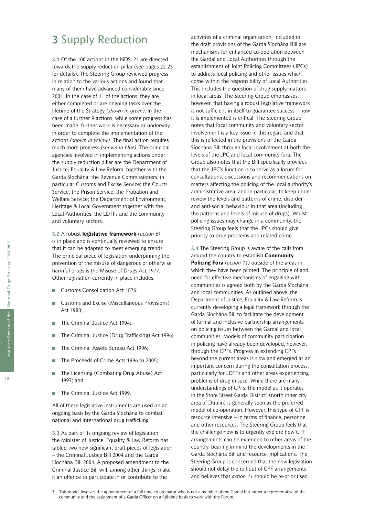### **3** Supply Reduction

**3.1** Of the 100 actions in the NDS, 21 are directed towards the supply reduction pillar (see pages 22-23 for details). The Steering Group reviewed progress in relation to the various actions and found that many of them have advanced considerably since 2001. In the case of 11 of the actions, they are either completed or are ongoing tasks over the lifetime of the Strategy *(shown in green)*. In the case of a further 9 actions, while some progress has been made, further work is necessary or underway in order to complete the implementation of the actions *(shown in yellow).* The final action requires much more progress *(shown in blue)*. The principal agencies involved in implementing actions under the supply reduction pillar are the Department of Justice, Equality & Law Reform, together with the Garda Síochána; the Revenue Commissioners, in particular Customs and Excise Service; the Courts Service; the Prison Service; the Probation and Welfare Service; the Department of Environment, Heritage & Local Government together with the Local Authorities; the LDTFs and the community and voluntary sectors.

**3.2** A robust **legislative framework** *(action 6)* is in place and is continually reviewed to ensure that it can be adapted to meet emerging trends. The principal piece of legislation underpinning the prevention of the misuse of dangerous or otherwise harmful drugs is the Misuse of Drugs Act 1977. Other legislation currently in place includes:

- Customs Consolidation Act 1876:
- Customs and Excise (Miscellaneous Provisions) Act 1988;
- The Criminal Justice Act 1994;
- The Criminal Justice (Drug Trafficking) Act 1996;
- The Criminal Assets Bureau Act 1996;
- The Proceeds of Crime Acts 1996 to 2005;
- The Licensing (Combating Drug Abuse) Act 1997; and
- The Criminal Justice Act 1999.

All of these legislative instruments are used on an ongoing basis by the Garda Síochána to combat national and international drug trafficking.

**3.3** As part of its ongoing review of legislation, the Minister of Justice, Equality & Law Reform has tabled two new significant draft pieces of legislation – the Criminal Justice Bill 2004 and the Garda Síochána Bill 2004. A proposed amendment to the Criminal Justice Bill will, among other things, make it an offence to participate in or contribute to the

activities of a criminal organisation. Included in the draft provisions of the Garda Síochána Bill are mechanisms for enhanced co-operation between the Gardaí and Local Authorities through the establishment of Joint Policing Committees (JPCs) to address local policing and other issues which come within the responsibility of Local Authorities. This includes the question of drug supply matters in local areas. The Steering Group emphasises, however, that having a robust legislative framework is not sufficient in itself to guarantee success – how it is implemented is critical. The Steering Group notes that local community and voluntary sector involvement is a key issue in this regard and that this is reflected in the provisions of the Garda Síochána Bill through local involvement at both the levels of the JPC and local community fora. The Group also notes that the Bill specifically provides that the JPC's function is to serve as a forum for consultations, discussions and recommendations on matters affecting the policing of the local authority's administrative area, and in particular, to keep under review the levels and patterns of crime, disorder and anti-social behaviour in that area (including the patterns and levels of misuse of drugs). Whilst policing issues may change in a community, the Steering Group feels that the JPCs should give priority to drug problems and related crime.

**3.4** The Steering Group is aware of the calls from around the country to establish **Community Policing Fora** *(action 11)* outside of the areas in which they have been piloted. The principle of and need for effective mechanisms of engaging with communities is agreed both by the Garda Síochána and local communities. As outlined above, the Department of Justice, Equality & Law Reform is currently developing a legal framework through the Garda Síochána Bill to facilitate the development of formal and inclusive partnership arrangements on policing issues between the Gardaí and local communities. Models of community participation in policing have already been developed, however, through the CPFs. Progress in extending CPFs beyond the current areas is slow and emerged as an important concern during the consultation process, particularly for LDTFs and other areas experiencing problems of drug misuse. While there are many understandings of CPFs, the model as it operates in the Store Street Garda District<sup>3</sup> (north inner city area of Dublin) is generally seen as the preferred model of co-operation. However, this type of CPF is resource intensive – in terms of finance, personnel and other resources. The Steering Group feels that the challenge now is to urgently explore how CPF arrangements can be extended to other areas of the country, bearing in mind the developments in the Garda Síochána Bill and resource implications. The Steering Group is concerned that the new legislation should not delay the roll-out of CPF arrangements and believes that *action 11* should be re-prioritised.

This model involves the appointment of a full time co-ordinator who is not a member of the Gardaí but rather a representative of the community and the assignment of a Garda Officer on a full-time basis to work with the Forum.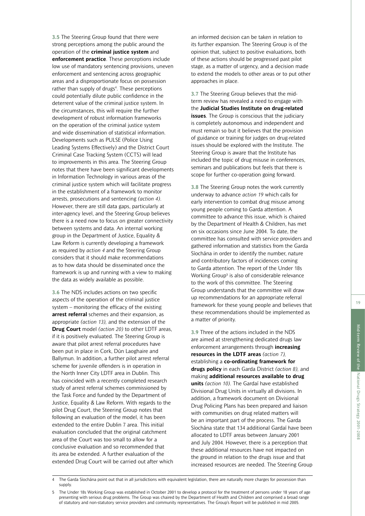**3.5** The Steering Group found that there were strong perceptions among the public around the operation of the **criminal justice system** and **enforcement practice**. These perceptions include low use of mandatory sentencing provisions, uneven enforcement and sentencing across geographic areas and a disproportionate focus on possession rather than supply of drugs<sup>4</sup>. These perceptions could potentially dilute public confidence in the deterrent value of the criminal justice system. In the circumstances, this will require the further development of robust information frameworks on the operation of the criminal justice system and wide dissemination of statistical information. Developments such as PULSE (Police Using Leading Systems Effectively) and the District Court Criminal Case Tracking System (CCTS) will lead to improvements in this area. The Steering Group notes that there have been significant developments in Information Technology in various areas of the criminal justice system which will facilitate progress in the establishment of a framework to monitor arrests, prosecutions and sentencing *(action 4)*. However, there are still data gaps, particularly at inter-agency level, and the Steering Group believes there is a need now to focus on greater connectivity between systems and data. An internal working group in the Department of Justice, Equality & Law Reform is currently developing a framework as required by *action 4* and the Steering Group considers that it should make recommendations as to how data should be disseminated once the framework is up and running with a view to making the data as widely available as possible.

**3.6** The NDS includes actions on two specific aspects of the operation of the criminal justice system – monitoring the efficacy of the existing **arrest referral** schemes and their expansion, as appropriate *(action 13),* and the extension of the **Drug Court** model *(action 20)* to other LDTF areas, if it is positively evaluated. The Steering Group is aware that pilot arrest referral procedures have been put in place in Cork, Dún Laoghaire and Ballymun. In addition, a further pilot arrest referral scheme for juvenile offenders is in operation in the North Inner City LDTF area in Dublin. This has coincided with a recently completed research study of arrest referral schemes commissioned by the Task Force and funded by the Department of Justice, Equality & Law Reform. With regards to the pilot Drug Court, the Steering Group notes that following an evaluation of the model, it has been extended to the entire Dublin 7 area. This initial evaluation concluded that the original catchment area of the Court was too small to allow for a conclusive evaluation and so recommended that its area be extended. A further evaluation of the extended Drug Court will be carried out after which an informed decision can be taken in relation to its further expansion. The Steering Group is of the opinion that, subject to positive evaluations, both of these actions should be progressed past pilot stage, as a matter of urgency, and a decision made to extend the models to other areas or to put other approaches in place.

**3.7** The Steering Group believes that the midterm review has revealed a need to engage with the **Judicial Studies Institute on drug-related issues**. The Group is conscious that the judiciary is completely autonomous and independent and must remain so but it believes that the provision of guidance or training for judges on drug-related issues should be explored with the Institute. The Steering Group is aware that the Institute has included the topic of drug misuse in conferences, seminars and publications but feels that there is scope for further co-operation going forward.

**3.8** The Steering Group notes the work currently underway to advance *action 19* which calls for early intervention to combat drug misuse among young people coming to Garda attention. A committee to advance this issue, which is chaired by the Department of Health & Children, has met on six occasions since June 2004. To date, the committee has consulted with service providers and gathered information and statistics from the Garda Síochána in order to identify the number, nature and contributory factors of incidences coming to Garda attention. The report of the Under 18s Working Group<sup>5</sup> is also of considerable relevance to the work of this committee. The Steering Group understands that the committee will draw up recommendations for an appropriate referral framework for these young people and believes that these recommendations should be implemented as a matter of priority.

**3.9** Three of the actions included in the NDS are aimed at strengthening dedicated drugs law enforcement arrangements through **increasing resources in the LDTF areas** *(action 7),* establishing a **co-ordinating framework for drugs policy** in each Garda District *(action 8),* and making **additional resources available to drug units** *(action 10)*. The Gardaí have established Divisional Drug Units in virtually all divisions. In addition, a framework document on Divisional Drug Policing Plans has been prepared and liaison with communities on drug related matters will be an important part of the process. The Garda Síochána state that 134 additional Gardaí have been allocated to LDTF areas between January 2001 and July 2004. However, there is a perception that these additional resources have not impacted on the ground in relation to the drugs issue and that increased resources are needed. The Steering Group

The Garda Síochána point out that in all jurisdictions with equivalent legislation, there are naturally more charges for possession than supply.

<sup>5</sup> The Under 18s Working Group was established in October 2001 to develop a protocol for the treatment of persons under 18 years of age presenting with serious drug problems. The Group was chaired by the Department of Health and Children and comprised a broad range of statutory and non-statutory service providers and community representatives. The Group's Report will be published in mid 2005.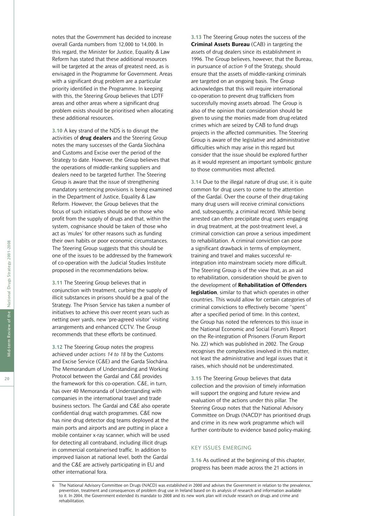notes that the Government has decided to increase overall Garda numbers from 12,000 to 14,000. In this regard, the Minister for Justice, Equality & Law Reform has stated that these additional resources will be targeted at the areas of greatest need, as is envisaged in the Programme for Government. Areas with a significant drug problem are a particular priority identified in the Programme. In keeping with this, the Steering Group believes that LDTF areas and other areas where a significant drug problem exists should be prioritised when allocating these additional resources.

**3.10** A key strand of the NDS is to disrupt the activities of **drug dealers** and the Steering Group notes the many successes of the Garda Síochána and Customs and Excise over the period of the Strategy to date. However, the Group believes that the operations of middle-ranking suppliers and dealers need to be targeted further. The Steering Group is aware that the issue of strengthening mandatory sentencing provisions is being examined in the Department of Justice, Equality & Law Reform. However, the Group believes that the focus of such initiatives should be on those who profit from the supply of drugs and that, within the system, cognisance should be taken of those who act as 'mules' for other reasons such as funding their own habits or poor economic circumstances. The Steering Group suggests that this should be one of the issues to be addressed by the framework of co-operation with the Judicial Studies Institute proposed in the recommendations below.

**3.11** The Steering Group believes that in conjunction with treatment, curbing the supply of illicit substances in prisons should be a goal of the Strategy. The Prison Service has taken a number of initiatives to achieve this over recent years such as netting over yards, new 'pre-agreed visitor' visiting arrangements and enhanced CCTV. The Group recommends that these efforts be continued.

**3.12** The Steering Group notes the progress achieved under *actions 14 to 18* by the Customs and Excise Service (C&E) and the Garda Síochána. The Memorandum of Understanding and Working Protocol between the Gardaí and C&E provides the framework for this co-operation. C&E, in turn, has over 40 Memoranda of Understanding with companies in the international travel and trade business sectors. The Gardaí and C&E also operate confidential drug watch programmes. C&E now has nine drug detector dog teams deployed at the main ports and airports and are putting in place a mobile container x-ray scanner, which will be used for detecting all contraband, including illicit drugs in commercial containerised traffic. In addition to improved liaison at national level, both the Gardaí and the C&E are actively participating in EU and other international fora.

**3.13** The Steering Group notes the success of the **Criminal Assets Bureau** (CAB) in targeting the assets of drug dealers since its establishment in 1996. The Group believes, however, that the Bureau, in pursuance of *action 9* of the Strategy, should ensure that the assets of middle-ranking criminals are targeted on an ongoing basis. The Group acknowledges that this will require international co-operation to prevent drug traffickers from successfully moving assets abroad. The Group is also of the opinion that consideration should be given to using the monies made from drug-related crimes which are seized by CAB to fund drugs projects in the affected communities. The Steering Group is aware of the legislative and administrative difficulties which may arise in this regard but consider that the issue should be explored further as it would represent an important symbolic gesture to those communities most affected.

**3.14** Due to the illegal nature of drug use, it is quite common for drug users to come to the attention of the Gardaí. Over the course of their drug-taking many drug users will receive criminal convictions and, subsequently, a criminal record. While being arrested can often precipitate drug users engaging in drug treatment, at the post-treatment level, a criminal conviction can prove a serious impediment to rehabilitation. A criminal conviction can pose a significant drawback in terms of employment, training and travel and makes successful reintegration into mainstream society more difficult. The Steering Group is of the view that, as an aid to rehabilitation, consideration should be given to the development of **Rehabilitation of Offenders legislation**, similar to that which operates in other countries. This would allow for certain categories of criminal convictions to effectively become "spent" after a specified period of time. In this context, the Group has noted the references to this issue in the National Economic and Social Forum's Report on the Re-integration of Prisoners (Forum Report No. 22) which was published in 2002. The Group recognises the complexities involved in this matter, not least the administrative and legal issues that it raises, which should not be underestimated.

**3.15** The Steering Group believes that data collection and the provision of timely information will support the ongoing and future review and evaluation of the actions under this pillar. The Steering Group notes that the National Advisory Committee on Drugs (NACD)<sup>6</sup> has prioritised drugs and crime in its new work programme which will further contribute to evidence based policy-making.

#### KEY ISSUES EMERGING

**3.16** As outlined at the beginning of this chapter, progress has been made across the 21 actions in

The National Advisory Committee on Drugs (NACD) was established in 2000 and advises the Government in relation to the prevalence, prevention, treatment and consequences of problem drug use in Ireland based on its analysis of research and information available to it. In 2004, the Government extended its mandate to 2008 and its new work plan will include research on drugs and crime and rehabilitation.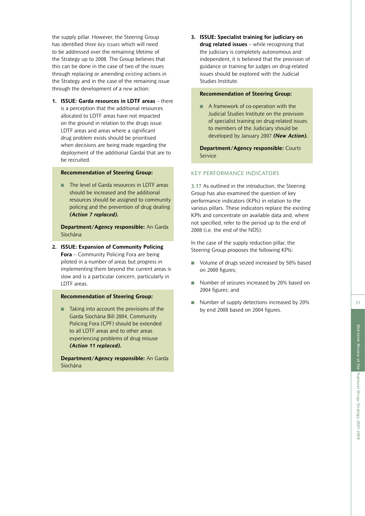the supply pillar. However, the Steering Group has identified *three key issues* which will need to be addressed over the remaining lifetime of the Strategy up to 2008. The Group believes that this can be done in the case of two of the issues through replacing or amending *existing* actions in the Strategy and in the case of the remaining issue through the development of a *new* action:

**1. ISSUE: Garda resources in LDTF areas** – there is a perception that the additional resources allocated to LDTF areas have not impacted on the ground in relation to the drugs issue. LDTF areas and areas where a significant drug problem exists should be prioritised when decisions are being made regarding the deployment of the additional Gardaí that are to be recruited.

#### **Recommendation of Steering Group:**

■ The level of Garda resources in LDTF areas should be increased and the additional resources should be assigned to community policing and the prevention of drug dealing *(Action 7 replaced).*

 **Department/Agency responsible:** An Garda Síochána

**2. ISSUE: Expansion of Community Policing Fora** – Community Policing Fora are being piloted in a number of areas but progress in implementing them beyond the current areas is slow and is a particular concern, particularly in LDTF areas.

#### **Recommendation of Steering Group:**

■ Taking into account the provisions of the Garda Síochána Bill 2004, Community Policing Fora (CPF) should be extended to all LDTF areas and to other areas experiencing problems of drug misuse *(Action 11 replaced).*

 **Department/Agency responsible:** An Garda Síochána

**3. ISSUE: Specialist training for judiciary on drug related issues** – while recognising that the judiciary is completely autonomous and independent, it is believed that the provision of guidance or training for judges on drug-related issues should be explored with the Judicial Studies Institute.

#### **Recommendation of Steering Group:**

■ A framework of co-operation with the Judicial Studies Institute on the provision of specialist training on drug-related issues to members of the Judiciary should be developed by January 2007 *(New Action).*

 **Department/Agency responsible:** Courts Service

#### KEY PERFORMANCE INDICATORS

**3.17** As outlined in the introduction, the Steering Group has also examined the question of key performance indicators (KPIs) in relation to the various pillars. These indicators replace the existing KPIs and concentrate on available data and, where not specified, refer to the period up to the end of 2008 (i.e. the end of the NDS).

In the case of the supply reduction pillar, the Steering Group proposes the following KPIs:

- Volume of drugs seized increased by 50% based on 2000 figures;
- Number of seizures increased by 20% based on 2004 figures; and
- Number of supply detections increased by 20% by end 2008 based on 2004 figures.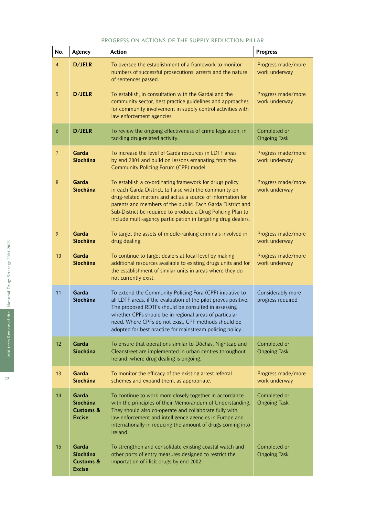| PROGRESS ON ACTIONS OF THE SUPPLY REDUCTION PILLAR |                                                            |                                                                                                                                                                                                                                                                                                                                                                                 |                                        |
|----------------------------------------------------|------------------------------------------------------------|---------------------------------------------------------------------------------------------------------------------------------------------------------------------------------------------------------------------------------------------------------------------------------------------------------------------------------------------------------------------------------|----------------------------------------|
| No.                                                | Agency                                                     | <b>Action</b>                                                                                                                                                                                                                                                                                                                                                                   | <b>Progress</b>                        |
| $\overline{4}$                                     | D/JELR                                                     | To oversee the establishment of a framework to monitor<br>numbers of successful prosecutions, arrests and the nature<br>of sentences passed.                                                                                                                                                                                                                                    | Progress made/more<br>work underway    |
| $\overline{5}$                                     | D/JELR                                                     | To establish, in consultation with the Gardai and the<br>community sector, best practice guidelines and approaches<br>for community involvement in supply control activities with<br>law enforcement agencies.                                                                                                                                                                  | Progress made/more<br>work underway    |
| $\boldsymbol{6}$                                   | D/JELR                                                     | To review the ongoing effectiveness of crime legislation, in<br>tackling drug-related activity.                                                                                                                                                                                                                                                                                 | Completed or<br><b>Ongoing Task</b>    |
| $\overline{7}$                                     | Garda<br>Síochána                                          | To increase the level of Garda resources in LDTF areas<br>by end 2001 and build on lessons emanating from the<br>Community Policing Forum (CPF) model.                                                                                                                                                                                                                          | Progress made/more<br>work underway    |
| $\, 8$                                             | Garda<br>Síochána                                          | To establish a co-ordinating framework for drugs policy<br>in each Garda District, to liaise with the community on<br>drug-related matters and act as a source of information for<br>parents and members of the public. Each Garda District and<br>Sub-District be required to produce a Drug Policing Plan to<br>include multi-agency participation in targeting drug dealers. | Progress made/more<br>work underway    |
| 9                                                  | Garda<br>Síochána                                          | To target the assets of middle-ranking criminals involved in<br>drug dealing.                                                                                                                                                                                                                                                                                                   | Progress made/more<br>work underway    |
| 10                                                 | Garda<br>Síochána                                          | To continue to target dealers at local level by making<br>additional resources available to existing drugs units and for<br>the establishment of similar units in areas where they do<br>not currently exist.                                                                                                                                                                   | Progress made/more<br>work underway    |
| 11                                                 | Garda<br>Síochána                                          | To extend the Community Policing Fora (CPF) initiative to<br>all LDTF areas, if the evaluation of the pilot proves positive.<br>The proposed RDTFs should be consulted in assessing<br>whether CPFs should be in regional areas of particular<br>need. Where CPFs do not exist, CPF methods should be<br>adopted for best practice for mainstream policing policy.              | Considerably more<br>progress required |
| 12                                                 | Garda<br>Síochána                                          | To ensure that operations similar to Dóchas, Nightcap and<br>Cleanstreet are implemented in urban centres throughout<br>Ireland, where drug dealing is ongoing.                                                                                                                                                                                                                 | Completed or<br><b>Ongoing Task</b>    |
| 13                                                 | Garda<br>Síochána                                          | To monitor the efficacy of the existing arrest referral<br>schemes and expand them, as appropriate.                                                                                                                                                                                                                                                                             | Progress made/more<br>work underway    |
| 14                                                 | Garda<br>Síochána<br><b>Customs &amp;</b><br><b>Excise</b> | To continue to work more closely together in accordance<br>with the principles of their Memorandum of Understanding.<br>They should also co-operate and collaborate fully with<br>law enforcement and intelligence agencies in Europe and<br>internationally in reducing the amount of drugs coming into<br>Ireland.                                                            | Completed or<br><b>Ongoing Task</b>    |
| 15                                                 | Garda<br>Síochána<br><b>Customs &amp;</b><br><b>Excise</b> | To strengthen and consolidate existing coastal watch and<br>other ports of entry measures designed to restrict the<br>importation of illicit drugs by end 2002.                                                                                                                                                                                                                 | Completed or<br><b>Ongoing Task</b>    |

#### PROGRESS ON ACTIONS OF THE SUPPLY REDUCTION PILLAR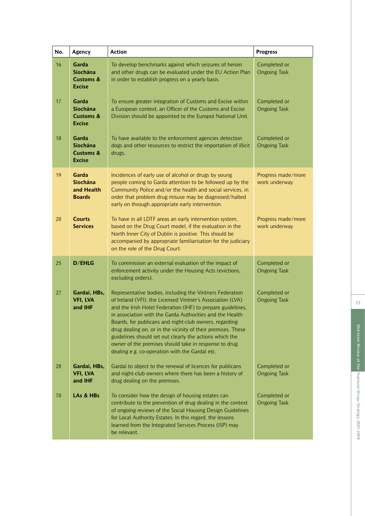| No. | Agency                                                     | <b>Action</b>                                                                                                                                                                                                                                                                                                                                                                                                                                                                                                                                     | <b>Progress</b>                     |
|-----|------------------------------------------------------------|---------------------------------------------------------------------------------------------------------------------------------------------------------------------------------------------------------------------------------------------------------------------------------------------------------------------------------------------------------------------------------------------------------------------------------------------------------------------------------------------------------------------------------------------------|-------------------------------------|
| 16  | Garda<br>Síochána<br><b>Customs &amp;</b><br><b>Excise</b> | To develop benchmarks against which seizures of heroin<br>and other drugs can be evaluated under the EU Action Plan<br>in order to establish progress on a yearly basis.                                                                                                                                                                                                                                                                                                                                                                          | Completed or<br><b>Ongoing Task</b> |
| 17  | Garda<br>Síochána<br><b>Customs &amp;</b><br><b>Excise</b> | To ensure greater integration of Customs and Excise within<br>a European context, an Officer of the Customs and Excise<br>Division should be appointed to the Europol National Unit.                                                                                                                                                                                                                                                                                                                                                              | Completed or<br><b>Ongoing Task</b> |
| 18  | Garda<br>Síochána<br><b>Customs &amp;</b><br><b>Excise</b> | To have available to the enforcement agencies detection<br>dogs and other resources to restrict the importation of illicit<br>drugs.                                                                                                                                                                                                                                                                                                                                                                                                              | Completed or<br><b>Ongoing Task</b> |
| 19  | Garda<br>Síochána<br>and Health<br><b>Boards</b>           | Incidences of early use of alcohol or drugs by young<br>people coming to Garda attention to be followed up by the<br>Community Police and/or the health and social services, in<br>order that problem drug misuse may be diagnosed/halted<br>early on through appropriate early intervention.                                                                                                                                                                                                                                                     | Progress made/more<br>work underway |
| 20  | <b>Courts</b><br><b>Services</b>                           | To have in all LDTF areas an early intervention system,<br>based on the Drug Court model, if the evaluation in the<br>North Inner City of Dublin is positive. This should be<br>accompanied by appropriate familiarisation for the judiciary<br>on the role of the Drug Court.                                                                                                                                                                                                                                                                    | Progress made/more<br>work underway |
| 25  | <b>D/EHLG</b>                                              | To commission an external evaluation of the impact of<br>enforcement activity under the Housing Acts (evictions,<br>excluding orders).                                                                                                                                                                                                                                                                                                                                                                                                            | Completed or<br><b>Ongoing Task</b> |
| 27  | Gardaí, HBs,<br>VFI, LVA<br>and IHF                        | Representative bodies, including the Vintners Federation<br>of Ireland (VFI), the Licensed Vintner's Association (LVA)<br>and the Irish Hotel Federation (IHF) to prepare guidelines,<br>in association with the Garda Authorities and the Health<br>Boards, for publicans and night-club owners, regarding<br>drug dealing on, or in the vicinity of their premises. These<br>guidelines should set out clearly the actions which the<br>owner of the premises should take in response to drug<br>dealing e.g. co-operation with the Gardaí etc. | Completed or<br><b>Ongoing Task</b> |
| 28  | Gardaí, HBs,<br>VFI, LVA<br>and IHF                        | Gardaí to object to the renewal of licences for publicans<br>and night-club owners where there has been a history of<br>drug dealing on the premises.                                                                                                                                                                                                                                                                                                                                                                                             | Completed or<br><b>Ongoing Task</b> |
| 70  | LAs & HBs                                                  | To consider how the design of housing estates can<br>contribute to the prevention of drug dealing in the context<br>of ongoing reviews of the Social Housing Design Guidelines<br>for Local Authority Estates. In this regard, the lessons<br>learned from the Integrated Services Process (ISP) may<br>be relevant.                                                                                                                                                                                                                              | Completed or<br><b>Ongoing Task</b> |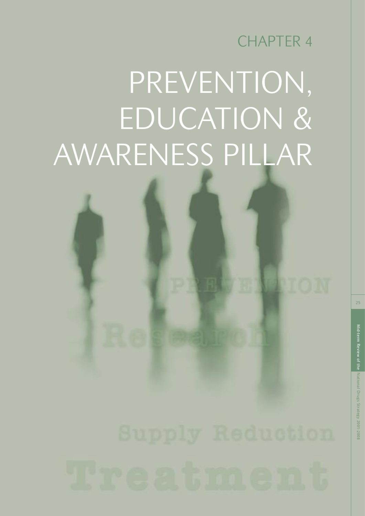CHAPTER 4

# PREVENTION, EDUCATION & AWARENESS PILLAR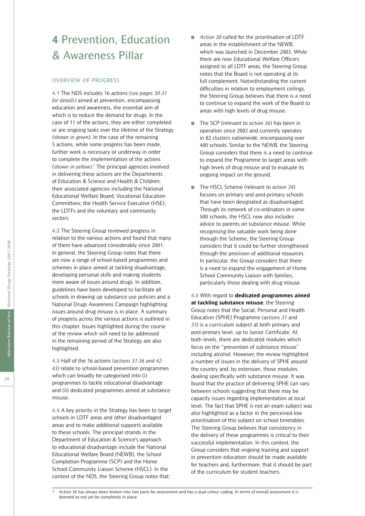## **4** Prevention, Education & Awareness Pillar

#### OVERVIEW OF PROGRESS

**4.1** The NDS includes 16 actions *(see pages 30-31 for details)* aimed at prevention, encompassing education and awareness, the essential aim of which is to reduce the demand for drugs. In the case of 11 of the actions, they are either completed or are ongoing tasks over the lifetime of the Strategy *(shown in green)*. In the case of the remaining 5 actions, while some progress has been made, further work is necessary or underway in order to complete the implementation of the actions *(shown in yellow)*. 7 The principal agencies involved in delivering these actions are the Departments of Education & Science and Health & Children; their associated agencies including the National Educational Welfare Board; Vocational Education Committees; the Health Service Executive (HSE); the LDTFs and the voluntary and community sectors.

**4.2** The Steering Group reviewed progress in relation to the various actions and found that many of them have advanced considerably since 2001. In general, the Steering Group notes that there are now a range of school-based programmes and schemes in place aimed at tackling disadvantage, developing personal skills and making students more aware of issues around drugs. In addition, guidelines have been developed to facilitate all schools in drawing up substance use policies and a National Drugs Awareness Campaign highlighting issues around drug misuse is in place. A summary of progress across the various actions is outlined in this chapter. Issues highlighted during the course of the review which will need to be addressed in the remaining period of the Strategy are also highlighted.

**4.3** Half of the 16 actions *(actions 31-36 and 42- 43)* relate to school-based prevention programmes which can broadly be categorised into (i) programmes to tackle educational disadvantage and (ii) dedicated programmes aimed at substance misuse.

**4.4** A key priority in the Strategy has been to target schools in LDTF areas and other disadvantaged areas and to make additional supports available to these schools. The principal strands in the Department of Education & Science's approach to educational disadvantage include the National Educational Welfare Board (NEWB), the School Completion Programme (SCP) and the Home School Community Liaison Scheme (HSCL). In the context of the NDS, the Steering Group notes that:

- *Action 30* called for the prioritisation of LDTF areas in the establishment of the NEWB, which was launched in December 2003. While there are now Educational Welfare Officers assigned to all LDTF areas, the Steering Group notes that the Board is not operating at its full complement. Notwithstanding the current difficulties in relation to employment ceilings, the Steering Group believes that there is a need to continue to expand the work of the Board to areas with high levels of drug misuse.
- The SCP (relevant to *action 36*) has been in operation since 2002 and currently operates in 82 clusters nationwide, encompassing over 400 schools. Similar to the NEWB, the Steering Group considers that there is a need to continue to expand the Programme to target areas with high levels of drug misuse and to evaluate its ongoing impact on the ground.
- The HSCL Scheme (relevant to *action 34*) focuses on primary and post-primary schools that have been designated as disadvantaged. Through its network of co-ordinators in some 500 schools, the HSCL now also includes advice to parents on substance misuse. While recognising the valuable work being done through the Scheme, the Steering Group considers that it could be further strengthened through the provision of additional resources. In particular, the Group considers that there is a need to expand the engagement of Home School Community Liaison with families, particularly those dealing with drug misuse.

**4.5** With regard to **dedicated programmes aimed at tackling substance misuse**, the Steering Group notes that the Social, Personal and Health Education (SPHE) Programme (*actions 31* and *33*) is a curriculum subject at both primary and post-primary level, up to Junior Certificate. At both levels, there are dedicated modules which focus on the "prevention of substance misuse" including alcohol. However, the review highlighted a number of issues in the delivery of SPHE around the country and, by extension, those modules dealing specifically with substance misuse. It was found that the practice of delivering SPHE can vary between schools suggesting that there may be capacity issues regarding implementation at local level. The fact that SPHE is not an exam subject was also highlighted as a factor in the perceived low prioritisation of this subject on school timetables. The Steering Group believes that consistency in the delivery of these programmes is critical to their successful implementation. In this context, the Group considers that ongoing training and support in prevention education should be made available for teachers and, furthermore, that it should be part of the curriculum for student teachers.

Action 34 has always been broken into two parts for assessment and has a dual colour coding. In terms of overall assessment it is deemed to not yet be completely in place.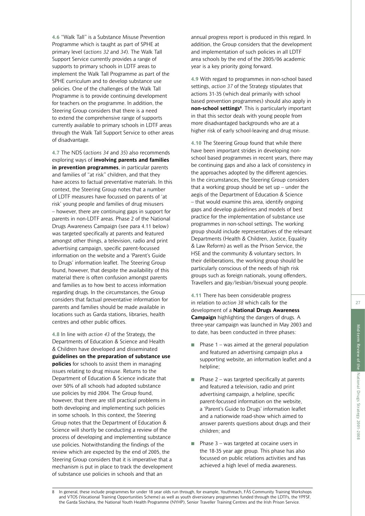**4.6** "Walk Tall" is a Substance Misuse Prevention Programme which is taught as part of SPHE at primary level (*actions 32* and *34*). The Walk Tall Support Service currently provides a range of supports to primary schools in LDTF areas to implement the Walk Tall Programme as part of the SPHE curriculum and to develop substance use policies. One of the challenges of the Walk Tall Programme is to provide continuing development for teachers on the programme. In addition, the Steering Group considers that there is a need to extend the comprehensive range of supports currently available to primary schools in LDTF areas through the Walk Tall Support Service to other areas of disadvantage.

**4.7** The NDS (*actions 34* and *35*) also recommends exploring ways of **involving parents and families in prevention programmes**, in particular parents and families of "at risk" children, and that they have access to factual preventative materials. In this context, the Steering Group notes that a number of LDTF measures have focussed on parents of 'at risk' young people and families of drug misusers – however, there are continuing gaps in support for parents in non-LDTF areas. Phase 2 of the National Drugs Awareness Campaign (see para 4.11 below) was targeted specifically at parents and featured amongst other things, a television, radio and print advertising campaign, specific parent-focussed information on the website and a 'Parent's Guide to Drugs' information leaflet. The Steering Group found, however, that despite the availability of this material there is often confusion amongst parents and families as to how best to access information regarding drugs. In the circumstances, the Group considers that factual preventative information for parents and families should be made available in locations such as Garda stations, libraries, health centres and other public offices.

**4.8** In line with *action 43* of the Strategy, the Departments of Education & Science and Health & Children have developed and disseminated **guidelines on the preparation of substance use policies** for schools to assist them in managing issues relating to drug misuse. Returns to the Department of Education & Science indicate that over 50% of all schools had adopted substance use policies by mid 2004. The Group found, however, that there are still practical problems in both developing and implementing such policies in some schools. In this context, the Steering Group notes that the Department of Education & Science will shortly be conducting a review of the process of developing and implementing substance use policies. Notwithstanding the findings of the review which are expected by the end of 2005, the Steering Group considers that it is imperative that a mechanism is put in place to track the development of substance use policies in schools and that an

annual progress report is produced in this regard. In addition, the Group considers that the development and implementation of such policies in all LDTF area schools by the end of the 2005/06 academic year is a key priority going forward.

**4.9** With regard to programmes in non-school based settings, *action 37* of the Strategy stipulates that actions 31-35 (which deal primarily with school based prevention programmes) should also apply in **non-school settings<sup>8</sup>**. This is particularly important in that this sector deals with young people from more disadvantaged backgrounds who are at a higher risk of early school-leaving and drug misuse.

**4.10** The Steering Group found that while there have been important strides in developing nonschool based programmes in recent years, there may be continuing gaps and also a lack of consistency in the approaches adopted by the different agencies. In the circumstances, the Steering Group considers that a working group should be set  $up$  – under the aegis of the Department of Education & Science – that would examine this area, identify ongoing gaps and develop guidelines and models of best practice for the implementation of substance use programmes in non-school settings. The working group should include representatives of the relevant Departments (Health & Children, Justice, Equality & Law Reform) as well as the Prison Service, the HSE and the community & voluntary sectors. In their deliberations, the working group should be particularly conscious of the needs of high risk groups such as foreign nationals, young offenders, Travellers and gay/lesbian/bisexual young people.

**4.11** There has been considerable progress in relation to *action 38* which calls for the development of a **National Drugs Awareness Campaign** highlighting the dangers of drugs. A three-year campaign was launched in May 2003 and to date, has been conducted in three phases:

- $\blacksquare$  Phase 1 was aimed at the general population and featured an advertising campaign plus a supporting website, an information leaflet and a helpline:
- $\blacksquare$  Phase 2 was targeted specifically at parents and featured a television, radio and print advertising campaign, a helpline, specific parent-focussed information on the website, a 'Parent's Guide to Drugs' information leaflet and a nationwide road-show which aimed to answer parents questions about drugs and their children; and
- Phase  $3$  was targeted at cocaine users in the 18-35 year age group. This phase has also focussed on public relations activities and has achieved a high level of media awareness.

<sup>8</sup> In general, these include programmes for under 18 year olds run through, for example, Youthreach, FÁS Community Training Workshops and VTOS (Vocational Training Opportunities Scheme) as well as youth diversionary programmes funded through the LDTFs, the YPFSF, the Garda Síochána, the National Youth Health Programme (NYHP), Senior Traveller Training Centres and the Irish Prison Service.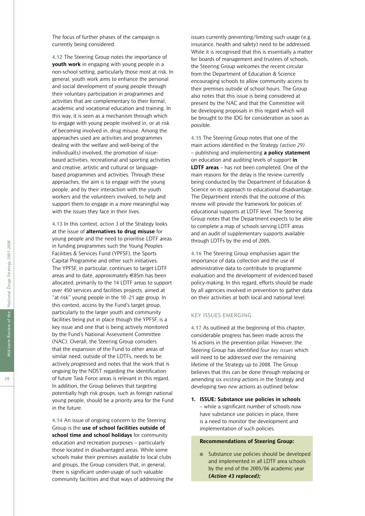The focus of further phases of the campaign is currently being considered.

**4.12** The Steering Group notes the importance of **youth work** in engaging with young people in a non-school setting, particularly those most at risk. In general, youth work aims to enhance the personal and social development of young people through their voluntary participation in programmes and activities that are complementary to their formal, academic and vocational education and training. In this way, it is seen as a mechanism through which to engage with young people involved in, or at risk of becoming involved in, drug misuse. Among the approaches used are activities and programmes dealing with the welfare and well-being of the individual(s) involved, the promotion of issuebased activities, recreational and sporting activities and creative, artistic and cultural or languagebased programmes and activities. Through these approaches, the aim is to engage with the young people, and by their interaction with the youth workers and the volunteers involved, to help and support them to engage in a more meaningful way with the issues they face in their lives.

**4.13** In this context, *action 3* of the Strategy looks at the issue of **alternatives to drug misuse** for young people and the need to prioritise LDTF areas in funding programmes such the Young Peoples Facilities & Services Fund (YPFSF), the Sports Capital Programme and other such initiatives. The YPFSF, in particular, continues to target LDTF areas and to date, approximately €85m has been allocated, primarily to the 14 LDTF areas to support over 450 services and facilities projects, aimed at "at risk" young people in the 10 -21 age group. In this context, access by the Fund's target group, particularly to the larger youth and community facilities being put in place though the YPFSF, is a key issue and one that is being actively monitored by the Fund's National Assessment Committee (NAC). Overall, the Steering Group considers that the expansion of the Fund to other areas of similar need, outside of the LDTFs, needs to be actively progressed and notes that the work that is ongoing by the NDST regarding the identification of future Task Force areas is relevant in this regard. In addition, the Group believes that targeting potentially high risk groups, such as foreign national young people, should be a priority area for the Fund in the future.

**4.14** An issue of ongoing concern to the Steering Group is the **use of school facilities outside of school time and school holidays** for community education and recreation purposes – particularly those located in disadvantaged areas. While some schools make their premises available to local clubs and groups, the Group considers that, in general, there is significant under-usage of such valuable community facilities and that ways of addressing the issues currently preventing/limiting such usage (e.g. insurance, health and safety) need to be addressed. While it is recognised that this is essentially a matter for boards of management and trustees of schools, the Steering Group welcomes the recent circular from the Department of Education & Science encouraging schools to allow community access to their premises outside of school hours. The Group also notes that this issue is being considered at present by the NAC and that the Committee will be developing proposals in this regard which will be brought to the IDG for consideration as soon as possible.

**4.15** The Steering Group notes that one of the main actions identified in the Strategy *(action 29)* – publishing and implementing **a policy statement** on education and auditing levels of support **in LDTF areas** – has not been completed. One of the main reasons for the delay is the review currently being conducted by the Department of Education & Science on its approach to educational disadvantage. The Department intends that the outcome of this review will provide the framework for policies of educational supports at LDTF level. The Steering Group notes that the Department expects to be able to complete a map of schools serving LDTF areas and an audit of supplementary supports available through LDTFs by the end of 2005.

**4.16** The Steering Group emphasises again the importance of data collection and the use of administrative data to contribute to programme evaluation and the development of evidenced based policy-making. In this regard, efforts should be made by all agencies involved in prevention to gather data on their activities at both local and national level.

#### KEY ISSUES EMERGING

**4.17** As outlined at the beginning of this chapter, considerable progress has been made across the 16 actions in the prevention pillar. However, the Steering Group has identified *four key issues* which will need to be addressed over the remaining lifetime of the Strategy up to 2008. The Group believes that this can be done through replacing or amending six *existing* actions in the Strategy and developing two *new* actions as outlined below:

**1. ISSUE: Substance use policies in schools** – while a significant number of schools now have substance use policies in place, there is a need to monitor the development and implementation of such policies.

#### **Recommendations of Steering Group:**

■ Substance use policies should be developed and implemented in all LDTF area schools by the end of the 2005/06 academic year *(Action 43 replaced);*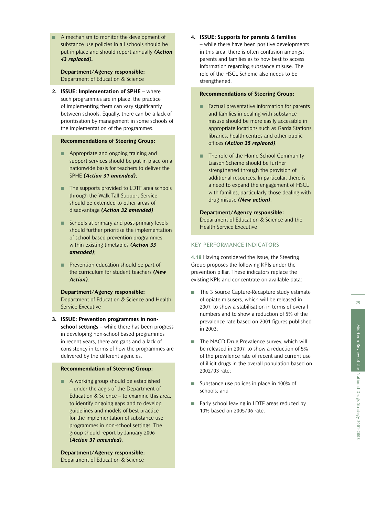A mechanism to monitor the development of substance use policies in all schools should be put in place and should report annually *(Action 43 replaced).*

**Department/Agency responsible:** Department of Education & Science

**2. ISSUE: Implementation of SPHE** – where such programmes are in place, the practice of implementing them can vary significantly between schools. Equally, there can be a lack of prioritisation by management in some schools of the implementation of the programmes.

#### **Recommendations of Steering Group:**

- Appropriate and ongoing training and support services should be put in place on a nationwide basis for teachers to deliver the SPHE *(Action 31 amended)*;
- The supports provided to LDTF area schools through the Walk Tall Support Service should be extended to other areas of disadvantage *(Action 32 amended)*;
- Schools at primary and post-primary levels should further prioritise the implementation of school based prevention programmes within existing timetables *(Action 33 amended)*;
- Prevention education should be part of the curriculum for student teachers *(New Action)*.

#### **Department/Agency responsible:**

Department of Education & Science and Health Service Executive

**3. ISSUE: Prevention programmes in nonschool settings** – while there has been progress in developing non-school based programmes in recent years, there are gaps and a lack of consistency in terms of how the programmes are delivered by the different agencies.

#### **Recommendation of Steering Group:**

■ A working group should be established – under the aegis of the Department of Education & Science – to examine this area, to identify ongoing gaps and to develop guidelines and models of best practice for the implementation of substance use programmes in non-school settings. The group should report by January 2006 *(Action 37 amended)*.

**Department/Agency responsible:** Department of Education & Science

**4. ISSUE: Supports for parents & families** – while there have been positive developments in this area, there is often confusion amongst parents and families as to how best to access information regarding substance misuse. The role of the HSCL Scheme also needs to be strengthened.

#### **Recommendations of Steering Group:**

- Factual preventative information for parents and families in dealing with substance misuse should be more easily accessible in appropriate locations such as Garda Stations, libraries, health centres and other public offices *(Action 35 replaced)*;
- The role of the Home School Community Liaison Scheme should be further strengthened through the provision of additional resources. In particular, there is a need to expand the engagement of HSCL with families, particularly those dealing with drug misuse *(New action)*.

#### **Department/Agency responsible:** Department of Education & Science and the Health Service Executive

#### KEY PERFORMANCE INDICATORS

**4.18** Having considered the issue, the Steering Group proposes the following KPIs under the prevention pillar. These indicators replace the existing KPIs and concentrate on available data:

- The 3 Source Capture-Recapture study estimate of opiate misusers, which will be released in 2007, to show a stabilisation in terms of overall numbers and to show a reduction of 5% of the prevalence rate based on 2001 figures published in 2003;
- The NACD Drug Prevalence survey, which will be released in 2007, to show a reduction of 5% of the prevalence rate of recent and current use of illicit drugs in the overall population based on 2002/03 rate;
- Substance use polices in place in 100% of schools; and
- Early school leaving in LDTF areas reduced by 10% based on 2005/06 rate.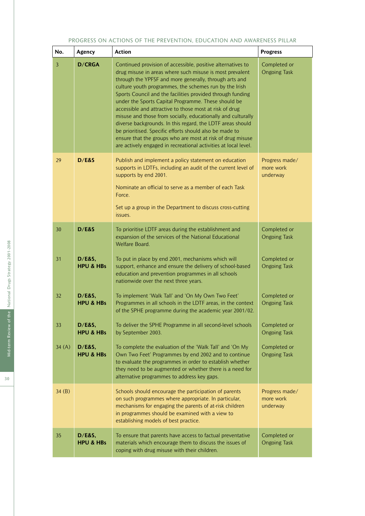#### PROGRESS ON ACTIONS OF THE PREVENTION, EDUCATION AND AWARENESS PILLAR

| No.          | Agency                         | <b>Action</b>                                                                                                                                                                                                                                                                                                                                                                                                                                                                                                                                                                                                                                                                                                                                         | <b>Progress</b>                         |
|--------------|--------------------------------|-------------------------------------------------------------------------------------------------------------------------------------------------------------------------------------------------------------------------------------------------------------------------------------------------------------------------------------------------------------------------------------------------------------------------------------------------------------------------------------------------------------------------------------------------------------------------------------------------------------------------------------------------------------------------------------------------------------------------------------------------------|-----------------------------------------|
| $\mathbf{3}$ | <b>D/CRGA</b>                  | Continued provision of accessible, positive alternatives to<br>drug misuse in areas where such misuse is most prevalent<br>through the YPFSF and more generally, through arts and<br>culture youth programmes, the schemes run by the Irish<br>Sports Council and the facilities provided through funding<br>under the Sports Capital Programme. These should be<br>accessible and attractive to those most at risk of drug<br>misuse and those from socially, educationally and culturally<br>diverse backgrounds. In this regard, the LDTF areas should<br>be prioritised. Specific efforts should also be made to<br>ensure that the groups who are most at risk of drug misuse<br>are actively engaged in recreational activities at local level. | Completed or<br><b>Ongoing Task</b>     |
| 29           | D/E&S                          | Publish and implement a policy statement on education<br>supports in LDTFs, including an audit of the current level of<br>supports by end 2001.<br>Nominate an official to serve as a member of each Task<br>Force.<br>Set up a group in the Department to discuss cross-cutting<br>issues.                                                                                                                                                                                                                                                                                                                                                                                                                                                           | Progress made/<br>more work<br>underway |
| 30           | D/E&S                          | To prioritise LDTF areas during the establishment and<br>expansion of the services of the National Educational<br>Welfare Board.                                                                                                                                                                                                                                                                                                                                                                                                                                                                                                                                                                                                                      | Completed or<br><b>Ongoing Task</b>     |
| 31           | D/E&S,<br><b>HPU &amp; HBs</b> | To put in place by end 2001, mechanisms which will<br>support, enhance and ensure the delivery of school-based<br>education and prevention programmes in all schools<br>nationwide over the next three years.                                                                                                                                                                                                                                                                                                                                                                                                                                                                                                                                         | Completed or<br><b>Ongoing Task</b>     |
| 32           | D/E&S,<br><b>HPU &amp; HBs</b> | To implement 'Walk Tall' and 'On My Own Two Feet'<br>Programmes in all schools in the LDTF areas, in the context<br>of the SPHE programme during the academic year 2001/02.                                                                                                                                                                                                                                                                                                                                                                                                                                                                                                                                                                           | Completed or<br><b>Ongoing Task</b>     |
| 33           | D/E&S,<br><b>HPU &amp; HBs</b> | To deliver the SPHE Programme in all second-level schools<br>by September 2003.                                                                                                                                                                                                                                                                                                                                                                                                                                                                                                                                                                                                                                                                       | Completed or<br><b>Ongoing Task</b>     |
| 34(A)        | D/E&S,<br><b>HPU &amp; HBs</b> | To complete the evaluation of the 'Walk Tall' and 'On My<br>Own Two Feet' Programmes by end 2002 and to continue<br>to evaluate the programmes in order to establish whether<br>they need to be augmented or whether there is a need for<br>alternative programmes to address key gaps.                                                                                                                                                                                                                                                                                                                                                                                                                                                               | Completed or<br><b>Ongoing Task</b>     |
| 34(B)        |                                | Schools should encourage the participation of parents<br>on such programmes where appropriate. In particular,<br>mechanisms for engaging the parents of at-risk children<br>in programmes should be examined with a view to<br>establishing models of best practice.                                                                                                                                                                                                                                                                                                                                                                                                                                                                                  | Progress made/<br>more work<br>underway |
| 35           | D/E&S,<br><b>HPU &amp; HBs</b> | To ensure that parents have access to factual preventative<br>materials which encourage them to discuss the issues of<br>coping with drug misuse with their children.                                                                                                                                                                                                                                                                                                                                                                                                                                                                                                                                                                                 | Completed or<br><b>Ongoing Task</b>     |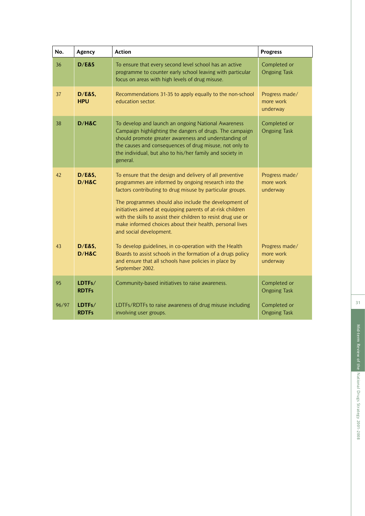| No.   | Agency                     | <b>Action</b>                                                                                                                                                                                                                                                                                                                                                                                                                                                 | <b>Progress</b>                         |
|-------|----------------------------|---------------------------------------------------------------------------------------------------------------------------------------------------------------------------------------------------------------------------------------------------------------------------------------------------------------------------------------------------------------------------------------------------------------------------------------------------------------|-----------------------------------------|
| 36    | D/E&S                      | To ensure that every second level school has an active<br>programme to counter early school leaving with particular<br>focus on areas with high levels of drug misuse.                                                                                                                                                                                                                                                                                        | Completed or<br><b>Ongoing Task</b>     |
| 37    | D/E&S,<br><b>HPU</b>       | Recommendations 31-35 to apply equally to the non-school<br>education sector.                                                                                                                                                                                                                                                                                                                                                                                 | Progress made/<br>more work<br>underway |
| 38    | D/H&C                      | To develop and launch an ongoing National Awareness<br>Campaign highlighting the dangers of drugs. The campaign<br>should promote greater awareness and understanding of<br>the causes and consequences of drug misuse, not only to<br>the individual, but also to his/her family and society in<br>general.                                                                                                                                                  | Completed or<br><b>Ongoing Task</b>     |
| 42    | <b>D/E&amp;S,</b><br>D/H&C | To ensure that the design and delivery of all preventive<br>programmes are informed by ongoing research into the<br>factors contributing to drug misuse by particular groups.<br>The programmes should also include the development of<br>initiatives aimed at equipping parents of at-risk children<br>with the skills to assist their children to resist drug use or<br>make informed choices about their health, personal lives<br>and social development. | Progress made/<br>more work<br>underway |
| 43    | <b>D/E&amp;S,</b><br>D/H&C | To develop guidelines, in co-operation with the Health<br>Boards to assist schools in the formation of a drugs policy<br>and ensure that all schools have policies in place by<br>September 2002.                                                                                                                                                                                                                                                             | Progress made/<br>more work<br>underway |
| 95    | LDTFs/<br><b>RDTFs</b>     | Community-based initiatives to raise awareness.                                                                                                                                                                                                                                                                                                                                                                                                               | Completed or<br><b>Ongoing Task</b>     |
| 96/97 | LDTFs/<br><b>RDTFs</b>     | LDTFs/RDTFs to raise awareness of drug misuse including<br>involving user groups.                                                                                                                                                                                                                                                                                                                                                                             | Completed or<br><b>Ongoing Task</b>     |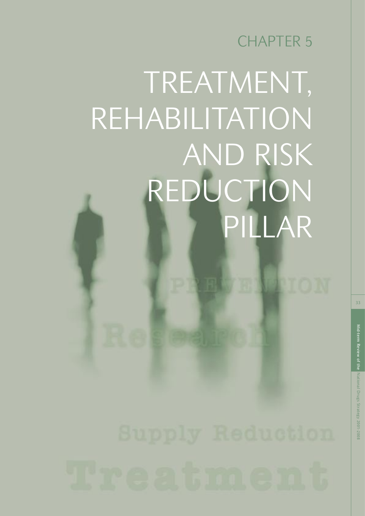CHAPTER 5

## TREATMENT, REHABILITATION AND RISK REDUCTION PILLAR

33

PION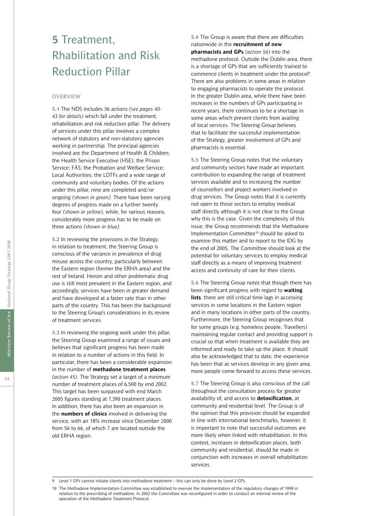## **5** Treatment, Rhabilitation and Risk Reduction Pillar

#### OVERVIEW

**5.1** The NDS includes 36 actions *(see pages 40- 43 for details)* which fall under the treatment, rehabilitation and risk reduction pillar. The delivery of services under this pillar involves a complex network of statutory and non-statutory agencies working in partnership. The principal agencies involved are the Department of Health & Children; the Health Service Executive (HSE); the Prison Service; FÁS; the Probation and Welfare Service; Local Authorities; the LDTFs and a wide range of community and voluntary bodies. Of the actions under this pillar, nine are completed and/or ongoing *(shown in green)*. There have been varying degrees of progress made on a further twenty four *(shown in yellow)*, while, for various reasons, considerably more progress has to be made on three actions *(shown in blue).*

**5.2** In reviewing the provisions in the Strategy in relation to treatment, the Steering Group is conscious of the variance in prevalence of drug misuse across the country, particularly between the Eastern region (former the ERHA area) and the rest of Ireland. Heroin and other problematic drug use is still most prevalent in the Eastern region, and accordingly, services have been in greater demand and have developed at a faster rate than in other parts of the country. This has been the background to the Steering Group's considerations in its review of treatment services.

**5.3** In reviewing the ongoing work under this pillar, the Steering Group examined a range of issues and believes that significant progress has been made in relation to a number of actions in this field. In particular, there has been a considerable expansion in the number of **methadone treatment places** *(action 45)*. The Strategy set a target of a minimum number of treatment places of 6,500 by end 2002. This target has been surpassed with end March 2005 figures standing at 7,390 treatment places. In addition, there has also been an expansion in the **numbers of clinics** involved in delivering the service, with an 18% increase since December 2000 from 56 to 66, of which 7 are located outside the old ERHA region.

**5.4** The Group is aware that there are difficulties nationwide in the **recruitment of new pharmacists and GPs** *(action 56)* into the methadone protocol. Outside the Dublin area, there is a shortage of GPs that are sufficiently trained to commence clients in treatment under the protocol<sup>9</sup>. There are also problems in some areas in relation to engaging pharmacists to operate the protocol. In the greater Dublin area, while there have been increases in the numbers of GPs participating in recent years, there continues to be a shortage in some areas which prevent clients from availing of local services. The Steering Group believes that to facilitate the successful implementation of the Strategy, greater involvement of GPs and pharmacists is essential.

**5.5** The Steering Group notes that the voluntary and community sectors have made an important contribution to expanding the range of treatment services available and to increasing the number of counsellors and project workers involved in drug services. The Group notes that it is currently not open to those sectors to employ medical staff directly although it is not clear to the Group why this is the case. Given the complexity of this issue, the Group recommends that the Methadone Implementation Committee<sup>10</sup> should be asked to examine this matter and to report to the IDG by the end of 2005. The Committee should look at the potential for voluntary services to employ medical staff directly as a means of improving treatment access and continuity of care for their clients.

**5.6** The Steering Group notes that though there has been significant progress with regard to **waiting lists**, there are still critical time lags in accessing services in some locations in the Eastern region and in many locations in other parts of the country. Furthermore, the Steering Group recognises that for some groups (e.g. homeless people, Travellers) maintaining regular contact and providing support is crucial so that when treatment is available they are informed and ready to take up the place. It should also be acknowledged that to date, the experience has been that as services develop in any given area, more people come forward to access these services.

**5.7** The Steering Group is also conscious of the call throughout the consultation process for greater availability of, and access to **detoxification**, at community and residential level. The Group is of the opinion that this provision should be expanded in line with international benchmarks, however, it is important to note that successful outcomes are more likely when linked with rehabilitation. In this context, increases in detoxification places, both community and residential, should be made in conjunction with increases in overall rehabilitation services.

<sup>9</sup> Level 1 GPs cannot initiate clients into methadone treatment – this can only be done by Level 2 GPs.

<sup>10</sup> The Methadone Implementation Committee was established to oversee the implementation of the regulatory changes of 1998 in relation to the prescribing of methadone. In 2002 the Committee was reconfigured in order to conduct an internal review of the operation of the Methadone Treatment Protocol.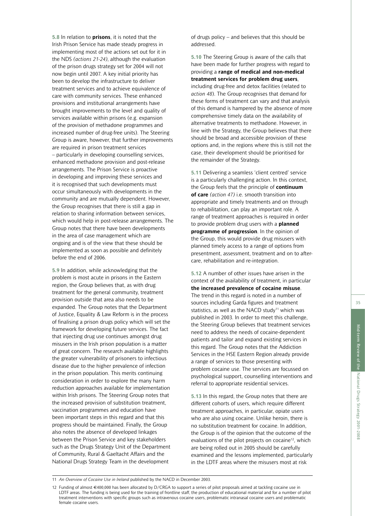**5.8** In relation to **prisons**, it is noted that the Irish Prison Service has made steady progress in implementing most of the actions set out for it in the NDS *(actions 21-24)*, although the evaluation of the prison drugs strategy set for 2004 will not now begin until 2007. A key initial priority has been to develop the infrastructure to deliver treatment services and to achieve equivalence of care with community services. These enhanced provisions and institutional arrangements have brought improvements to the level and quality of services available within prisons (e.g. expansion of the provision of methadone programmes and increased number of drug-free units). The Steering Group is aware, however, that further improvements are required in prison treatment services – particularly in developing counselling services, enhanced methadone provision and post-release arrangements. The Prison Service is proactive in developing and improving these services and it is recognised that such developments must occur simultaneously with developments in the community and are mutually dependent. However, the Group recognises that there is still a gap in relation to sharing information between services, which would help in post-release arrangements. The Group notes that there have been developments in the area of case management which are ongoing and is of the view that these should be implemented as soon as possible and definitely before the end of 2006.

**5.9** In addition, while acknowledging that the problem is most acute in prisons in the Eastern region, the Group believes that, as with drug treatment for the general community, treatment provision outside that area also needs to be expanded. The Group notes that the Department of Justice, Equality & Law Reform is in the process of finalising a prison drugs policy which will set the framework for developing future services. The fact that injecting drug use continues amongst drug misusers in the Irish prison population is a matter of great concern. The research available highlights the greater vulnerability of prisoners to infectious disease due to the higher prevalence of infection in the prison population. This merits continuing consideration in order to explore the many harm reduction approaches available for implementation within Irish prisons. The Steering Group notes that the increased provision of substitution treatment, vaccination programmes and education have been important steps in this regard and that this progress should be maintained. Finally, the Group also notes the absence of developed linkages between the Prison Service and key stakeholders such as the Drugs Strategy Unit of the Department of Community, Rural & Gaeltacht Affairs and the National Drugs Strategy Team in the development

of drugs policy – and believes that this should be addressed.

**5.10** The Steering Group is aware of the calls that have been made for further progress with regard to providing a **range of medical and non-medical treatment services for problem drug users**, including drug-free and detox facilities (related to *action 48*). The Group recognises that demand for these forms of treatment can vary and that analysis of this demand is hampered by the absence of more comprehensive timely data on the availability of alternative treatments to methadone. However, in line with the Strategy, the Group believes that there should be broad and accessible provision of these options and, in the regions where this is still not the case, their development should be prioritised for the remainder of the Strategy.

**5.11** Delivering a seamless 'client centred' service is a particularly challenging action. In this context, the Group feels that the principle of **continuum of care** *(action 47)* i.e. smooth transition into appropriate and timely treatments and on through to rehabilitation, can play an important role. A range of treatment approaches is required in order to provide problem drug users with a **planned programme of progression**. In the opinion of the Group, this would provide drug misusers with planned timely access to a range of options from presentment, assessment, treatment and on to aftercare, rehabilitation and re-integration.

**5.12** A number of other issues have arisen in the context of the availability of treatment, in particular **the increased prevalence of cocaine misuse**. The trend in this regard is noted in a number of sources including Garda figures and treatment statistics, as well as the NACD study<sup>11</sup> which was published in 2003. In order to meet this challenge, the Steering Group believes that treatment services need to address the needs of cocaine-dependent patients and tailor and expand existing services in this regard. The Group notes that the Addiction Services in the HSE Eastern Region already provide a range of services to those presenting with problem cocaine use. The services are focussed on psychological support, counselling interventions and referral to appropriate residential services.

**5.13** In this regard, the Group notes that there are different cohorts of users, which require different treatment approaches, in particular, opiate users who are also using cocaine. Unlike heroin, there is no substitution treatment for cocaine. In addition, the Group is of the opinion that the outcome of the evaluations of the pilot projects on cocaine<sup>12</sup>, which are being rolled out in 2005 should be carefully examined and the lessons implemented, particularly in the LDTF areas where the misusers most at risk

<sup>11</sup> *An Overview of Cocaine Use in Ireland* published by the NACD in December 2003.

<sup>12</sup> Funding of almost €400,000 has been allocated by D/CRGA to support a series of pilot proposals aimed at tackling cocaine use in LDTF areas. The funding is being used for the training of frontline staff, the production of educational material and for a number of pilot treatment interventions with specific groups such as intravenous cocaine users, problematic intranasal cocaine users and problematic female cocaine users.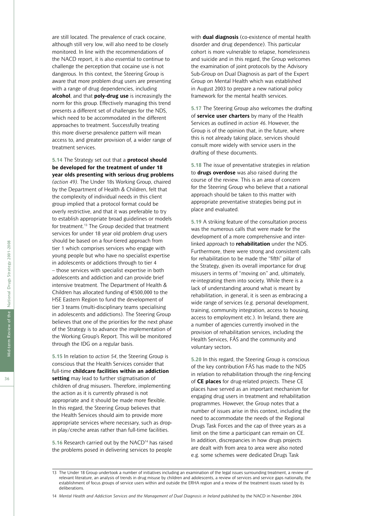are still located. The prevalence of crack cocaine, although still very low, will also need to be closely monitored. In line with the recommendations of the NACD report, it is also essential to continue to challenge the perception that cocaine use is not dangerous. In this context, the Steering Group is aware that more problem drug users are presenting with a range of drug dependencies, including **alcohol**, and that **poly-drug use** is increasingly the norm for this group. Effectively managing this trend presents a different set of challenges for the NDS, which need to be accommodated in the different approaches to treatment. Successfully treating this more diverse prevalence pattern will mean access to, and greater provision of, a wider range of treatment services.

**5.14** The Strategy set out that a **protocol should be developed for the treatment of under 18 year olds presenting with serious drug problems** *(action 49)*. The Under 18s Working Group, chaired by the Department of Health & Children, felt that the complexity of individual needs in this client group implied that a protocol format could be overly restrictive, and that it was preferable to try to establish appropriate broad guidelines or models for treatment.13 The Group decided that treatment services for under 18 year old problem drug users should be based on a four-tiered approach from tier 1 which comprises services who engage with young people but who have no specialist expertise in adolescents or addictions through to tier 4 – those services with specialist expertise in both adolescents and addiction and can provide brief intensive treatment. The Department of Health & Children has allocated funding of €500,000 to the HSE Eastern Region to fund the development of tier 3 teams (multi-disciplinary teams specialising in adolescents and addictions). The Steering Group believes that one of the priorities for the next phase of the Strategy is to advance the implementation of the Working Group's Report. This will be monitored through the IDG on a regular basis.

**5.15** In relation to *action 54*, the Steering Group is conscious that the Health Services consider that full-time **childcare facilities within an addiction setting** may lead to further stigmatisation of children of drug misusers. Therefore, implementing the action as it is currently phrased is not appropriate and it should be made more flexible. In this regard, the Steering Group believes that the Health Services should aim to provide more appropriate services where necessary, such as dropin play/creche areas rather than full-time facilities.

**5.16** Research carried out by the NACD14 has raised the problems posed in delivering services to people

with **dual diagnosis** (co-existence of mental health disorder and drug dependence). This particular cohort is more vulnerable to relapse, homelessness and suicide and in this regard, the Group welcomes the examination of joint protocols by the Advisory Sub-Group on Dual Diagnosis as part of the Expert Group on Mental Health which was established in August 2003 to prepare a new national policy framework for the mental health services.

**5.17** The Steering Group also welcomes the drafting of **service user charters** by many of the Health Services as outlined in *action 46*. However, the Group is of the opinion that, in the future, where this is not already taking place, services should consult more widely with service users in the drafting of these documents.

**5.18** The issue of preventative strategies in relation to **drugs overdose** was also raised during the course of the review. This is an area of concern for the Steering Group who believe that a national approach should be taken to this matter with appropriate preventative strategies being put in place and evaluated.

**5.19** A striking feature of the consultation process was the numerous calls that were made for the development of a more comprehensive and interlinked approach to **rehabilitation** under the NDS. Furthermore, there were strong and consistent calls for rehabilitation to be made the "fifth" pillar of the Strategy, given its overall importance for drug misusers in terms of "moving on" and, ultimately, re-integrating them into society. While there is a lack of understanding around what is meant by rehabilitation, in general, it is seen as embracing a wide range of services (e.g. personal development, training, community integration, access to housing, access to employment etc.). In Ireland, there are a number of agencies currently involved in the provision of rehabilitation services, including the Health Services, FÁS and the community and voluntary sectors.

**5.20** In this regard, the Steering Group is conscious of the key contribution FÁS has made to the NDS in relation to rehabilitation through the ring-fencing of **CE places** for drug-related projects. These CE places have served as an important mechanism for engaging drug users in treatment and rehabilitation programmes. However, the Group notes that a number of issues arise in this context, including the need to accommodate the needs of the Regional Drugs Task Forces and the cap of three years as a limit on the time a participant can remain on CE. In addition, discrepancies in how drugs projects are dealt with from area to area were also noted e.g. some schemes were dedicated Drugs Task

<sup>13</sup> The Under 18 Group undertook a number of initiatives including an examination of the legal issues surrounding treatment, a review of relevant literature, an analysis of trends in drug misuse by children and adolescents, a review of services and service gaps nationally, the establishment of focus groups of service users within and outside the ERHA region and a review of the treatment issues raised by its deliberations.

<sup>14</sup> *Mental Health and Addiction Services and the Management of Dual Diagnosis in Ireland* published by the NACD in November 2004.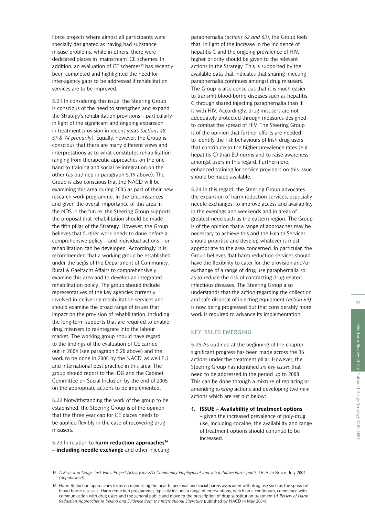Force projects where almost all participants were specially designated as having had substance misuse problems, while in others, there were dedicated places in 'mainstream' CE schemes. In addition, an evaluation of CE schemes<sup>15</sup> has recently been completed and highlighted the need for inter-agency gaps to be addressed if rehabilitation services are to be improved.

**5.21** In considering this issue, the Steering Group is conscious of the need to strengthen and expand the Strategy's rehabilitation provisions – particularly in light of the significant and ongoing expansion in treatment provision in recent years *(actions 48, 57 & 74 primarily)*. Equally, however, the Group is conscious that there are many different views and interpretations as to what constitutes rehabilitation ranging from therapeutic approaches on the one hand to training and social re-integration on the other (as outlined in paragraph 5.19 above). The Group is also conscious that the NACD will be examining this area during 2005 as part of their new research work programme. In the circumstances and given the overall importance of this area in the NDS in the future, the Steering Group supports the proposal that rehabilitation should be made the fifth pillar of the Strategy. However, the Group believes that further work needs to done before a comprehensive policy – and individual actions – on rehabilitation can be developed. Accordingly, it is recommended that a working group be established under the aegis of the Department of Community, Rural & Gaeltacht Affairs to comprehensively examine this area and to develop an integrated rehabilitation policy. The group should include representatives of the key agencies currently involved in delivering rehabilitation services and should examine the broad range of issues that impact on the provision of rehabilitation, including the long-term supports that are required to enable drug misusers to re-integrate into the labour market. The working group should have regard to the findings of the evaluation of CE carried out in 2004 (see paragraph 5.20 above) and the work to be done in 2005 by the NACD, as well EU and international best practice in this area. The group should report to the IDG and the Cabinet Committee on Social Inclusion by the end of 2005 on the appropriate actions to be implemented.

**5.22** Notwithstanding the work of the group to be established, the Steering Group is of the opinion that the three year cap for CE places needs to be applied flexibly in the case of recovering drug misusers.

5.23 In relation to **harm reduction approaches<sup>16</sup> – including needle exchange** and other injecting paraphernalia *(actions 62 and 63)*, the Group feels that, in light of the increase in the incidence of hepatitis C and the ongoing prevalence of HIV, higher priority should be given to the relevant actions in the Strategy. This is supported by the available data that indicates that sharing injecting paraphernalia continues amongst drug misusers. The Group is also conscious that it is much easier to transmit blood-borne diseases such as hepatitis C through shared injecting paraphernalia than it is with HIV. Accordingly, drug misusers are not adequately protected through measures designed to combat the spread of HIV. The Steering Group is of the opinion that further efforts are needed to identify the risk behaviours of Irish drug users that contribute to the higher prevalence rates (e.g. hepatitis C) than EU norms and to raise awareness amongst users in this regard. Furthermore, enhanced training for service providers on this issue should be made available.

**5.24** In this regard, the Steering Group advocates the expansion of harm reduction services, especially needle exchanges, to improve access and availability in the evenings and weekends and in areas of greatest need such as the eastern region. The Group is of the opinion that a range of approaches may be necessary to achieve this and the Health Services should prioritise and develop whatever is most appropriate to the area concerned. In particular, the Group believes that harm reduction services should have the flexibility to cater for the provision and/or exchange of a range of drug use paraphernalia so as to reduce the risk of contracting drug-related infectious diseases. The Steering Group also understands that the action regarding the collection and safe disposal of injecting equipment *(action 69)* is now being progressed but that considerably more work is required to advance its implementation.

#### KEY ISSUES EMERGING

**5.25** As outlined at the beginning of the chapter, significant progress has been made across the 36 actions under the treatment pillar. However, the Steering Group has identified *six key issues* that need to be addressed in the period up to 2008. This can be done through a mixture of replacing or amending *existing* actions and developing two *new* actions which are set out below:

**1. ISSUE – Availability of treatment options** – given the increased prevalence of poly-drug use, including cocaine, the availability and range of treatment options should continue to be increased.

<sup>15</sup> A Review of Drugs Task Force Project Activity for FÁS Community Employment and Job Initiative Participants, Dr. Alan Bruce, July 2004 *(unpublished)*.

<sup>16</sup> Harm Reduction approaches focus on minimising the health, personal and social harms associated with drug use such as the spread of blood-borne diseases. Harm reduction programmes typically include a range of interventions, which on a continuum, commence with communication with drug users and the general public and move to the prescription of drug substitution treatment (*A Review of Harm Reduction Approaches in Ireland and Evidence from the International Literature* published by NACD in May 2004).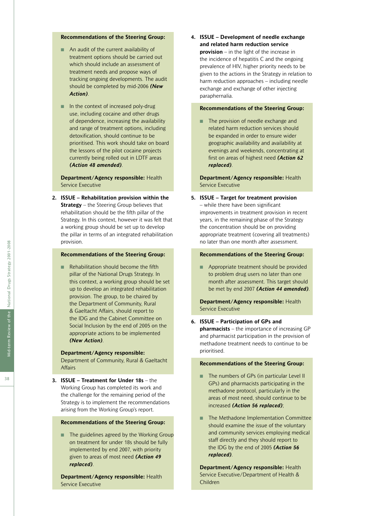#### **Recommendations of the Steering Group:**

- An audit of the current availability of treatment options should be carried out which should include an assessment of treatment needs and propose ways of tracking ongoing developments. The audit should be completed by mid-2006 *(New Action)*.
- In the context of increased poly-drug use, including cocaine and other drugs of dependence, increasing the availability and range of treatment options, including detoxification, should continue to be prioritised. This work should take on board the lessons of the pilot cocaine projects currently being rolled out in LDTF areas *(Action 48 amended)*.

**Department/Agency responsible:** Health Service Executive

**2. ISSUE – Rehabilitation provision within the Strategy** – the Steering Group believes that rehabilitation should be the fifth pillar of the Strategy. In this context, however it was felt that a working group should be set up to develop the pillar in terms of an integrated rehabilitation provision.

#### **Recommendations of the Steering Group:**

■ Rehabilitation should become the fifth pillar of the National Drugs Strategy. In this context, a working group should be set up to develop an integrated rehabilitation provision. The group, to be chaired by the Department of Community, Rural & Gaeltacht Affairs, should report to the IDG and the Cabinet Committee on Social Inclusion by the end of 2005 on the appropriate actions to be implemented *(New Action)*.

#### **Department/Agency responsible:**

Department of Community, Rural & Gaeltacht Affairs

**3. ISSUE – Treatment for Under 18s** – the Working Group has completed its work and the challenge for the remaining period of the Strategy is to implement the recommendations arising from the Working Group's report.

#### **Recommendations of the Steering Group:**

■ The guidelines agreed by the Working Group on treatment for under 18s should be fully implemented by end 2007, with priority given to areas of most need *(Action 49 replaced)*.

**Department/Agency responsible:** Health Service Executive

**4. ISSUE – Development of needle exchange and related harm reduction service provision** – in the light of the increase in the incidence of hepatitis C and the ongoing prevalence of HIV, higher priority needs to be given to the actions in the Strategy in relation to harm reduction approaches – including needle exchange and exchange of other injecting paraphernalia.

#### **Recommendations of the Steering Group:**

■ The provision of needle exchange and related harm reduction services should be expanded in order to ensure wider geographic availability and availability at evenings and weekends, concentrating at first on areas of highest need *(Action 62 replaced)*.

**Department/Agency responsible:** Health Service Executive

**5. ISSUE – Target for treatment provision** – while there have been significant improvements in treatment provision in recent years, in the remaining phase of the Strategy the concentration should be on providing appropriate treatment (covering all treatments) no later than one month after assessment.

#### **Recommendations of the Steering Group:**

■ Appropriate treatment should be provided to problem drug users no later than one month after assessment. This target should be met by end 2007 *(Action 44 amended)*.

**Department/Agency responsible:** Health Service Executive

**6. ISSUE – Participation of GPs and** 

**pharmacists** – the importance of increasing GP and pharmacist participation in the provision of methadone treatment needs to continue to be prioritised.

#### **Recommendations of the Steering Group:**

- The numbers of GPs (in particular Level II GPs) and pharmacists participating in the methadone protocol, particularly in the areas of most need, should continue to be increased *(Action 56 replaced)*;
- The Methadone Implementation Committee should examine the issue of the voluntary and community services employing medical staff directly and they should report to the IDG by the end of 2005 *(Action 56 replaced)*.

**Department/Agency responsible:** Health Service Executive/Department of Health & Children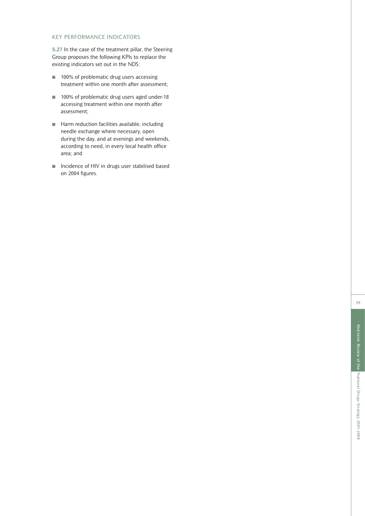#### KEY PERFORMANCE INDICATORS

**5.27** In the case of the treatment pillar, the Steering Group proposes the following KPIs to replace the existing indicators set out in the NDS:

- 100% of problematic drug users accessing treatment within one month after assessment;
- 100% of problematic drug users aged under-18 accessing treatment within one month after assessment;
- Harm reduction facilities available, including needle exchange where necessary, open during the day, and at evenings and weekends, according to need, in every local health office area; and
- Incidence of HIV in drugs user stabilised based on 2004 figures.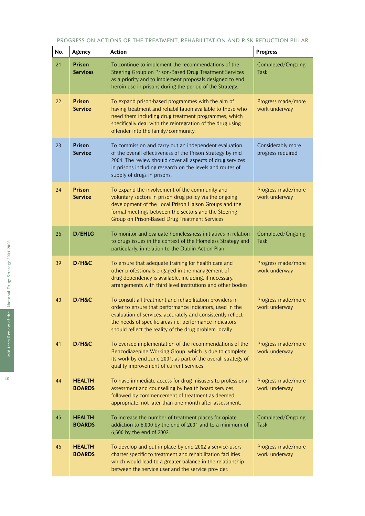#### PROGRESS ON ACTIONS OF THE TREATMENT, REHABILITATION AND RISK REDUCTION PILLAR

| No. | <b>Agency</b>                    | <b>Action</b>                                                                                                                                                                                                                                                                                             | <b>Progress</b>                        |
|-----|----------------------------------|-----------------------------------------------------------------------------------------------------------------------------------------------------------------------------------------------------------------------------------------------------------------------------------------------------------|----------------------------------------|
| 21  | <b>Prison</b><br><b>Services</b> | To continue to implement the recommendations of the<br>Steering Group on Prison-Based Drug Treatment Services<br>as a priority and to implement proposals designed to end<br>heroin use in prisons during the period of the Strategy.                                                                     | Completed/Ongoing<br><b>Task</b>       |
| 22  | <b>Prison</b><br><b>Service</b>  | To expand prison-based programmes with the aim of<br>having treatment and rehabilitation available to those who<br>need them including drug treatment programmes, which<br>specifically deal with the reintegration of the drug using<br>offender into the family/community.                              | Progress made/more<br>work underway    |
| 23  | <b>Prison</b><br><b>Service</b>  | To commission and carry out an independent evaluation<br>of the overall effectiveness of the Prison Strategy by mid<br>2004. The review should cover all aspects of drug services<br>in prisons including research on the levels and routes of<br>supply of drugs in prisons.                             | Considerably more<br>progress required |
| 24  | <b>Prison</b><br><b>Service</b>  | To expand the involvement of the community and<br>voluntary sectors in prison drug policy via the ongoing<br>development of the Local Prison Liaison Groups and the<br>formal meetings between the sectors and the Steering<br>Group on Prison-Based Drug Treatment Services.                             | Progress made/more<br>work underway    |
| 26  | <b>D/EHLG</b>                    | To monitor and evaluate homelessness initiatives in relation<br>to drugs issues in the context of the Homeless Strategy and<br>particularly, in relation to the Dublin Action Plan.                                                                                                                       | Completed/Ongoing<br>Task              |
| 39  | D/H&C                            | To ensure that adequate training for health care and<br>other professionals engaged in the management of<br>drug dependency is available, including, if necessary,<br>arrangements with third level institutions and other bodies.                                                                        | Progress made/more<br>work underway    |
| 40  | D/H&C                            | To consult all treatment and rehabilitation providers in<br>order to ensure that performance indicators, used in the<br>evaluation of services, accurately and consistently reflect<br>the needs of specific areas i.e. performance indicators<br>should reflect the reality of the drug problem locally. | Progress made/more<br>work underway    |
| 41  | D/H&C                            | To oversee implementation of the recommendations of the<br>Benzodiazepine Working Group, which is due to complete<br>its work by end June 2001, as part of the overall strategy of<br>quality improvement of current services.                                                                            | Progress made/more<br>work underway    |
| 44  | <b>HEALTH</b><br><b>BOARDS</b>   | To have immediate access for drug misusers to professional<br>assessment and counselling by health board services,<br>followed by commencement of treatment as deemed<br>appropriate, not later than one month after assessment.                                                                          | Progress made/more<br>work underway    |
| 45  | <b>HEALTH</b><br><b>BOARDS</b>   | To increase the number of treatment places for opiate<br>addiction to 6,000 by the end of 2001 and to a minimum of<br>6,500 by the end of 2002.                                                                                                                                                           | Completed/Ongoing<br><b>Task</b>       |
| 46  | <b>HEALTH</b><br><b>BOARDS</b>   | To develop and put in place by end 2002 a service-users<br>charter specific to treatment and rehabilitation facilities<br>which would lead to a greater balance in the relationship<br>between the service user and the service provider.                                                                 | Progress made/more<br>work underway    |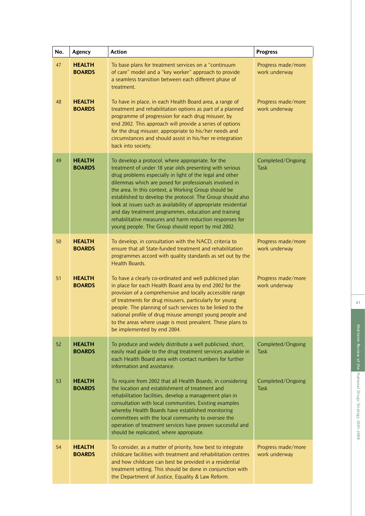| No. | Agency                         | <b>Action</b>                                                                                                                                                                                                                                                                                                                                                                                                                                                                                                                                                                                        | <b>Progress</b>                     |
|-----|--------------------------------|------------------------------------------------------------------------------------------------------------------------------------------------------------------------------------------------------------------------------------------------------------------------------------------------------------------------------------------------------------------------------------------------------------------------------------------------------------------------------------------------------------------------------------------------------------------------------------------------------|-------------------------------------|
| 47  | <b>HEALTH</b><br><b>BOARDS</b> | To base plans for treatment services on a "continuum"<br>of care" model and a "key worker" approach to provide<br>a seamless transition between each different phase of<br>treatment.                                                                                                                                                                                                                                                                                                                                                                                                                | Progress made/more<br>work underway |
| 48  | <b>HEALTH</b><br><b>BOARDS</b> | To have in place, in each Health Board area, a range of<br>treatment and rehabilitation options as part of a planned<br>programme of progression for each drug misuser, by<br>end 2002. This approach will provide a series of options<br>for the drug misuser, appropriate to his/her needs and<br>circumstances and should assist in his/her re-integration<br>back into society.                                                                                                                                                                                                                  | Progress made/more<br>work underway |
| 49  | <b>HEALTH</b><br><b>BOARDS</b> | To develop a protocol, where appropriate, for the<br>treatment of under 18 year olds presenting with serious<br>drug problems especially in light of the legal and other<br>dilemmas which are posed for professionals involved in<br>the area. In this context, a Working Group should be<br>established to develop the protocol. The Group should also<br>look at issues such as availability of appropriate residential<br>and day treatment programmes, education and training<br>rehabilitative measures and harm reduction responses for<br>young people. The Group should report by mid 2002. | Completed/Ongoing<br>Task           |
| 50  | <b>HEALTH</b><br><b>BOARDS</b> | To develop, in consultation with the NACD, criteria to<br>ensure that all State-funded treatment and rehabilitation<br>programmes accord with quality standards as set out by the<br>Health Boards.                                                                                                                                                                                                                                                                                                                                                                                                  | Progress made/more<br>work underway |
| 51  | <b>HEALTH</b><br><b>BOARDS</b> | To have a clearly co-ordinated and well publicised plan<br>in place for each Health Board area by end 2002 for the<br>provision of a comprehensive and locally accessible range<br>of treatments for drug misusers, particularly for young<br>people. The planning of such services to be linked to the<br>national profile of drug misuse amongst young people and<br>to the areas where usage is most prevalent. These plans to<br>be implemented by end 2004.                                                                                                                                     | Progress made/more<br>work underway |
| 52  | <b>HEALTH</b><br><b>BOARDS</b> | To produce and widely distribute a well publicised, short,<br>easily read guide to the drug treatment services available in<br>each Health Board area with contact numbers for further<br>information and assistance.                                                                                                                                                                                                                                                                                                                                                                                | Completed/Ongoing<br><b>Task</b>    |
| 53  | <b>HEALTH</b><br><b>BOARDS</b> | To require from 2002 that all Health Boards, in considering<br>the location and establishment of treatment and<br>rehabilitation facilities, develop a management plan in<br>consultation with local communities. Existing examples<br>whereby Health Boards have established monitoring<br>committees with the local community to oversee the<br>operation of treatment services have proven successful and<br>should be replicated, where appropiate.                                                                                                                                              | Completed/Ongoing<br>Task           |
| 54  | <b>HEALTH</b><br><b>BOARDS</b> | To consider, as a matter of priority, how best to integrate<br>childcare facilities with treatment and rehabilitation centres<br>and how childcare can best be provided in a residential<br>treatment setting. This should be done in conjunction with<br>the Department of Justice, Equality & Law Reform.                                                                                                                                                                                                                                                                                          | Progress made/more<br>work underway |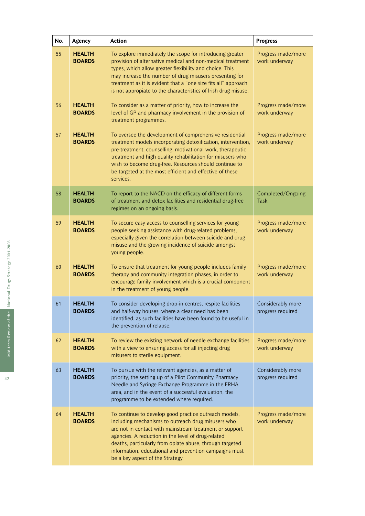| No. | Agency                         | <b>Action</b>                                                                                                                                                                                                                                                                                                                                                                          | <b>Progress</b>                        |
|-----|--------------------------------|----------------------------------------------------------------------------------------------------------------------------------------------------------------------------------------------------------------------------------------------------------------------------------------------------------------------------------------------------------------------------------------|----------------------------------------|
| 55  | <b>HEALTH</b><br><b>BOARDS</b> | To explore immediately the scope for introducing greater<br>provision of alternative medical and non-medical treatment<br>types, which allow greater flexibility and choice. This<br>may increase the number of drug misusers presenting for<br>treatment as it is evident that a "one size fits all" approach<br>is not appropiate to the characteristics of Irish drug misuse.       | Progress made/more<br>work underway    |
| 56  | <b>HEALTH</b><br><b>BOARDS</b> | To consider as a matter of priority, how to increase the<br>level of GP and pharmacy involvement in the provision of<br>treatment programmes.                                                                                                                                                                                                                                          | Progress made/more<br>work underway    |
| 57  | <b>HEALTH</b><br><b>BOARDS</b> | To oversee the development of comprehensive residential<br>treatment models incorporating detoxification, intervention,<br>pre-treatment, counselling, motivational work, therapeutic<br>treatment and high quality rehabilitation for misusers who<br>wish to become drug-free. Resources should continue to<br>be targeted at the most efficient and effective of these<br>services. | Progress made/more<br>work underway    |
| 58  | <b>HEALTH</b><br><b>BOARDS</b> | To report to the NACD on the efficacy of different forms<br>of treatment and detox facilities and residential drug-free<br>regimes on an ongoing basis.                                                                                                                                                                                                                                | Completed/Ongoing<br>Task              |
| 59  | <b>HEALTH</b><br><b>BOARDS</b> | To secure easy access to counselling services for young<br>people seeking assistance with drug-related problems,<br>especially given the correlation between suicide and drug<br>misuse and the growing incidence of suicide amongst<br>young people.                                                                                                                                  | Progress made/more<br>work underway    |
| 60  | <b>HEALTH</b><br><b>BOARDS</b> | To ensure that treatment for young people includes family<br>therapy and community integration phases, in order to<br>encourage family involvement which is a crucial component<br>in the treatment of young people.                                                                                                                                                                   | Progress made/more<br>work underway    |
| 61  | <b>HEALTH</b><br><b>BOARDS</b> | To consider developing drop-in centres, respite facilities<br>and half-way houses, where a clear need has been<br>identified, as such facilities have been found to be useful in<br>the prevention of relapse.                                                                                                                                                                         | Considerably more<br>progress required |
| 62  | <b>HEALTH</b><br><b>BOARDS</b> | To review the existing network of needle exchange facilities<br>with a view to ensuring access for all injecting drug<br>misusers to sterile equipment.                                                                                                                                                                                                                                | Progress made/more<br>work underway    |
| 63  | <b>HEALTH</b><br><b>BOARDS</b> | To pursue with the relevant agencies, as a matter of<br>priority, the setting up of a Pilot Community Pharmacy<br>Needle and Syringe Exchange Programme in the ERHA<br>area, and in the event of a successful evaluation, the<br>programme to be extended where required.                                                                                                              | Considerably more<br>progress required |
| 64  | <b>HEALTH</b><br><b>BOARDS</b> | To continue to develop good practice outreach models,<br>including mechanisms to outreach drug misusers who<br>are not in contact with mainstream treatment or support<br>agencies. A reduction in the level of drug-related<br>deaths, particularly from opiate abuse, through targeted<br>information, educational and prevention campaigns must<br>be a key aspect of the Strategy. | Progress made/more<br>work underway    |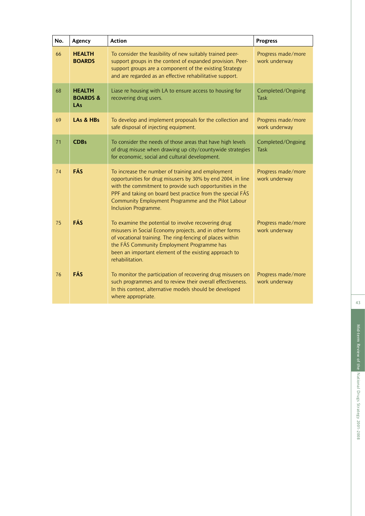| No. | Agency                                             | <b>Action</b>                                                                                                                                                                                                                                                                                                             | <b>Progress</b>                     |
|-----|----------------------------------------------------|---------------------------------------------------------------------------------------------------------------------------------------------------------------------------------------------------------------------------------------------------------------------------------------------------------------------------|-------------------------------------|
| 66  | <b>HEALTH</b><br><b>BOARDS</b>                     | To consider the feasibility of new suitably trained peer-<br>support groups in the context of expanded provision. Peer-<br>support groups are a component of the existing Strategy<br>and are regarded as an effective rehabilitative support.                                                                            | Progress made/more<br>work underway |
| 68  | <b>HEALTH</b><br><b>BOARDS &amp;</b><br><b>LAs</b> | Liase re housing with LA to ensure access to housing for<br>recovering drug users.                                                                                                                                                                                                                                        | Completed/Ongoing<br><b>Task</b>    |
| 69  | LAs & HBs                                          | To develop and implement proposals for the collection and<br>safe disposal of injecting equipment.                                                                                                                                                                                                                        | Progress made/more<br>work underway |
| 71  | <b>CDBs</b>                                        | To consider the needs of those areas that have high levels<br>of drug misuse when drawing up city/countywide strategies<br>for economic, social and cultural development.                                                                                                                                                 | Completed/Ongoing<br><b>Task</b>    |
| 74  | FÁS                                                | To increase the number of training and employment<br>opportunities for drug misusers by 30% by end 2004, in line<br>with the commitment to provide such opportunities in the<br>PPF and taking on board best practice from the special FÁS<br>Community Employment Programme and the Pilot Labour<br>Inclusion Programme. | Progress made/more<br>work underway |
| 75  | FÁS                                                | To examine the potential to involve recovering drug<br>misusers in Social Economy projects, and in other forms<br>of vocational training. The ring-fencing of places within<br>the FÁS Community Employment Programme has<br>been an important element of the existing approach to<br>rehabilitation.                     | Progress made/more<br>work underway |
| 76  | FÁS                                                | To monitor the participation of recovering drug misusers on<br>such programmes and to review their overall effectiveness.<br>In this context, alternative models should be developed<br>where appropriate.                                                                                                                | Progress made/more<br>work underway |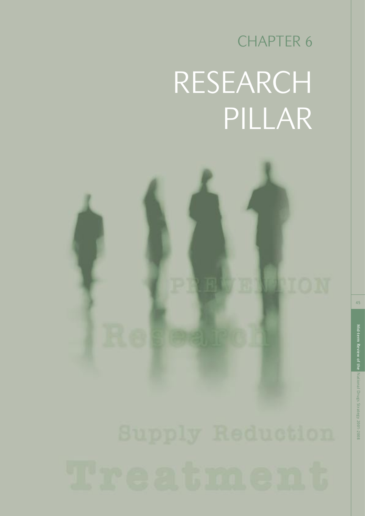## CHAPTER 6 RESEARCH PILLAR

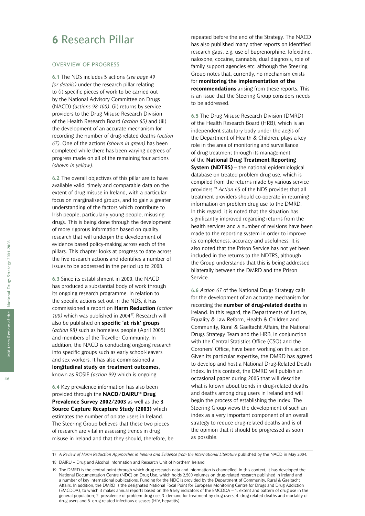### **6** Research Pillar

#### OVERVIEW OF PROGRESS

**6.1** The NDS includes 5 actions *(see page 49 for details)* under the research pillar relating to (i) specific pieces of work to be carried out by the National Advisory Committee on Drugs (NACD) *(actions 98-100)*, (ii) returns by service providers to the Drug Misuse Research Division of the Health Research Board *(action 65)* and (iii) the development of an accurate mechanism for recording the number of drug-related deaths *(action 67)*. One of the actions *(shown in green)* has been completed while there has been varying degrees of progress made on all of the remaining four actions *(shown in yellow)*.

**6.2** The overall objectives of this pillar are to have available valid, timely and comparable data on the extent of drug misuse in Ireland, with a particular focus on marginalised groups, and to gain a greater understanding of the factors which contribute to Irish people, particularly young people, misusing drugs. This is being done through the development of more rigorous information based on quality research that will underpin the development of evidence based policy-making across each of the pillars. This chapter looks at progress to date across the five research actions and identifies a number of issues to be addressed in the period up to 2008.

**6.3** Since its establishment in 2000, the NACD has produced a substantial body of work through its ongoing research programme. In relation to the specific actions set out in the NDS, it has commissioned a report on **Harm Reduction** *(action 100)* which was published in 200417. Research will also be published on **specific 'at risk' groups** *(action 98)* such as homeless people (April 2005) and members of the Traveller Community. In addition, the NACD is conducting ongoing research into specific groups such as early school-leavers and sex workers. It has also commissioned a **longitudinal study on treatment outcomes**, known as ROSIE *(action 99)* which is ongoing.

**6.4** Key prevalence information has also been provided through the **NACD/DAIRU18 Drug Prevalence Survey 2002/2003** as well as the **3 Source Capture Recapture Study (2003)** which estimates the number of opiate users in Ireland. The Steering Group believes that these two pieces of research are vital in assessing trends in drug misuse in Ireland and that they should, therefore, be repeated before the end of the Strategy. The NACD has also published many other reports on identified research gaps, e.g. use of buprenorphine, lofexidine, naloxone, cocaine, cannabis, dual diagnosis, role of family support agencies etc. although the Steering Group notes that, currently, no mechanism exists for **monitoring the implementation of the recommendations** arising from these reports. This is an issue that the Steering Group considers needs to be addressed.

**6.5** The Drug Misuse Research Division (DMRD) of the Health Research Board (HRB), which is an independent statutory body under the aegis of the Department of Health & Children, plays a key role in the area of monitoring and surveillance of drug treatment through its management of the **National Drug Treatment Reporting System (NDTRS)** – the national epidemiological database on treated problem drug use, which is compiled from the returns made by various service providers.19 *Action 65* of the NDS provides that all treatment providers should co-operate in returning information on problem drug use to the DMRD. In this regard, it is noted that the situation has significantly improved regarding returns from the health services and a number of revisions have been made to the reporting system in order to improve its completeness, accuracy and usefulness. It is also noted that the Prison Service has not yet been included in the returns to the NDTRS, although the Group understands that this is being addressed bilaterally between the DMRD and the Prison Service.

**6.6** *Action 67* of the National Drugs Strategy calls for the development of an accurate mechanism for recording the **number of drug-related deaths** in Ireland. In this regard, the Departments of Justice, Equality & Law Reform, Health & Children and Community, Rural & Gaeltacht Affairs, the National Drugs Strategy Team and the HRB, in conjunction with the Central Statistics Office (CSO) and the Coroners' Office, have been working on this action. Given its particular expertise, the DMRD has agreed to develop and host a National Drug-Related Death Index. In this context, the DMRD will publish an occasional paper during 2005 that will describe what is known about trends in drug-related deaths and deaths among drug users in Ireland and will begin the process of establishing the Index. The Steering Group views the development of such an index as a very important component of an overall strategy to reduce drug-related deaths and is of the opinion that it should be progressed as soon as possible.

<sup>17</sup> *A Review of Harm Reduction Approaches in Ireland and Evidence from the International Literature* published by the NACD in May 2004.

<sup>18</sup> DAIRU – Drug and Alcohol Information and Research Unit of Northern Ireland

<sup>19</sup> The DMRD is the central point through which drug research data and information is channelled. In this context, it has developed the National Documentation Centre (NDC) on Drug Use, which holds 2,500 volumes on drug-related research published in Ireland and a number of key international publications. Funding for the NDC is provided by the Department of Community, Rural & Gaeltacht Affairs. In addition, the DMRD is the designated National Focal Point for European Monitoring Centre for Drugs and Drug Addiction (EMCDDA), to which it makes annual reports based on the 5 key indicators of the EMCDDA – 1. extent and pattern of drug use in the general population; 2. prevalence of problem drug use; 3. demand for treatment by drug users; 4. drug-related deaths and mortality of drug users and 5. drug-related infectious diseases (HIV, hepatitis).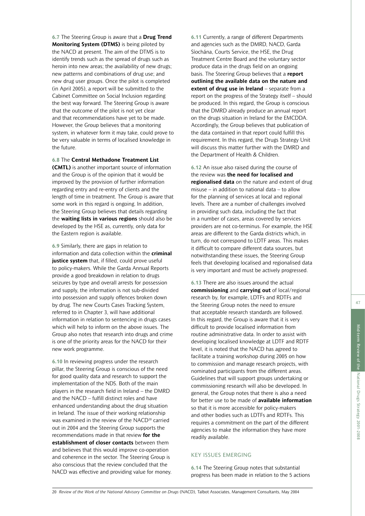**6.7** The Steering Group is aware that a **Drug Trend Monitoring System (DTMS)** is being piloted by the NACD at present. The aim of the DTMS is to identify trends such as the spread of drugs such as heroin into new areas; the availability of new drugs; new patterns and combinations of drug use; and new drug user groups. Once the pilot is completed (in April 2005), a report will be submitted to the Cabinet Committee on Social Inclusion regarding the best way forward. The Steering Group is aware that the outcome of the pilot is not yet clear and that recommendations have yet to be made. However, the Group believes that a monitoring system, in whatever form it may take, could prove to be very valuable in terms of localised knowledge in the future.

**6.8** The **Central Methadone Treatment List**

**(CMTL)** is another important source of information and the Group is of the opinion that it would be improved by the provision of further information regarding entry and re-entry of clients and the length of time in treatment. The Group is aware that some work in this regard is ongoing. In addition, the Steering Group believes that details regarding the **waiting lists in various regions** should also be developed by the HSE as, currently, only data for the Eastern region is available.

**6.9** Similarly, there are gaps in relation to information and data collection within the **criminal justice system** that, if filled, could prove useful to policy-makers. While the Garda Annual Reports provide a good breakdown in relation to drugs seizures by type and overall arrests for possession and supply, the information is not sub-divided into possession and supply offences broken down by drug. The new Courts Cases Tracking System, referred to in Chapter 3, will have additional information in relation to sentencing in drugs cases which will help to inform on the above issues. The Group also notes that research into drugs and crime is one of the priority areas for the NACD for their new work programme.

**6.10** In reviewing progress under the research pillar, the Steering Group is conscious of the need for good quality data and research to support the implementation of the NDS. Both of the main players in the research field in Ireland – the DMRD and the NACD – fulfill distinct roles and have enhanced understanding about the drug situation in Ireland. The issue of their working relationship was examined in the review of the NACD<sup>20</sup> carried out in 2004 and the Steering Group supports the recommendations made in that review **for the establishment of closer contacts** between them and believes that this would improve co-operation and coherence in the sector. The Steering Group is also conscious that the review concluded that the NACD was effective and providing value for money. **6.11** Currently, a range of different Departments and agencies such as the DMRD, NACD, Garda Síochána, Courts Service, the HSE, the Drug Treatment Centre Board and the voluntary sector produce data in the drugs field on an ongoing basis. The Steering Group believes that a **report outlining the available data on the nature and extent of drug use in Ireland** – separate from a report on the progress of the Strategy itself – should be produced. In this regard, the Group is conscious that the DMRD already produce an annual report on the drugs situation in Ireland for the EMCDDA. Accordingly, the Group believes that publication of the data contained in that report could fulfill this requirement. In this regard, the Drugs Strategy Unit will discuss this matter further with the DMRD and the Department of Health & Children.

**6.12** An issue also raised during the course of the review was **the need for localised and regionalised data** on the nature and extent of drug misuse – in addition to national data – to allow for the planning of services at local and regional levels. There are a number of challenges involved in providing such data, including the fact that in a number of cases, areas covered by services providers are not co-terminus. For example, the HSE areas are different to the Garda districts which, in turn, do not correspond to LDTF areas. This makes it difficult to compare different data sources, but notwithstanding these issues, the Steering Group feels that developing localised and regionalised data is very important and must be actively progressed.

**6.13** There are also issues around the actual **commissioning** and **carrying out** of local/regional research by, for example, LDTFs and RDTFs and the Steering Group notes the need to ensure that acceptable research standards are followed. In this regard, the Group is aware that it is very difficult to provide localised information from routine administrative data. In order to assist with developing localised knowledge at LDTF and RDTF level, it is noted that the NACD has agreed to facilitate a training workshop during 2005 on how to commission and manage research projects, with nominated participants from the different areas. Guidelines that will support groups undertaking or commissioning research will also be developed. In general, the Group notes that there is also a need for better use to be made of **available information** so that it is more accessible for policy-makers and other bodies such as LDTFs and RDTFs. This requires a commitment on the part of the different agencies to make the information they have more readily available.

#### KEY ISSUES EMERGING

**6.14** The Steering Group notes that substantial progress has been made in relation to the 5 actions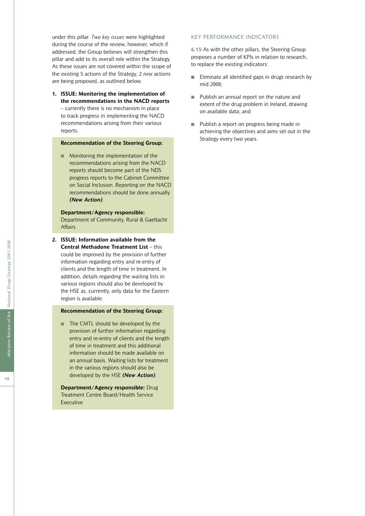under this pillar. *Two key issues* were highlighted during the course of the review, however, which if addressed, the Group believes will strengthen this pillar and add to its overall role within the Strategy. As these issues are not covered within the scope of the existing 5 actions of the Strategy, 2 *new* actions are being proposed, as outlined below.

**1. ISSUE: Monitoring the implementation of the recommendations in the NACD reports** – currently there is no mechanism in place to track progress in implementing the NACD recommendations arising from their various reports.

#### **Recommendation of the Steering Group:**

■ Monitoring the implementation of the recommendations arising from the NACD reports should become part of the NDS progress reports to the Cabinet Committee on Social Inclusion. Reporting on the NACD recommendations should be done annually *(New Action)*.

#### **Department/Agency responsible:**

Department of Community, Rural & Gaeltacht **Affairs** 

**2. ISSUE: Information available from the Central Methadone Treatment List** – this could be improved by the provision of further information regarding entry and re-entry of clients and the length of time in treatment. In addition, details regarding the waiting lists in various regions should also be developed by the HSE as, currently, only data for the Eastern region is available.

#### **Recommendation of the Steering Group:**

■ The CMTL should be developed by the provision of further information regarding entry and re-entry of clients and the length of time in treatment and this additional information should be made available on an annual basis. Waiting lists for treatment in the various regions should also be developed by the HSE *(New Action)*.

**Department/Agency responsible:** Drug Treatment Centre Board/Health Service Executive

#### KEY PERFORMANCE INDICATORS

**6.15** As with the other pillars, the Steering Group proposes a number of KPIs in relation to research, to replace the existing indicators:

- Eliminate all identified gaps in drugs research by mid 2008;
- Publish an annual report on the nature and extent of the drug problem in Ireland, drawing on available data; and
- Publish a report on progress being made in achieving the objectives and aims set out in the Strategy every two years.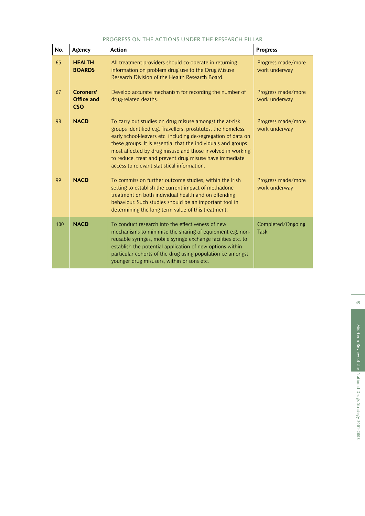#### PROGRESS ON THE ACTIONS UNDER THE RESEARCH PILLAR

| No. | Agency                                       | <b>Action</b>                                                                                                                                                                                                                                                                                                                                                                                                                      | <b>Progress</b>                     |
|-----|----------------------------------------------|------------------------------------------------------------------------------------------------------------------------------------------------------------------------------------------------------------------------------------------------------------------------------------------------------------------------------------------------------------------------------------------------------------------------------------|-------------------------------------|
| 65  | <b>HEALTH</b><br><b>BOARDS</b>               | All treatment providers should co-operate in returning<br>information on problem drug use to the Drug Misuse<br>Research Division of the Health Research Board.                                                                                                                                                                                                                                                                    | Progress made/more<br>work underway |
| 67  | Coroners'<br><b>Office and</b><br><b>CSO</b> | Develop accurate mechanism for recording the number of<br>drug-related deaths.                                                                                                                                                                                                                                                                                                                                                     | Progress made/more<br>work underway |
| 98  | <b>NACD</b>                                  | To carry out studies on drug misuse amongst the at-risk<br>groups identified e.g. Travellers, prostitutes, the homeless,<br>early school-leavers etc. including de-segregation of data on<br>these groups. It is essential that the individuals and groups<br>most affected by drug misuse and those involved in working<br>to reduce, treat and prevent drug misuse have immediate<br>access to relevant statistical information. | Progress made/more<br>work underway |
| 99  | <b>NACD</b>                                  | To commission further outcome studies, within the Irish<br>setting to establish the current impact of methadone<br>treatment on both individual health and on offending<br>behaviour. Such studies should be an important tool in<br>determining the long term value of this treatment.                                                                                                                                            | Progress made/more<br>work underway |
| 100 | <b>NACD</b>                                  | To conduct research into the effectiveness of new<br>mechanisms to minimise the sharing of equipment e.g. non-<br>reusable syringes, mobile syringe exchange facilities etc. to<br>establish the potential application of new options within<br>particular cohorts of the drug using population i.e amongst<br>younger drug misusers, within prisons etc.                                                                          | Completed/Ongoing<br><b>Task</b>    |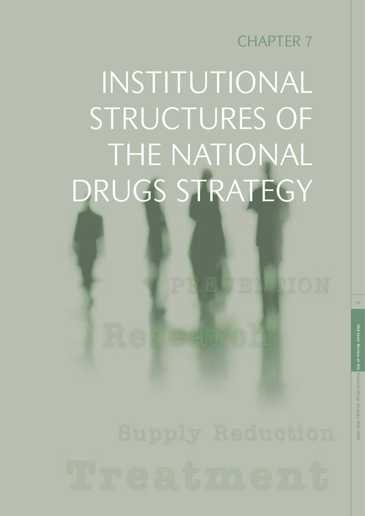## CHAPTER 7

# INSTITUTIONAL STRUCTURES OF THE NATIONAL DRUGS STRATEGY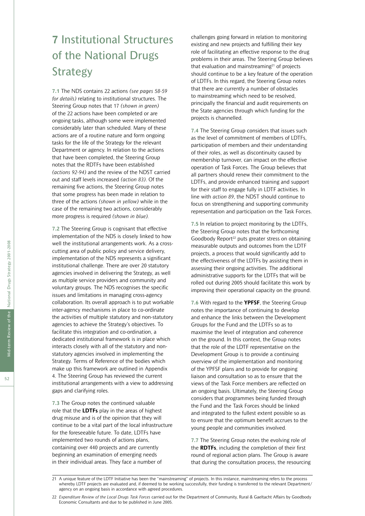### **7** Institutional Structures of the National Drugs **Strategy**

**7.1** The NDS contains 22 actions *(see pages 58-59 for details)* relating to institutional structures. The Steering Group notes that 17 *(shown in green)* of the 22 actions have been completed or are ongoing tasks, although some were implemented considerably later than scheduled. Many of these actions are of a routine nature and form ongoing tasks for the life of the Strategy for the relevant Department or agency. In relation to the actions that have been completed, the Steering Group notes that the RDTFs have been established *(actions 92-94)* and the review of the NDST carried out and staff levels increased *(action 83)*. Of the remaining five actions, the Steering Group notes that some progress has been made in relation to three of the actions *(shown in yellow)* while in the case of the remaining two actions, considerably more progress is required *(shown in blue).*

**7.2** The Steering Group is cognisant that effective implementation of the NDS is closely linked to how well the institutional arrangements work. As a crosscutting area of public policy and service delivery, implementation of the NDS represents a significant institutional challenge. There are over 20 statutory agencies involved in delivering the Strategy, as well as multiple service providers and community and voluntary groups. The NDS recognises the specific issues and limitations in managing cross-agency collaboration. Its overall approach is to put workable inter-agency mechanisms in place to co-ordinate the activities of multiple statutory and non-statutory agencies to achieve the Strategy's objectives. To facilitate this integration and co-ordination, a dedicated institutional framework is in place which interacts closely with all of the statutory and nonstatutory agencies involved in implementing the Strategy. Terms of Reference of the bodies which make up this framework are outlined in Appendix 4. The Steering Group has reviewed the current institutional arrangements with a view to addressing gaps and clarifying roles.

**7.3** The Group notes the continued valuable role that the **LDTFs** play in the areas of highest drug misuse and is of the opinion that they will continue to be a vital part of the local infrastructure for the foreseeable future. To date, LDTFs have implemented two rounds of actions plans, containing over 440 projects and are currently beginning an examination of emerging needs in their individual areas. They face a number of

challenges going forward in relation to monitoring existing and new projects and fulfilling their key role of facilitating an effective response to the drug problems in their areas. The Steering Group believes that evaluation and mainstreaming<sup>21</sup> of projects should continue to be a key feature of the operation of LDTFs. In this regard, the Steering Group notes that there are currently a number of obstacles to mainstreaming which need to be resolved, principally the financial and audit requirements on the State agencies through which funding for the projects is channelled.

**7.4** The Steering Group considers that issues such as the level of commitment of members of LDTFs, participation of members and their understanding of their roles, as well as discontinuity caused by membership turnover, can impact on the effective operation of Task Forces. The Group believes that all partners should renew their commitment to the LDTFs, and provide enhanced training and support for their staff to engage fully in LDTF activities. In line with *action 89*, the NDST should continue to focus on strengthening and supporting community representation and participation on the Task Forces.

**7.5** In relation to project monitoring by the LDTFs, the Steering Group notes that the forthcoming Goodbody Report<sup>22</sup> puts greater stress on obtaining measurable outputs and outcomes from the LDTF projects, a process that would significantly add to the effectiveness of the LDTFs by assisting them in assessing their ongoing activities. The additional administrative supports for the LDTFs that will be rolled out during 2005 should facilitate this work by improving their operational capacity on the ground.

**7.6** With regard to the **YPFSF**, the Steering Group notes the importance of continuing to develop and enhance the links between the Development Groups for the Fund and the LDTFs so as to maximise the level of integration and coherence on the ground. In this context, the Group notes that the role of the LDTF representative on the Development Group is to provide a continuing overview of the implementation and monitoring of the YPFSF plans and to provide for ongoing liaison and consultation so as to ensure that the views of the Task Force members are reflected on an ongoing basis. Ultimately, the Steering Group considers that programmes being funded through the Fund and the Task Forces should be linked and integrated to the fullest extent possible so as to ensure that the optimum benefit accrues to the young people and communities involved.

**7.7** The Steering Group notes the evolving role of the **RDTFs**, including the completion of their first round of regional action plans. The Group is aware that during the consultation process, the resourcing

<sup>21</sup> A unique feature of the LDTF Initiative has been the "mainstreaming" of projects. In this instance, mainstreaming refers to the process whereby LDTF projects are evaluated and, if deemed to be working successfully, their funding is transferred to the relevant Department/ agency on an ongoing basis in accordance with agreed procedures.

<sup>22</sup> *Expenditure Review of the Local Drugs Task Forces* carried out for the Department of Community, Rural & Gaeltacht Affairs by Goodbody Economic Consultants and due to be published in June 2005.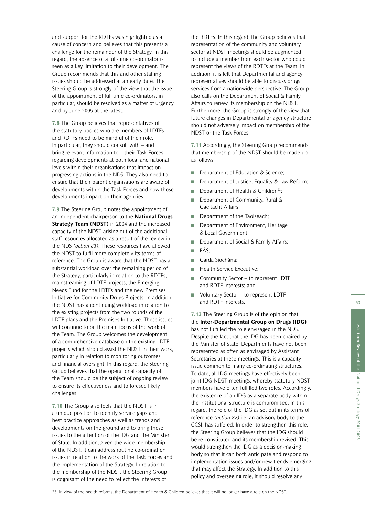and support for the RDTFs was highlighted as a cause of concern and believes that this presents a challenge for the remainder of the Strategy. In this regard, the absence of a full-time co-ordinator is seen as a key limitation to their development. The Group recommends that this and other staffing issues should be addressed at an early date. The Steering Group is strongly of the view that the issue of the appointment of full time co-ordinators, in particular, should be resolved as a matter of urgency and by June 2005 at the latest.

**7.8** The Group believes that representatives of the statutory bodies who are members of LDTFs and RDTFs need to be mindful of their role. In particular, they should consult with – and bring relevant information to – their Task Forces regarding developments at both local and national levels within their organisations that impact on progressing actions in the NDS. They also need to ensure that their parent organisations are aware of developments within the Task Forces and how those developments impact on their agencies.

**7.9** The Steering Group notes the appointment of an independent chairperson to the **National Drugs Strategy Team (NDST)** in 2004 and the increased capacity of the NDST arising out of the additional staff resources allocated as a result of the review in the NDS *(action 83)*. These resources have allowed the NDST to fulfil more completely its terms of reference. The Group is aware that the NDST has a substantial workload over the remaining period of the Strategy, particularly in relation to the RDTFs, mainstreaming of LDTF projects, the Emerging Needs Fund for the LDTFs and the new Premises Initiative for Community Drugs Projects. In addition, the NDST has a continuing workload in relation to the existing projects from the two rounds of the LDTF plans and the Premises Initiative. These issues will continue to be the main focus of the work of the Team. The Group welcomes the development of a comprehensive database on the existing LDTF projects which should assist the NDST in their work, particularly in relation to monitoring outcomes and financial oversight. In this regard, the Steering Group believes that the operational capacity of the Team should be the subject of ongoing review to ensure its effectiveness and to foresee likely challenges.

**7.10** The Group also feels that the NDST is in a unique position to identify service gaps and best practice approaches as well as trends and developments on the ground and to bring these issues to the attention of the IDG and the Minister of State. In addition, given the wide membership of the NDST, it can address routine co-ordination issues in relation to the work of the Task Forces and the implementation of the Strategy. In relation to the membership of the NDST, the Steering Group is cognisant of the need to reflect the interests of

the RDTFs. In this regard, the Group believes that representation of the community and voluntary sector at NDST meetings should be augmented to include a member from each sector who could represent the views of the RDTFs at the Team. In addition, it is felt that Departmental and agency representatives should be able to discuss drugs services from a nationwide perspective. The Group also calls on the Department of Social & Family Affairs to renew its membership on the NDST. Furthermore, the Group is strongly of the view that future changes in Departmental or agency structure should not adversely impact on membership of the NDST or the Task Forces.

**7.11** Accordingly, the Steering Group recommends that membership of the NDST should be made up as follows:

- Department of Education & Science;
- Department of Justice, Equality & Law Reform;
- Department of Health & Children<sup>23</sup>;
- Department of Community, Rural & Gaeltacht Affairs;
- Department of the Taoiseach;
- Department of Environment, Heritage & Local Government;
- Department of Social & Family Affairs;
- FÁS;
- Garda Síochána:
- Health Service Executive;
- Community Sector to represent LDTF and RDTF interests; and
- Voluntary Sector to represent LDTF and RDTF interests.

**7.12** The Steering Group is of the opinion that the **Inter-Departmental Group on Drugs (IDG)** has not fulfilled the role envisaged in the NDS. Despite the fact that the IDG has been chaired by the Minister of State, Departments have not been represented as often as envisaged by Assistant Secretaries at these meetings. This is a capacity issue common to many co-ordinating structures. To date, all IDG meetings have effectively been joint IDG-NDST meetings, whereby statutory NDST members have often fulfilled two roles. Accordingly, the existence of an IDG as a separate body within the institutional structure is compromised. In this regard, the role of the IDG as set out in its terms of reference *(action 82)* i.e. an advisory body to the CCSI, has suffered. In order to strengthen this role, the Steering Group believes that the IDG should be re-constituted and its membership revised. This would strengthen the IDG as a decision-making body so that it can both anticipate and respond to implementation issues and/or new trends emerging that may affect the Strategy. In addition to this policy and overseeing role, it should resolve any

National Drugs Strategy 2001-2008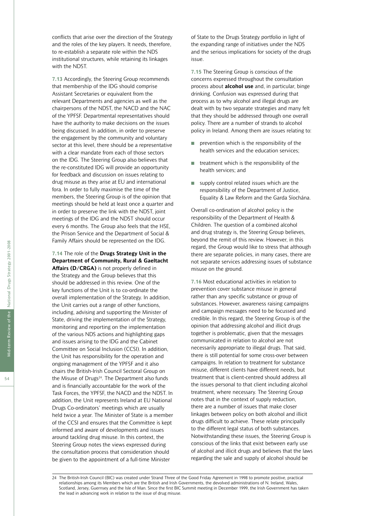conflicts that arise over the direction of the Strategy and the roles of the key players. It needs, therefore, to re-establish a separate role within the NDS institutional structures, while retaining its linkages with the NDST.

**7.13** Accordingly, the Steering Group recommends that membership of the IDG should comprise Assistant Secretaries or equivalent from the relevant Departments and agencies as well as the chairpersons of the NDST, the NACD and the NAC of the YPFSF. Departmental representatives should have the authority to make decisions on the issues being discussed. In addition, in order to preserve the engagement by the community and voluntary sector at this level, there should be a representative with a clear mandate from each of those sectors on the IDG. The Steering Group also believes that the re-constituted IDG will provide an opportunity for feedback and discussion on issues relating to drug misuse as they arise at EU and international fora. In order to fully maximise the time of the members, the Steering Group is of the opinion that meetings should be held at least once a quarter and in order to preserve the link with the NDST, joint meetings of the IDG and the NDST should occur every 6 months. The Group also feels that the HSE, the Prison Service and the Department of Social & Family Affairs should be represented on the IDG.

**7.14** The role of the **Drugs Strategy Unit in the Department of Community, Rural & Gaeltacht Affairs (D/CRGA)** is not properly defined in the Strategy and the Group believes that this should be addressed in this review. One of the key functions of the Unit is to co-ordinate the overall implementation of the Strategy. In addition, the Unit carries out a range of other functions, including, advising and supporting the Minister of State, driving the implementation of the Strategy, monitoring and reporting on the implementation of the various NDS actions and highlighting gaps and issues arising to the IDG and the Cabinet Committee on Social Inclusion (CCSI). In addition, the Unit has responsibility for the operation and ongoing management of the YPFSF and it also chairs the British-Irish Council Sectoral Group on the Misuse of Drugs<sup>24</sup>. The Department also funds and is financially accountable for the work of the Task Forces, the YPFSF, the NACD and the NDST. In addition, the Unit represents Ireland at EU National Drugs Co-ordinators' meetings which are usually held twice a year. The Minister of State is a member of the CCSI and ensures that the Committee is kept informed and aware of developments and issues around tackling drug misuse. In this context, the Steering Group notes the views expressed during the consultation process that consideration should be given to the appointment of a full-time Minister

of State to the Drugs Strategy portfolio in light of the expanding range of initiatives under the NDS and the serious implications for society of the drugs issue.

**7.15** The Steering Group is conscious of the concerns expressed throughout the consultation process about **alcohol use** and, in particular, binge drinking. Confusion was expressed during that process as to why alcohol and illegal drugs are dealt with by two separate strategies and many felt that they should be addressed through one overall policy. There are a number of strands to alcohol policy in Ireland. Among them are issues relating to:

- prevention which is the responsibility of the health services and the education services;
- treatment which is the responsibility of the health services; and
- supply control related issues which are the responsibility of the Department of Justice, Equality & Law Reform and the Garda Síochána.

Overall co-ordination of alcohol policy is the responsibility of the Department of Health & Children. The question of a combined alcohol and drug strategy is, the Steering Group believes, beyond the remit of this review. However, in this regard, the Group would like to stress that although there are separate policies, in many cases, there are not separate services addressing issues of substance misuse on the ground.

**7.16** Most educational activities in relation to prevention cover substance misuse in general rather than any specific substance or group of substances. However, awareness raising campaigns and campaign messages need to be focussed and credible. In this regard, the Steering Group is of the opinion that addressing alcohol and illicit drugs together is problematic, given that the messages communicated in relation to alcohol are not necessarily appropriate to illegal drugs. That said, there is still potential for some cross-over between campaigns. In relation to treatment for substance misuse, different clients have different needs, but treatment that is client-centred should address all the issues personal to that client including alcohol treatment, where necessary. The Steering Group notes that in the context of supply reduction, there are a number of issues that make closer linkages between policy on both alcohol and illicit drugs difficult to achieve. These relate principally to the different legal status of both substances. Notwithstanding these issues, the Steering Group is conscious of the links that exist between early use of alcohol and illicit drugs and believes that the laws regarding the sale and supply of alcohol should be

<sup>24</sup> The British-Irish Council (BIC) was created under Strand Three of the Good Friday Agreement in 1998 to promote positive, practical relationships among its Members which are the British and Irish Governments, the devolved administrations of N. Ireland, Wales, Scotland, Jersey, Guernsey and the Isle of Man. Since the first BIC Summit meeting in December 1999, the Irish Government has taken the lead in advancing work in relation to the issue of drug misuse.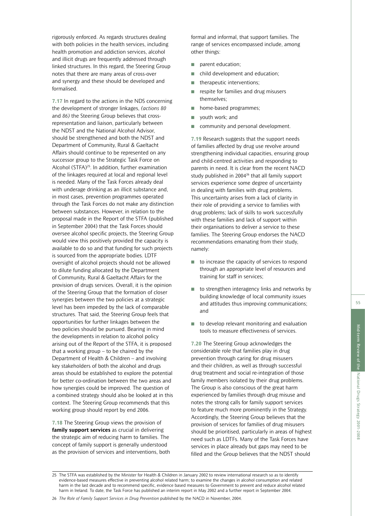rigorously enforced. As regards structures dealing with both policies in the health services, including health promotion and addiction services, alcohol and illicit drugs are frequently addressed through linked structures. In this regard, the Steering Group notes that there are many areas of cross-over and synergy and these should be developed and formalised.

**7.17** In regard to the actions in the NDS concerning the development of stronger linkages, *(actions 80* and *86)* the Steering Group believes that crossrepresentation and liaison, particularly between the NDST and the National Alcohol Advisor, should be strengthened and both the NDST and Department of Community, Rural & Gaeltacht Affairs should continue to be represented on any successor group to the Strategic Task Force on Alcohol (STFA)25. In addition, further examination of the linkages required at local and regional level is needed. Many of the Task Forces already deal with underage drinking as an illicit substance and, in most cases, prevention programmes operated through the Task Forces do not make any distinction between substances. However, in relation to the proposal made in the Report of the STFA (published in September 2004) that the Task Forces should oversee alcohol specific projects, the Steering Group would view this positively provided the capacity is available to do so and that funding for such projects is sourced from the appropriate bodies. LDTF oversight of alcohol projects should not be allowed to dilute funding allocated by the Department of Community, Rural & Gaeltacht Affairs for the provision of drugs services. Overall, it is the opinion of the Steering Group that the formation of closer synergies between the two policies at a strategic level has been impeded by the lack of comparable structures. That said, the Steering Group feels that opportunities for further linkages between the two policies should be pursued. Bearing in mind the developments in relation to alcohol policy arising out of the Report of the STFA, it is proposed that a working group – to be chaired by the Department of Health & Children – and involving key stakeholders of both the alcohol and drugs areas should be established to explore the potential for better co-ordination between the two areas and how synergies could be improved. The question of a combined strategy should also be looked at in this context. The Steering Group recommends that this working group should report by end 2006.

**7.18** The Steering Group views the provision of **family support services** as crucial in delivering the strategic aim of reducing harm to families. The concept of family support is generally understood as the provision of services and interventions, both formal and informal, that support families. The range of services encompassed include, among other things:

- parent education;
- child development and education;
- therapeutic interventions;
- respite for families and drug misusers themselves;
- home-based programmes;
- youth work; and
- community and personal development.

**7.19** Research suggests that the support needs of families affected by drug use revolve around strengthening individual capacities, ensuring group and child-centred activities and responding to parents in need. It is clear from the recent NACD study published in 2004<sup>26</sup> that all family support services experience some degree of uncertainty in dealing with families with drug problems. This uncertainty arises from a lack of clarity in their role of providing a service to families with drug problems; lack of skills to work successfully with these families and lack of support within their organisations to deliver a service to these families. The Steering Group endorses the NACD recommendations emanating from their study, namely:

- to increase the capacity of services to respond through an appropriate level of resources and training for staff in services;
- to strengthen interagency links and networks by building knowledge of local community issues and attitudes thus improving communications; and
- to develop relevant monitoring and evaluation tools to measure effectiveness of services.

**7.20** The Steering Group acknowledges the considerable role that families play in drug prevention through caring for drug misusers and their children, as well as through successful drug treatment and social re-integration of those family members isolated by their drug problems. The Group is also conscious of the great harm experienced by families through drug misuse and notes the strong calls for family support services to feature much more prominently in the Strategy. Accordingly, the Steering Group believes that the provision of services for families of drug misusers should be prioritised, particularly in areas of highest need such as LDTFs. Many of the Task Forces have services in place already but gaps may need to be filled and the Group believes that the NDST should

National Drugs Strategy 2001-2008

<sup>25</sup> The STFA was established by the Minister for Health & Children in January 2002 to review international research so as to identify evidence-based measures effective in preventing alcohol related harm; to examine the changes in alcohol consumption and related harm in the last decade and to recommend specific, evidence based measures to Government to prevent and reduce alcohol related harm in Ireland. To date, the Task Force has published an interim report in May 2002 and a further report in September 2004.

<sup>26</sup> *The Role of Family Support Services in Drug Prevention* published by the NACD in November, 2004.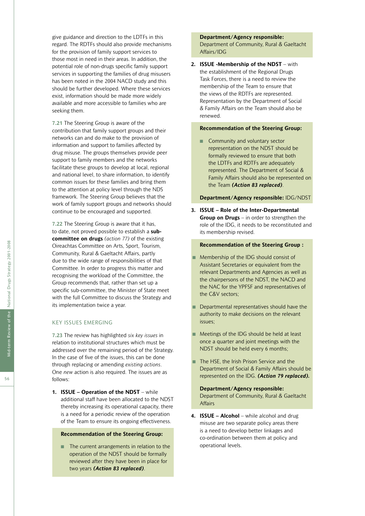give guidance and direction to the LDTFs in this regard. The RDTFs should also provide mechanisms for the provision of family support services to those most in need in their areas. In addition, the potential role of non-drugs specific family support services in supporting the families of drug misusers has been noted in the 2004 NACD study and this should be further developed. Where these services exist, information should be made more widely available and more accessible to families who are seeking them.

**7.21** The Steering Group is aware of the contribution that family support groups and their networks can and do make to the provision of information and support to families affected by drug misuse. The groups themselves provide peer support to family members and the networks facilitate these groups to develop at local, regional and national level, to share information, to identify common issues for these families and bring them to the attention at policy level through the NDS framework. The Steering Group believes that the work of family support groups and networks should continue to be encouraged and supported.

**7.22** The Steering Group is aware that it has, to date, not proved possible to establish a **subcommittee on drugs** *(action 77)* of the existing Oireachtas Committee on Arts, Sport, Tourism, Community, Rural & Gaeltacht Affairs, partly due to the wide range of responsibilities of that Committee. In order to progress this matter and recognising the workload of the Committee, the Group recommends that, rather than set up a specific sub-committee, the Minister of State meet with the full Committee to discuss the Strategy and its implementation twice a year.

#### KEY ISSUES EMERGING

**7.23** The review has highlighted *six key issues* in relation to institutional structures which must be addressed over the remaining period of the Strategy. In the case of five of the issues, this can be done through replacing or amending *existing actions*. One *new* action is also required. The issues are as follows:

**1. ISSUE – Operation of the NDST** – while additional staff have been allocated to the NDST thereby increasing its operational capacity, there is a need for a periodic review of the operation of the Team to ensure its ongoing effectiveness.

#### **Recommendation of the Steering Group:**

■ The current arrangements in relation to the operation of the NDST should be formally reviewed after they have been in place for two years *(Action 83 replaced)*.

#### **Department/Agency responsible:** Department of Community, Rural & Gaeltacht Affairs/IDG

**2. ISSUE -Membership of the NDST** – with the establishment of the Regional Drugs Task Forces, there is a need to review the membership of the Team to ensure that the views of the RDTFs are represented. Representation by the Department of Social & Family Affairs on the Team should also be renewed.

#### **Recommendation of the Steering Group:**

■ Community and voluntary sector representation on the NDST should be formally reviewed to ensure that both the LDTFs and RDTFs are adequately represented. The Department of Social & Family Affairs should also be represented on the Team *(Action 83 replaced)*.

#### **Department/Agency responsible:** IDG/NDST

**3. ISSUE – Role of the Inter-Departmental Group on Drugs** – in order to strengthen the role of the IDG, it needs to be reconstituted and its membership revised.

#### **Recommendation of the Steering Group :**

- Membership of the IDG should consist of Assistant Secretaries or equivalent from the relevant Departments and Agencies as well as the chairpersons of the NDST, the NACD and the NAC for the YPFSF and representatives of the C&V sectors;
- Departmental representatives should have the authority to make decisions on the relevant issues;
- Meetings of the IDG should be held at least once a quarter and joint meetings with the NDST should be held every 6 months;
- The HSE, the Irish Prison Service and the Department of Social & Family Affairs should be represented on the IDG. *(Action 79 replaced).*

#### **Department/Agency responsible:** Department of Community, Rural & Gaeltacht Affairs

**4. ISSUE – Alcohol** – while alcohol and drug misuse are two separate policy areas there is a need to develop better linkages and co-ordination between them at policy and operational levels.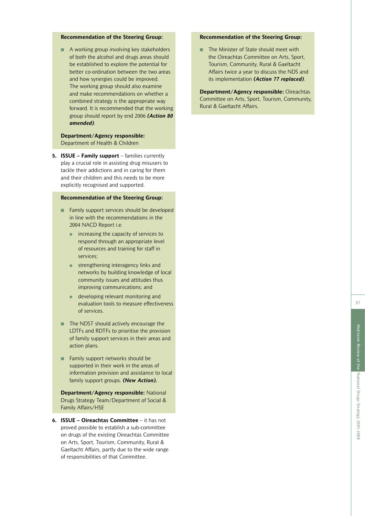# Mid-term Review of the Mid-term Review of the National Drugs Strategy 2001-2008 National Drugs Strategy 2001-2008

57

#### **Recommendation of the Steering Group:**

■ The Minister of State should meet with the Oireachtas Committee on Arts, Sport, Tourism, Community, Rural & Gaeltacht Affairs twice a year to discuss the NDS and its implementation *(Action 77 replaced)*.

**Department/Agency responsible:** Oireachtas Committee on Arts, Sport, Tourism, Community, Rural & Gaeltacht Affairs.

#### **Recommendation of the Steering Group:**

■ A working group involving key stakeholders of both the alcohol and drugs areas should be established to explore the potential for better co-ordination between the two areas and how synergies could be improved. The working group should also examine and make recommendations on whether a combined strategy is the appropriate way forward. It is recommended that the working group should report by end 2006 *(Action 80 amended)*.

#### **Department/Agency responsible:** Department of Health & Children

**5. ISSUE – Family support** – families currently play a crucial role in assisting drug misusers to tackle their addictions and in caring for them and their children and this needs to be more explicitly recognised and supported.

#### **Recommendation of the Steering Group:**

- Family support services should be developed in line with the recommendations in the 2004 NACD Report i.e.
	- increasing the capacity of services to respond through an appropriate level of resources and training for staff in services;
	- **•** strengthening interagency links and networks by building knowledge of local community issues and attitudes thus improving communications; and
	- developing relevant monitoring and evaluation tools to measure effectiveness of services.
- The NDST should actively encourage the LDTFs and RDTFs to prioritise the provision of family support services in their areas and action plans.
- Family support networks should be supported in their work in the areas of information provision and assistance to local family support groups. *(New Action).*

**Department/Agency responsible:** National Drugs Strategy Team/Department of Social & Family Affairs/HSE

**6. ISSUE – Oireachtas Committee** – it has not proved possible to establish a sub-committee on drugs of the existing Oireachtas Committee on Arts, Sport, Tourism, Community, Rural & Gaeltacht Affairs, partly due to the wide range of responsibilities of that Committee.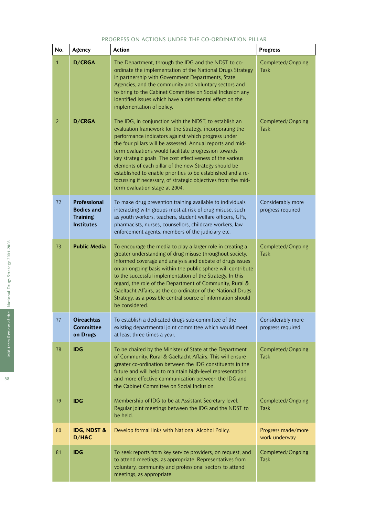### PROGRESS ON ACTIONS UNDER THE CO-ORDINATION PILLAR

| No.                            | Agency                                                                           | <b>Action</b>                                                                                                                                                                                                                                                                                                                                                                                                                                                                                                                                                                                                                    | <b>Progress</b>                                               |
|--------------------------------|----------------------------------------------------------------------------------|----------------------------------------------------------------------------------------------------------------------------------------------------------------------------------------------------------------------------------------------------------------------------------------------------------------------------------------------------------------------------------------------------------------------------------------------------------------------------------------------------------------------------------------------------------------------------------------------------------------------------------|---------------------------------------------------------------|
| $\mathbf{1}$<br>$\overline{2}$ | D/CRGA<br><b>D/CRGA</b>                                                          | The Department, through the IDG and the NDST to co-<br>ordinate the implementation of the National Drugs Strategy<br>in partnership with Government Departments, State<br>Agencies, and the community and voluntary sectors and<br>to bring to the Cabinet Committee on Social Inclusion any<br>identified issues which have a detrimental effect on the<br>implementation of policy.<br>The IDG, in conjunction with the NDST, to establish an<br>evaluation framework for the Strategy, incorporating the<br>performance indicators against which progress under<br>the four pillars will be assessed. Annual reports and mid- | Completed/Ongoing<br><b>Task</b><br>Completed/Ongoing<br>Task |
|                                |                                                                                  | term evaluations would facilitate progression towards<br>key strategic goals. The cost effectiveness of the various<br>elements of each pillar of the new Strategy should be<br>established to enable priorities to be established and a re-<br>focussing if necessary, of strategic objectives from the mid-<br>term evaluation stage at 2004.                                                                                                                                                                                                                                                                                  |                                                               |
| 72                             | <b>Professional</b><br><b>Bodies and</b><br><b>Training</b><br><b>Institutes</b> | To make drug prevention training available to individuals<br>interacting with groups most at risk of drug misuse, such<br>as youth workers, teachers, student welfare officers, GPs,<br>pharmacists, nurses, counsellors, childcare workers, law<br>enforcement agents, members of the judiciary etc.                                                                                                                                                                                                                                                                                                                            | Considerably more<br>progress required                        |
| 73                             | <b>Public Media</b>                                                              | To encourage the media to play a larger role in creating a<br>greater understanding of drug misuse throughout society.<br>Informed coverage and analysis and debate of drugs issues<br>on an ongoing basis within the public sphere will contribute<br>to the successful implementation of the Strategy. In this<br>regard, the role of the Department of Community, Rural &<br>Gaeltacht Affairs, as the co-ordinator of the National Drugs<br>Strategy, as a possible central source of information should<br>be considered.                                                                                                   | Completed/Ongoing<br>Task                                     |
| 77                             | <b>Oireachtas</b><br><b>Committee</b><br>on Drugs                                | To establish a dedicated drugs sub-committee of the<br>existing departmental joint committee which would meet<br>at least three times a year.                                                                                                                                                                                                                                                                                                                                                                                                                                                                                    | Considerably more<br>progress required                        |
| 78                             | <b>IDG</b>                                                                       | To be chaired by the Minister of State at the Department<br>of Community, Rural & Gaeltacht Affairs. This will ensure<br>greater co-ordination between the IDG constituents in the<br>future and will help to maintain high-level representation<br>and more effective communication between the IDG and<br>the Cabinet Committee on Social Inclusion.                                                                                                                                                                                                                                                                           | Completed/Ongoing<br>Task                                     |
| 79                             | <b>IDG</b>                                                                       | Membership of IDG to be at Assistant Secretary level.<br>Regular joint meetings between the IDG and the NDST to<br>be held.                                                                                                                                                                                                                                                                                                                                                                                                                                                                                                      | Completed/Ongoing<br><b>Task</b>                              |
| 80                             | <b>IDG, NDST &amp;</b><br>D/H&C                                                  | Develop formal links with National Alcohol Policy.                                                                                                                                                                                                                                                                                                                                                                                                                                                                                                                                                                               | Progress made/more<br>work underway                           |
| 81                             | <b>IDG</b>                                                                       | To seek reports from key service providers, on request, and<br>to attend meetings, as appropriate. Representatives from<br>voluntary, community and professional sectors to attend<br>meetings, as appropriate.                                                                                                                                                                                                                                                                                                                                                                                                                  | Completed/Ongoing<br><b>Task</b>                              |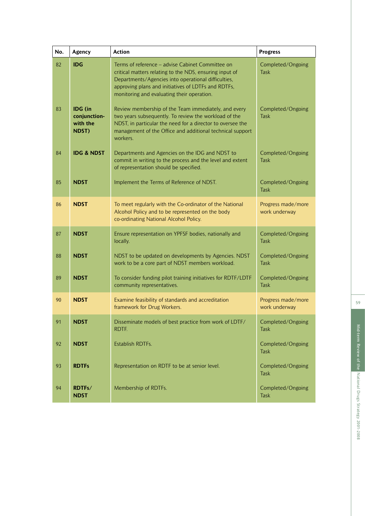| No. | Agency                                       | <b>Action</b>                                                                                                                                                                                                                                                           | <b>Progress</b>                     |
|-----|----------------------------------------------|-------------------------------------------------------------------------------------------------------------------------------------------------------------------------------------------------------------------------------------------------------------------------|-------------------------------------|
| 82  | <b>IDG</b>                                   | Terms of reference – advise Cabinet Committee on<br>critical matters relating to the NDS, ensuring input of<br>Departments/Agencies into operational difficulties,<br>approving plans and initiatives of LDTFs and RDTFs,<br>monitoring and evaluating their operation. | Completed/Ongoing<br><b>Task</b>    |
| 83  | IDG (in<br>conjunction-<br>with the<br>NDST) | Review membership of the Team immediately, and every<br>two years subsequently. To review the workload of the<br>NDST, in particular the need for a director to oversee the<br>management of the Office and additional technical support<br>workers.                    | Completed/Ongoing<br><b>Task</b>    |
| 84  | <b>IDG &amp; NDST</b>                        | Departments and Agencies on the IDG and NDST to<br>commit in writing to the process and the level and extent<br>of representation should be specified.                                                                                                                  | Completed/Ongoing<br><b>Task</b>    |
| 85  | <b>NDST</b>                                  | Implement the Terms of Reference of NDST.                                                                                                                                                                                                                               | Completed/Ongoing<br>Task           |
| 86  | <b>NDST</b>                                  | To meet regularly with the Co-ordinator of the National<br>Alcohol Policy and to be represented on the body<br>co-ordinating National Alcohol Policy.                                                                                                                   | Progress made/more<br>work underway |
| 87  | <b>NDST</b>                                  | Ensure representation on YPFSF bodies, nationally and<br>locally.                                                                                                                                                                                                       | Completed/Ongoing<br>Task           |
| 88  | <b>NDST</b>                                  | NDST to be updated on developments by Agencies. NDST<br>work to be a core part of NDST members workload.                                                                                                                                                                | Completed/Ongoing<br>Task           |
| 89  | <b>NDST</b>                                  | To consider funding pilot training initiatives for RDTF/LDTF<br>community representatives.                                                                                                                                                                              | Completed/Ongoing<br><b>Task</b>    |
| 90  | <b>NDST</b>                                  | Examine feasibility of standards and accreditation<br>framework for Drug Workers.                                                                                                                                                                                       | Progress made/more<br>work underway |
| 91  | <b>NDST</b>                                  | Disseminate models of best practice from work of LDTF/<br>RDTF.                                                                                                                                                                                                         | Completed/Ongoing<br><b>Task</b>    |
| 92  | <b>NDST</b>                                  | Establish RDTFs.                                                                                                                                                                                                                                                        | Completed/Ongoing<br><b>Task</b>    |
| 93  | <b>RDTFs</b>                                 | Representation on RDTF to be at senior level.                                                                                                                                                                                                                           | Completed/Ongoing<br><b>Task</b>    |
| 94  | RDTFs/<br><b>NDST</b>                        | Membership of RDTFs.                                                                                                                                                                                                                                                    | Completed/Ongoing<br>Task           |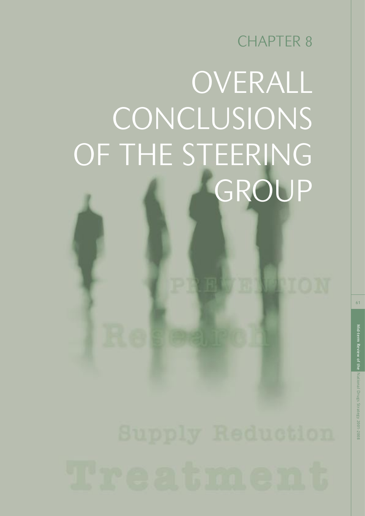## CHAPTER 8

## OVERALL CONCLUSIONS OF THE STEERING GROUP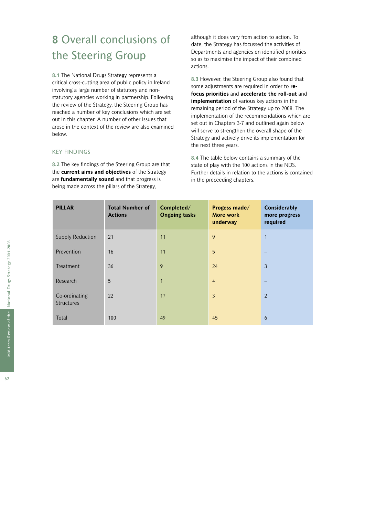### **8** Overall conclusions of the Steering Group

**8.1** The National Drugs Strategy represents a critical cross-cutting area of public policy in Ireland involving a large number of statutory and nonstatutory agencies working in partnership. Following the review of the Strategy, the Steering Group has reached a number of key conclusions which are set out in this chapter. A number of other issues that arose in the context of the review are also examined below.

#### KEY FINDINGS

**8.2** The key findings of the Steering Group are that the **current aims and objectives** of the Strategy are **fundamentally sound** and that progress is being made across the pillars of the Strategy,

although it does vary from action to action. To date, the Strategy has focussed the activities of Departments and agencies on identified priorities so as to maximise the impact of their combined actions.

**8.3** However, the Steering Group also found that some adjustments are required in order to **refocus priorities** and **accelerate the roll-out** and **implementation** of various key actions in the remaining period of the Strategy up to 2008. The implementation of the recommendations which are set out in Chapters 3-7 and outlined again below will serve to strengthen the overall shape of the Strategy and actively drive its implementation for the next three years.

**8.4** The table below contains a summary of the state of play with the 100 actions in the NDS. Further details in relation to the actions is contained in the preceeding chapters.

| <b>PILLAR</b>               | <b>Total Number of</b><br><b>Actions</b> | Completed/<br><b>Ongoing tasks</b> | Progess made/<br>More work<br>underway | <b>Considerably</b><br>more progress<br>required |
|-----------------------------|------------------------------------------|------------------------------------|----------------------------------------|--------------------------------------------------|
| <b>Supply Reduction</b>     | 21                                       | 11                                 | 9                                      | $\mathbf{1}$                                     |
| Prevention                  | 16                                       | 11                                 | 5                                      |                                                  |
| Treatment                   | 36                                       | 9                                  | 24                                     | $\overline{3}$                                   |
| Research                    | 5                                        | $\mathbf{1}$                       | $\overline{4}$                         |                                                  |
| Co-ordinating<br>Structures | 22                                       | 17                                 | 3                                      | 2                                                |
| Total                       | 100                                      | 49                                 | 45                                     | 6                                                |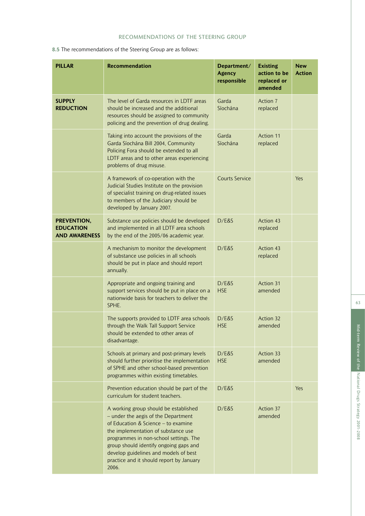#### RECOMMENDATIONS OF THE STEERING GROUP

**8.5** The recommendations of the Steering Group are as follows:

| <b>PILLAR</b>                                           | <b>Recommendation</b>                                                                                                                                                                                                                                                                                                                        | Department/<br><b>Agency</b><br>responsible | <b>Existing</b><br>action to be<br>replaced or<br>amended | <b>New</b><br><b>Action</b> |
|---------------------------------------------------------|----------------------------------------------------------------------------------------------------------------------------------------------------------------------------------------------------------------------------------------------------------------------------------------------------------------------------------------------|---------------------------------------------|-----------------------------------------------------------|-----------------------------|
| <b>SUPPLY</b><br><b>REDUCTION</b>                       | The level of Garda resources in LDTF areas<br>should be increased and the additional<br>resources should be assigned to community<br>policing and the prevention of drug dealing.                                                                                                                                                            | Garda<br>Síochána                           | Action 7<br>replaced                                      |                             |
|                                                         | Taking into account the provisions of the<br>Garda Síochána Bill 2004, Community<br>Policing Fora should be extended to all<br>LDTF areas and to other areas experiencing<br>problems of drug misuse.                                                                                                                                        | Garda<br>Síochána                           | Action 11<br>replaced                                     |                             |
|                                                         | A framework of co-operation with the<br>Judicial Studies Institute on the provision<br>of specialist training on drug-related issues<br>to members of the Judiciary should be<br>developed by January 2007.                                                                                                                                  | <b>Courts Service</b>                       |                                                           | Yes                         |
| PREVENTION,<br><b>EDUCATION</b><br><b>AND AWARENESS</b> | Substance use policies should be developed<br>and implemented in all LDTF area schools<br>by the end of the 2005/06 academic year.                                                                                                                                                                                                           | D/E&S                                       | Action 43<br>replaced                                     |                             |
|                                                         | A mechanism to monitor the development<br>of substance use policies in all schools<br>should be put in place and should report<br>annually.                                                                                                                                                                                                  | D/E&S                                       | Action 43<br>replaced                                     |                             |
|                                                         | Appropriate and ongoing training and<br>support services should be put in place on a<br>nationwide basis for teachers to deliver the<br>SPHE.                                                                                                                                                                                                | D/E&S<br><b>HSE</b>                         | <b>Action 31</b><br>amended                               |                             |
|                                                         | The supports provided to LDTF area schools<br>through the Walk Tall Support Service<br>should be extended to other areas of<br>disadvantage.                                                                                                                                                                                                 | D/E&S<br><b>HSE</b>                         | Action 32<br>amended                                      |                             |
|                                                         | Schools at primary and post-primary levels<br>should further prioritise the implementation<br>of SPHE and other school-based prevention<br>programmes within existing timetables.                                                                                                                                                            | D/E&S<br><b>HSE</b>                         | Action 33<br>amended                                      |                             |
|                                                         | Prevention education should be part of the<br>curriculum for student teachers.                                                                                                                                                                                                                                                               | D/E&S                                       |                                                           | Yes                         |
|                                                         | A working group should be established<br>- under the aegis of the Department<br>of Education & Science - to examine<br>the implementation of substance use<br>programmes in non-school settings. The<br>group should identify ongoing gaps and<br>develop guidelines and models of best<br>practice and it should report by January<br>2006. | D/E&S                                       | Action 37<br>amended                                      |                             |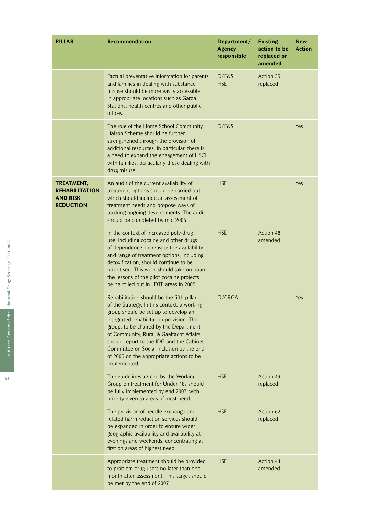| <b>PILLAR</b>                                                              | <b>Recommendation</b>                                                                                                                                                                                                                                                                                                                                                                                                 | Department/<br><b>Agency</b><br>responsible | <b>Existing</b><br>action to be<br>replaced or<br>amended | <b>New</b><br><b>Action</b> |
|----------------------------------------------------------------------------|-----------------------------------------------------------------------------------------------------------------------------------------------------------------------------------------------------------------------------------------------------------------------------------------------------------------------------------------------------------------------------------------------------------------------|---------------------------------------------|-----------------------------------------------------------|-----------------------------|
|                                                                            | Factual preventative information for parents<br>and families in dealing with substance<br>misuse should be more easily accessible<br>in appropriate locations such as Garda<br>Stations, health centres and other public<br>offices.                                                                                                                                                                                  | D/E&S<br><b>HSE</b>                         | Action 35<br>replaced                                     |                             |
|                                                                            | The role of the Home School Community<br>Liaison Scheme should be further<br>strengthened through the provision of<br>additional resources. In particular, there is<br>a need to expand the engagement of HSCL<br>with families, particularly those dealing with<br>drug misuse.                                                                                                                                      | D/E&S                                       |                                                           | Yes                         |
| TREATMENT,<br><b>REHABILITATION</b><br><b>AND RISK</b><br><b>REDUCTION</b> | An audit of the current availability of<br>treatment options should be carried out<br>which should include an assessment of<br>treatment needs and propose ways of<br>tracking ongoing developments. The audit<br>should be completed by mid 2006.                                                                                                                                                                    | <b>HSE</b>                                  |                                                           | Yes                         |
|                                                                            | In the context of increased poly-drug<br>use, including cocaine and other drugs<br>of dependence, increasing the availability<br>and range of treatment options, including<br>detoxification, should continue to be<br>prioritised. This work should take on board<br>the lessons of the pilot cocaine projects<br>being rolled out in LDTF areas in 2005.                                                            | <b>HSE</b>                                  | Action 48<br>amended                                      |                             |
|                                                                            | Rehabilitation should be the fifth pillar<br>of the Strategy. In this context, a working<br>group should be set up to develop an<br>integrated rehabilitation provision. The<br>group, to be chaired by the Department<br>of Community, Rural & Gaeltacht Affairs<br>should report to the IDG and the Cabinet<br>Committee on Social Inclusion by the end<br>of 2005 on the appropriate actions to be<br>implemented. | D/CRGA                                      |                                                           | Yes                         |
|                                                                            | The guidelines agreed by the Working<br>Group on treatment for Under 18s should<br>be fully implemented by end 2007, with<br>priority given to areas of most need.                                                                                                                                                                                                                                                    | <b>HSE</b>                                  | Action 49<br>replaced                                     |                             |
|                                                                            | The provision of needle exchange and<br>related harm reduction services should<br>be expanded in order to ensure wider<br>geographic availability and availability at<br>evenings and weekends, concentrating at<br>first on areas of highest need.                                                                                                                                                                   | <b>HSE</b>                                  | Action 62<br>replaced                                     |                             |
|                                                                            | Appropriate treatment should be provided<br>to problem drug users no later than one<br>month after assessment. This target should<br>be met by the end of 2007.                                                                                                                                                                                                                                                       | <b>HSE</b>                                  | Action 44<br>amended                                      |                             |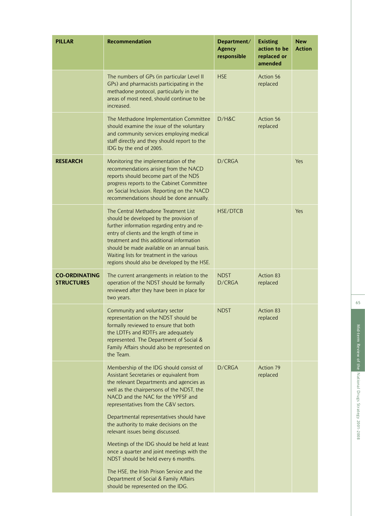| <b>PILLAR</b>                             | <b>Recommendation</b>                                                                                                                                                                                                                                                                                                                                                   | Department/<br><b>Agency</b><br>responsible | <b>Existing</b><br>action to be<br>replaced or<br>amended | <b>New</b><br><b>Action</b> |
|-------------------------------------------|-------------------------------------------------------------------------------------------------------------------------------------------------------------------------------------------------------------------------------------------------------------------------------------------------------------------------------------------------------------------------|---------------------------------------------|-----------------------------------------------------------|-----------------------------|
|                                           | The numbers of GPs (in particular Level II<br>GPs) and pharmacists participating in the<br>methadone protocol, particularly in the<br>areas of most need, should continue to be<br>increased.                                                                                                                                                                           | <b>HSE</b>                                  | Action 56<br>replaced                                     |                             |
|                                           | The Methadone Implementation Committee<br>should examine the issue of the voluntary<br>and community services employing medical<br>staff directly and they should report to the<br>IDG by the end of 2005.                                                                                                                                                              | D/H&C                                       | Action 56<br>replaced                                     |                             |
| <b>RESEARCH</b>                           | Monitoring the implementation of the<br>recommendations arising from the NACD<br>reports should become part of the NDS<br>progress reports to the Cabinet Committee<br>on Social Inclusion. Reporting on the NACD<br>recommendations should be done annually.                                                                                                           | D/CRGA                                      |                                                           | Yes                         |
|                                           | The Central Methadone Treatment List<br>should be developed by the provision of<br>further information regarding entry and re-<br>entry of clients and the length of time in<br>treatment and this additional information<br>should be made available on an annual basis.<br>Waiting lists for treatment in the various<br>regions should also be developed by the HSE. | <b>HSE/DTCB</b>                             |                                                           | Yes                         |
| <b>CO-ORDINATING</b><br><b>STRUCTURES</b> | The current arrangements in relation to the<br>operation of the NDST should be formally<br>reviewed after they have been in place for<br>two years.                                                                                                                                                                                                                     | <b>NDST</b><br>D/CRGA                       | Action 83<br>replaced                                     |                             |
|                                           | Community and voluntary sector<br>representation on the NDST should be<br>formally reviewed to ensure that both<br>the LDTFs and RDTFs are adequately<br>represented. The Department of Social &<br>Family Affairs should also be represented on<br>the Team.                                                                                                           | NDST                                        | Action 83<br>replaced                                     |                             |
|                                           | Membership of the IDG should consist of<br>Assistant Secretaries or equivalent from<br>the relevant Departments and agencies as<br>well as the chairpersons of the NDST, the<br>NACD and the NAC for the YPFSF and<br>representatives from the C&V sectors.                                                                                                             | D/CRGA                                      | Action 79<br>replaced                                     |                             |
|                                           | Departmental representatives should have<br>the authority to make decisions on the<br>relevant issues being discussed.                                                                                                                                                                                                                                                  |                                             |                                                           |                             |
|                                           | Meetings of the IDG should be held at least<br>once a quarter and joint meetings with the<br>NDST should be held every 6 months.                                                                                                                                                                                                                                        |                                             |                                                           |                             |
|                                           | The HSE, the Irish Prison Service and the<br>Department of Social & Family Affairs<br>should be represented on the IDG.                                                                                                                                                                                                                                                 |                                             |                                                           |                             |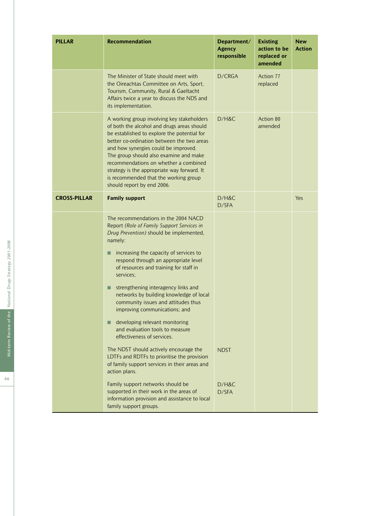| <b>PILLAR</b>       | <b>Recommendation</b>                                                                                                                                                                                                                                                                                                                                                                                                                  | Department/<br><b>Agency</b><br>responsible | <b>Existing</b><br>action to be<br>replaced or<br>amended | <b>New</b><br><b>Action</b> |
|---------------------|----------------------------------------------------------------------------------------------------------------------------------------------------------------------------------------------------------------------------------------------------------------------------------------------------------------------------------------------------------------------------------------------------------------------------------------|---------------------------------------------|-----------------------------------------------------------|-----------------------------|
|                     | The Minister of State should meet with<br>the Oireachtas Committee on Arts, Sport,<br>Tourism, Community, Rural & Gaeltacht<br>Affairs twice a year to discuss the NDS and<br>its implementation.                                                                                                                                                                                                                                      | D/CRGA                                      | Action 77<br>replaced                                     |                             |
|                     | A working group involving key stakeholders<br>of both the alcohol and drugs areas should<br>be established to explore the potential for<br>better co-ordination between the two areas<br>and how synergies could be improved.<br>The group should also examine and make<br>recommendations on whether a combined<br>strategy is the appropriate way forward. It<br>is recommended that the working group<br>should report by end 2006. | $D/H\&C$                                    | Action 80<br>amended                                      |                             |
| <b>CROSS-PILLAR</b> | <b>Family support</b>                                                                                                                                                                                                                                                                                                                                                                                                                  | D/H&C<br>D/SFA                              |                                                           | Yes                         |
|                     | The recommendations in the 2004 NACD<br>Report (Role of Family Support Services in<br>Drug Prevention) should be implemented,<br>namely:                                                                                                                                                                                                                                                                                               |                                             |                                                           |                             |
|                     | increasing the capacity of services to<br>■<br>respond through an appropriate level<br>of resources and training for staff in<br>services;                                                                                                                                                                                                                                                                                             |                                             |                                                           |                             |
|                     | strengthening interagency links and<br>■<br>networks by building knowledge of local<br>community issues and attitudes thus<br>improving communications; and                                                                                                                                                                                                                                                                            |                                             |                                                           |                             |
|                     | developing relevant monitoring<br>and evaluation tools to measure<br>effectiveness of services.                                                                                                                                                                                                                                                                                                                                        |                                             |                                                           |                             |
|                     | The NDST should actively encourage the<br>LDTFs and RDTFs to prioritise the provision<br>of family support services in their areas and<br>action plans.                                                                                                                                                                                                                                                                                | <b>NDST</b>                                 |                                                           |                             |
|                     | Family support networks should be<br>supported in their work in the areas of<br>information provision and assistance to local<br>family support groups.                                                                                                                                                                                                                                                                                | D/H&C<br>D/SFA                              |                                                           |                             |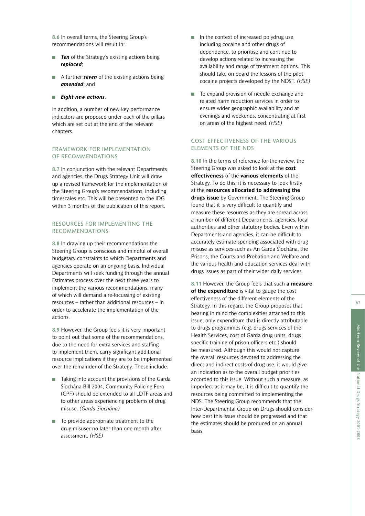**8.6** In overall terms, the Steering Group's recommendations will result in:

- *Ten* of the Strategy's existing actions being *replaced* ;
- A further *seven* of the existing actions being *amended*; and
- *Eight new actions* .

In addition, a number of new key performance indicators are proposed under each of the pillars which are set out at the end of the relevant chapters.

#### FRAMEWORK FOR IMPLEMENTATION OF RECOMMENDATIONS

**8.7** In conjunction with the relevant Departments and agencies, the Drugs Strategy Unit will draw up a revised framework for the implementation of the Steering Group's recommendations, including timescales etc. This will be presented to the IDG within 3 months of the publication of this report.

#### RESOURCES FOR IMPLEMENTING THE RECOMMENDATIONS

**8.8** In drawing up their recommendations the Steering Group is conscious and mindful of overall budgetary constraints to which Departments and agencies operate on an ongoing basis. Individual Departments will seek funding through the annual Estimates process over the next three years to implement the various recommendations, many of which will demand a re-focussing of existing resources – rather than additional resources – in order to accelerate the implementation of the actions.

**8.9** However, the Group feels it is very important to point out that some of the recommendations, due to the need for extra services and staffing to implement them, carry significant additional resource implications if they are to be implemented over the remainder of the Strategy. These include:

- Taking into account the provisions of the Garda Síochána Bill 2004, Community Policing Fora (CPF) should be extended to all LDTF areas and to other areas experiencing problems of drug misuse. *(Garda Síochána)*
- To provide appropriate treatment to the drug misuser no later than one month after assessment. *(HSE)*
- In the context of increased polydrug use, including cocaine and other drugs of dependence, to prioritise and continue to develop actions related to increasing the availability and range of treatment options. This should take on board the lessons of the pilot cocaine projects developed by the NDST. *(HSE)*
- To expand provision of needle exchange and related harm reduction services in order to ensure wider geographic availability and at evenings and weekends, concentrating at first on areas of the highest need. *(HSE)*

#### COST EFFECTIVENESS OF THE VARIOUS ELEMENTS OF THE NDS

**8.10** In the terms of reference for the review, the Steering Group was asked to look at the **cost effectiveness** of the **various elements** of the Strategy. To do this, it is necessary to look firstly at the **resources allocated to addressing the drugs issue** by Government. The Steering Group found that it is very difficult to quantify and measure these resources as they are spread across a number of different Departments, agencies, local authorities and other statutory bodies. Even within Departments and agencies, it can be difficult to accurately estimate spending associated with drug misuse as services such as An Garda Síochána, the Prisons, the Courts and Probation and Welfare and the various health and education services deal with drugs issues as part of their wider daily services.

**8.11** However, the Group feels that such **a measure of the expenditure** is vital to gauge the cost effectiveness of the different elements of the Strategy. In this regard, the Group proposes that bearing in mind the complexities attached to this issue, only expenditure that is directly attributable to drugs programmes (e.g. drugs services of the Health Services, cost of Garda drug units, drugs specific training of prison officers etc.) should be measured. Although this would not capture the overall resources devoted to addressing the direct and indirect costs of drug use, it would give an indication as to the overall budget priorities accorded to this issue. Without such a measure, as imperfect as it may be, it is difficult to quantify the resources being committed to implementing the NDS. The Steering Group recommends that the Inter-Departmental Group on Drugs should consider how best this issue should be progressed and that the estimates should be produced on an annual basis.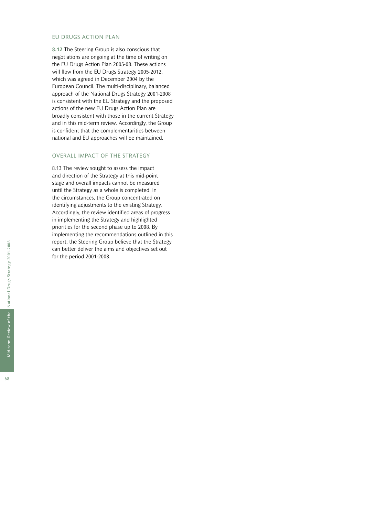#### EU DRUGS ACTION PLAN

**8.12** The Steering Group is also conscious that negotiations are ongoing at the time of writing on the EU Drugs Action Plan 2005-08. These actions will flow from the EU Drugs Strategy 2005-2012, which was agreed in December 2004 by the European Council. The multi-disciplinary, balanced approach of the National Drugs Strategy 2001-2008 is consistent with the EU Strategy and the proposed actions of the new EU Drugs Action Plan are broadly consistent with those in the current Strategy and in this mid-term review. Accordingly, the Group is confident that the complementarities between national and EU approaches will be maintained.

#### OVERALL IMPACT OF THE STRATEGY

8.13 The review sought to assess the impact and direction of the Strategy at this mid-point stage and overall impacts cannot be measured until the Strategy as a whole is completed. In the circumstances, the Group concentrated on identifying adjustments to the existing Strategy. Accordingly, the review identified areas of progress in implementing the Strategy and highlighted priorities for the second phase up to 2008. By implementing the recommendations outlined in this report, the Steering Group believe that the Strategy can better deliver the aims and objectives set out for the period 2001-2008.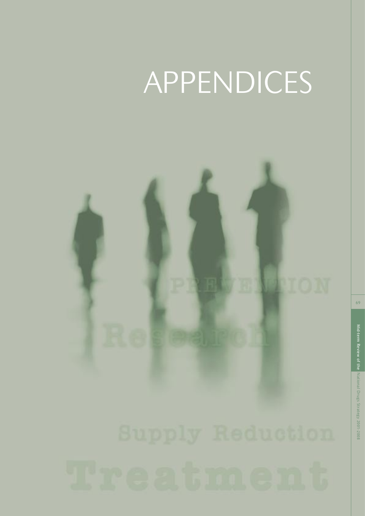## APPENDICES

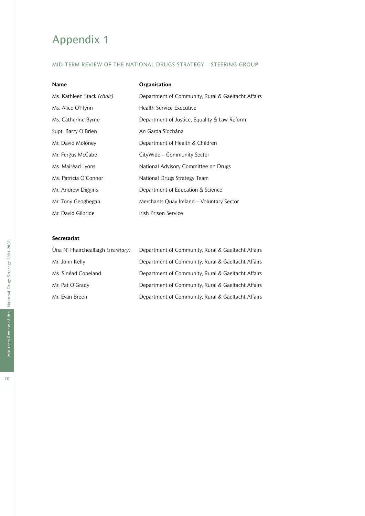## Appendix 1

### MID-TERM REVIEW OF THE NATIONAL DRUGS STRATEGY – STEERING GROUP

| <b>Name</b>                | Organisation                                       |
|----------------------------|----------------------------------------------------|
| Ms. Kathleen Stack (chair) | Department of Community, Rural & Gaeltacht Affairs |
| Ms. Alice O'Flynn          | <b>Health Service Executive</b>                    |
| Ms. Catherine Byrne        | Department of Justice, Equality & Law Reform       |
| Supt. Barry O'Brien        | An Garda Síochána                                  |
| Mr. David Moloney          | Department of Health & Children                    |
| Mr. Fergus McCabe          | CityWide – Community Sector                        |
| Ms. Mairéad Lyons          | National Advisory Committee on Drugs               |
| Ms. Patricia O'Connor      | National Drugs Strategy Team                       |
| Mr. Andrew Diggins         | Department of Education & Science                  |
| Mr. Tony Geoghegan         | Merchants Quay Ireland – Voluntary Sector          |
| Mr. David Gilbride         | Irish Prison Service                               |

### **Secretariat**

| Úna Ní Fhaircheallaigh (secretary) | Department of Community, Rural & Gaeltacht Affairs |
|------------------------------------|----------------------------------------------------|
| Mr. John Kelly                     | Department of Community, Rural & Gaeltacht Affairs |
| Ms. Sinéad Copeland                | Department of Community, Rural & Gaeltacht Affairs |
| Mr. Pat O'Grady                    | Department of Community, Rural & Gaeltacht Affairs |
| Mr. Evan Breen                     | Department of Community, Rural & Gaeltacht Affairs |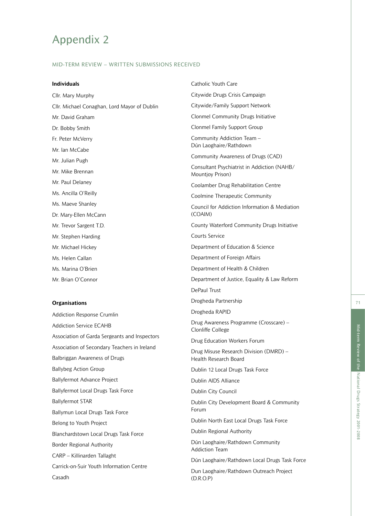# Appendix 2

### MID-TERM REVIEW – WRITTEN SUBMISSIONS RECEIVED

#### **Individuals**

Cllr. Mary Murphy Cllr. Michael Conaghan, Lord Mayor of Dublin Mr. David Graham Dr. Bobby Smith Fr. Peter McVerry Mr. Ian McCabe Mr. Julian Pugh Mr. Mike Brennan Mr. Paul Delaney Ms. Ancilla O'Reilly Ms. Maeve Shanley Dr. Mary-Ellen McCann Mr. Trevor Sargent T.D. Mr. Stephen Harding Mr. Michael Hickey Ms. Helen Callan Ms. Marina O'Brien Mr. Brian O'Connor

#### **Organisations**

Addiction Response Crumlin Addiction Service ECAHB Association of Garda Sergeants and Inspectors Association of Secondary Teachers in Ireland Balbriggan Awareness of Drugs Ballybeg Action Group Ballyfermot Advance Project Ballyfermot Local Drugs Task Force Ballyfermot STAR Ballymun Local Drugs Task Force Belong to Youth Project Blanchardstown Local Drugs Task Force Border Regional Authority CARP – Killinarden Tallaght Carrick-on-Suir Youth Information Centre Casadh

Catholic Youth Care Citywide Drugs Crisis Campaign Citywide/Family Support Network Clonmel Community Drugs Initiative Clonmel Family Support Group Community Addiction Team – Dún Laoghaire/Rathdown Community Awareness of Drugs (CAD) Consultant Psychiatrist in Addiction (NAHB/ Mountjoy Prison) Coolamber Drug Rehabilitation Centre Coolmine Therapeutic Community Council for Addiction Information & Mediation (COAIM) County Waterford Community Drugs Initiative Courts Service Department of Education & Science Department of Foreign Affairs Department of Health & Children Department of Justice, Equality & Law Reform DePaul Trust Drogheda Partnership Drogheda RAPID Drug Awareness Programme (Crosscare) – Clonliffe College Drug Education Workers Forum Drug Misuse Research Division (DMRD) – Health Research Board Dublin 12 Local Drugs Task Force Dublin AIDS Alliance Dublin City Council Dublin City Development Board & Community Forum Dublin North East Local Drugs Task Force Dublin Regional Authority Dún Laoghaire/Rathdown Community Addiction Team Dún Laoghaire/Rathdown Local Drugs Task Force Dun Laoghaire/Rathdown Outreach Project (D.R.O.P)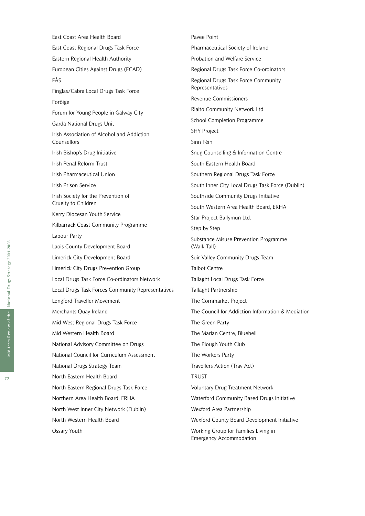East Coast Regional Drugs Task Force Eastern Regional Health Authority European Cities Against Drugs (ECAD) FÁS Finglas/Cabra Local Drugs Task Force Foróige Forum for Young People in Galway City Garda National Drugs Unit Irish Association of Alcohol and Addiction Counsellors Irish Bishop's Drug Initiative Irish Penal Reform Trust Irish Pharmaceutical Union Irish Prison Service Irish Society for the Prevention of Cruelty to Children Kerry Diocesan Youth Service Kilbarrack Coast Community Programme Labour Party Laois County Development Board Limerick City Development Board Limerick City Drugs Prevention Group Local Drugs Task Force Co-ordinators Network Local Drugs Task Forces Community Representatives Longford Traveller Movement Merchants Quay Ireland Mid-West Regional Drugs Task Force Mid Western Health Board National Advisory Committee on Drugs National Council for Curriculum Assessment National Drugs Strategy Team North Eastern Health Board North Eastern Regional Drugs Task Force Northern Area Health Board, ERHA North West Inner City Network (Dublin) North Western Health Board Ossary Youth

East Coast Area Health Board

Pavee Point Pharmaceutical Society of Ireland Probation and Welfare Service Regional Drugs Task Force Co-ordinators Regional Drugs Task Force Community Representatives Revenue Commissioners Rialto Community Network Ltd. School Completion Programme SHY Project Sinn Féin Snug Counselling & Information Centre South Eastern Health Board Southern Regional Drugs Task Force South Inner City Local Drugs Task Force (Dublin) Southside Community Drugs Initiative South Western Area Health Board, ERHA Star Project Ballymun Ltd. Step by Step Substance Misuse Prevention Programme (Walk Tall) Suir Valley Community Drugs Team Talbot Centre Tallaght Local Drugs Task Force Tallaght Partnership The Cornmarket Project The Council for Addiction Information & Mediation The Green Party The Marian Centre, Bluebell The Plough Youth Club The Workers Party Travellers Action (Trav Act) TRUST Voluntary Drug Treatment Network Waterford Community Based Drugs Initiative Wexford Area Partnership Wexford County Board Development Initiative Working Group for Families Living in Emergency Accommodation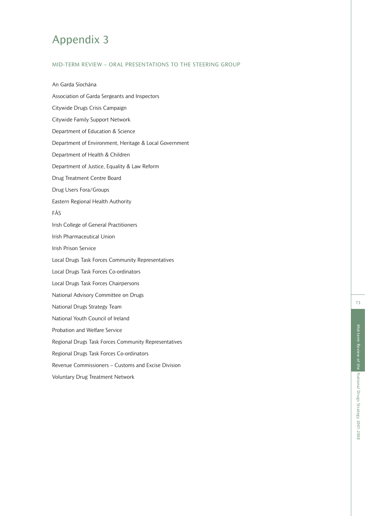# Appendix 3

# MID-TERM REVIEW – ORAL PRESENTATIONS TO THE STEERING GROUP

An Garda Síochána Association of Garda Sergeants and Inspectors Citywide Drugs Crisis Campaign Citywide Family Support Network Department of Education & Science Department of Environment, Heritage & Local Government Department of Health & Children Department of Justice, Equality & Law Reform Drug Treatment Centre Board Drug Users Fora/Groups Eastern Regional Health Authority FÁS Irish College of General Practitioners Irish Pharmaceutical Union Irish Prison Service Local Drugs Task Forces Community Representatives Local Drugs Task Forces Co-ordinators Local Drugs Task Forces Chairpersons National Advisory Committee on Drugs National Drugs Strategy Team National Youth Council of Ireland Probation and Welfare Service Regional Drugs Task Forces Community Representatives Regional Drugs Task Forces Co-ordinators Revenue Commissioners – Customs and Excise Division Voluntary Drug Treatment Network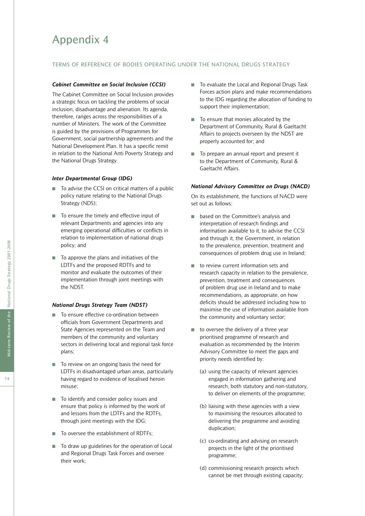# Appendix 4

### TERMS OF REFERENCE OF BODIES OPERATING UNDER THE NATIONAL DRUGS STRATEGY

### *Cabinet Committee on Social Inclusion (CCSI)*

The Cabinet Committee on Social Inclusion provides a strategic focus on tackling the problems of social inclusion, disadvantage and alienation. Its agenda, therefore, ranges across the responsibilities of a number of Ministers. The work of the Committee is guided by the provisions of Programmes for Government, social partnership agreements and the National Development Plan. It has a specific remit in relation to the National Anti Poverty Strategy and the National Drugs Strategy.

#### *Inter Departmental Group (IDG)*

- To advise the CCSI on critical matters of a public policy nature relating to the National Drugs Strategy (NDS);
- To ensure the timely and effective input of relevant Departments and agencies into any emerging operational difficulties or conflicts in relation to implementation of national drugs policy; and
- To approve the plans and initiatives of the LDTFs and the proposed RDTFs and to monitor and evaluate the outcomes of their implementation through joint meetings with the NDST.

#### *National Drugs Strategy Team (NDST)*

- To ensure effective co-ordination between officials from Government Departments and State Agencies represented on the Team and members of the community and voluntary sectors in delivering local and regional task force plans;
- To review on an ongoing basis the need for LDTFs in disadvantaged urban areas, particularly having regard to evidence of localised heroin misuse;
- To identify and consider policy issues and ensure that policy is informed by the work of and lessons from the LDTFs and the RDTFs, through joint meetings with the IDG;
- To oversee the establishment of RDTFs:
- To draw up guidelines for the operation of Local and Regional Drugs Task Forces and oversee their work;
- To evaluate the Local and Regional Drugs Task Forces action plans and make recommendations to the IDG regarding the allocation of funding to support their implementation;
- To ensure that monies allocated by the Department of Community, Rural & Gaeltacht Affairs to projects overseen by the NDST are properly accounted for; and
- To prepare an annual report and present it to the Department of Community, Rural & Gaeltacht Affairs.

#### *National Advisory Committee on Drugs (NACD)*

On its establishment, the functions of NACD were set out as follows:

- based on the Committee's analysis and interpretation of research findings and information available to it, to advise the CCSI and through it, the Government, in relation to the prevalence, prevention, treatment and consequences of problem drug use in Ireland;
- to review current information sets and research capacity in relation to the prevalence, prevention, treatment and consequences of problem drug use in Ireland and to make recommendations, as appropriate, on how deficits should be addressed including how to maximise the use of information available from the community and voluntary sector;
- to oversee the delivery of a three year prioritised programme of research and evaluation as recommended by the Interim Advisory Committee to meet the gaps and priority needs identified by:
	- (a) using the capacity of relevant agencies engaged in information gathering and research, both statutory and non-statutory, to deliver on elements of the programme;
	- (b) liaising with these agencies with a view to maximising the resources allocated to delivering the programme and avoiding duplication;
	- (c) co-ordinating and advising on research projects in the light of the prioritised programme;
	- (d) commissioning research projects which cannot be met through existing capacity;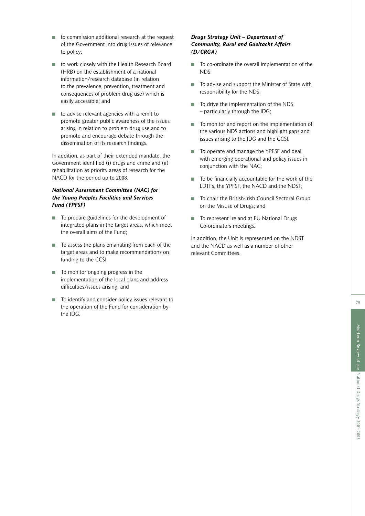75

- to commission additional research at the request of the Government into drug issues of relevance to policy;
- to work closely with the Health Research Board (HRB) on the establishment of a national information/research database (in relation to the prevalence, prevention, treatment and consequences of problem drug use) which is easily accessible; and
- to advise relevant agencies with a remit to promote greater public awareness of the issues arising in relation to problem drug use and to promote and encourage debate through the dissemination of its research findings.

In addition, as part of their extended mandate, the Government identified (i) drugs and crime and (ii) rehabilitation as priority areas of research for the NACD for the period up to 2008.

## *National Assessment Committee (NAC) for the Young Peoples Facilities and Services Fund (YPFSF)*

- To prepare guidelines for the development of integrated plans in the target areas, which meet the overall aims of the Fund;
- To assess the plans emanating from each of the target areas and to make recommendations on funding to the CCSI;
- To monitor ongoing progress in the implementation of the local plans and address difficulties/issues arising; and
- To identify and consider policy issues relevant to the operation of the Fund for consideration by the IDG.

## *Drugs Strategy Unit – Department of Community, Rural and Gaeltacht Affairs (D/CRGA)*

- To co-ordinate the overall implementation of the  $NDS$
- To advise and support the Minister of State with responsibility for the NDS;
- To drive the implementation of the NDS – particularly through the IDG;
- To monitor and report on the implementation of the various NDS actions and highlight gaps and issues arising to the IDG and the CCSI;
- To operate and manage the YPFSF and deal with emerging operational and policy issues in conjunction with the NAC;
- To be financially accountable for the work of the LDTFs, the YPFSF, the NACD and the NDST;
- To chair the British-Irish Council Sectoral Group on the Misuse of Drugs; and
- To represent Ireland at EU National Drugs Co-ordinators meetings.

In addition, the Unit is represented on the NDST and the NACD as well as a number of other relevant Committees.